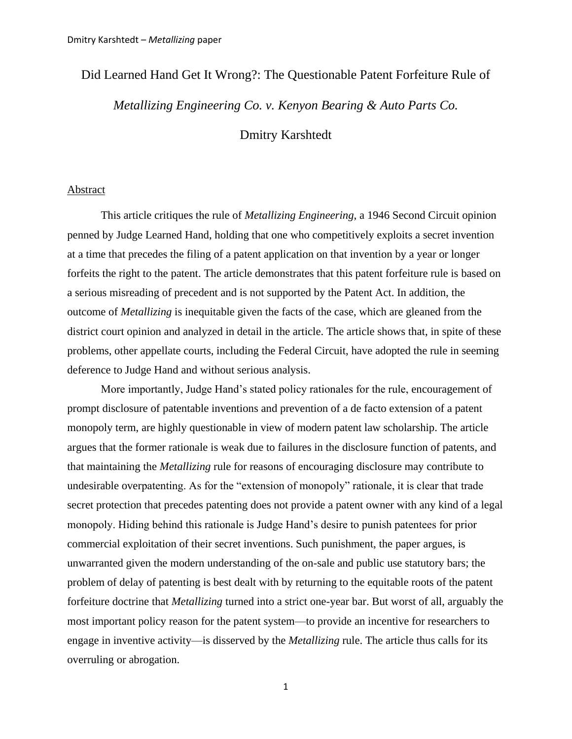# Did Learned Hand Get It Wrong?: The Questionable Patent Forfeiture Rule of

*Metallizing Engineering Co. v. Kenyon Bearing & Auto Parts Co.*

Dmitry Karshtedt

## Abstract

This article critiques the rule of *Metallizing Engineering*, a 1946 Second Circuit opinion penned by Judge Learned Hand, holding that one who competitively exploits a secret invention at a time that precedes the filing of a patent application on that invention by a year or longer forfeits the right to the patent. The article demonstrates that this patent forfeiture rule is based on a serious misreading of precedent and is not supported by the Patent Act. In addition, the outcome of *Metallizing* is inequitable given the facts of the case, which are gleaned from the district court opinion and analyzed in detail in the article. The article shows that, in spite of these problems, other appellate courts, including the Federal Circuit, have adopted the rule in seeming deference to Judge Hand and without serious analysis.

More importantly, Judge Hand"s stated policy rationales for the rule, encouragement of prompt disclosure of patentable inventions and prevention of a de facto extension of a patent monopoly term, are highly questionable in view of modern patent law scholarship. The article argues that the former rationale is weak due to failures in the disclosure function of patents, and that maintaining the *Metallizing* rule for reasons of encouraging disclosure may contribute to undesirable overpatenting. As for the "extension of monopoly" rationale, it is clear that trade secret protection that precedes patenting does not provide a patent owner with any kind of a legal monopoly. Hiding behind this rationale is Judge Hand"s desire to punish patentees for prior commercial exploitation of their secret inventions. Such punishment, the paper argues, is unwarranted given the modern understanding of the on-sale and public use statutory bars; the problem of delay of patenting is best dealt with by returning to the equitable roots of the patent forfeiture doctrine that *Metallizing* turned into a strict one-year bar. But worst of all, arguably the most important policy reason for the patent system—to provide an incentive for researchers to engage in inventive activity—is disserved by the *Metallizing* rule. The article thus calls for its overruling or abrogation.

1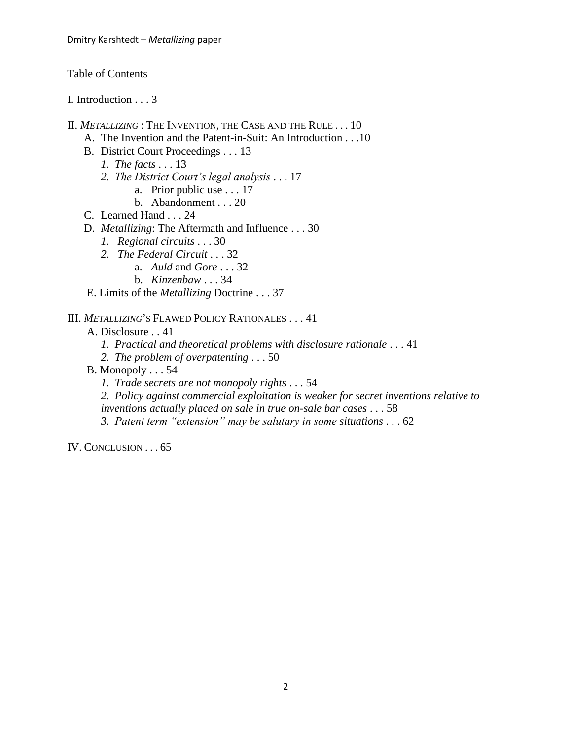# Table of Contents

I. Introduction . . . 3

- II. *METALLIZING* : THE INVENTION, THE CASE AND THE RULE . . . 10
	- A. The Invention and the Patent-in-Suit: An Introduction . . .10
	- B. District Court Proceedings . . . 13
		- *1. The facts* . . . 13
		- *2. The District Court"s legal analysis* . . . 17
			- a. Prior public use . . . 17
			- b. Abandonment . . . 20
	- C. Learned Hand . . . 24
	- D. *Metallizing*: The Aftermath and Influence . . . 30
		- *1. Regional circuits* . . . 30
			- *2. The Federal Circuit* . . . 32
				- a. *Auld* and *Gore* . . . 32
				- b. *Kinzenbaw* . . . 34

E. Limits of the *Metallizing* Doctrine . . . 37

# III. *METALLIZING*"S FLAWED POLICY RATIONALES . . . 41

A. Disclosure . . 41

- *1. Practical and theoretical problems with disclosure rationale* . . . 41
- *2. The problem of overpatenting* . . . 50
- B. Monopoly . . . 54
	- *1. Trade secrets are not monopoly rights* . . . 54

*2. Policy against commercial exploitation is weaker for secret inventions relative to inventions actually placed on sale in true on-sale bar cases* . . . 58

*3*. *Patent term "extension" may be salutary in some situations* . . . 62

IV. CONCLUSION . . . 65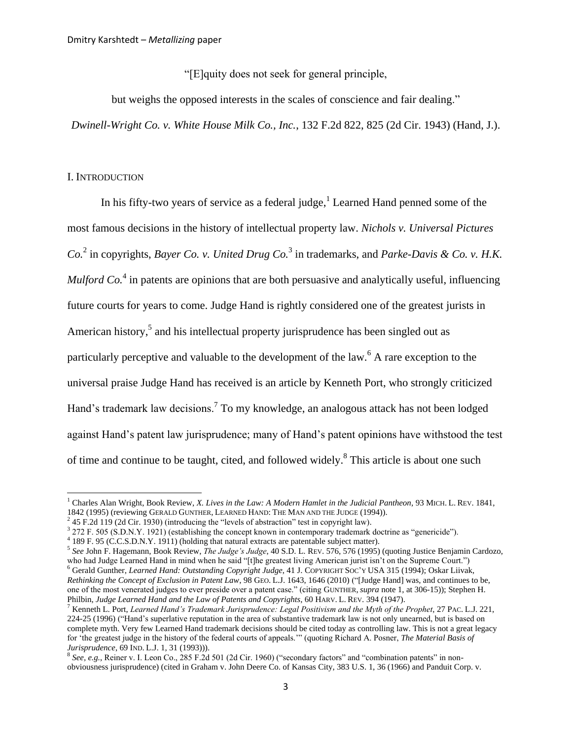<span id="page-2-0"></span>"[E]quity does not seek for general principle,

but weighs the opposed interests in the scales of conscience and fair dealing."

*Dwinell-Wright Co. v. White House Milk Co., Inc.*, 132 F.2d 822, 825 (2d Cir. 1943) (Hand, J.).

## I. INTRODUCTION

<span id="page-2-3"></span><span id="page-2-2"></span><span id="page-2-1"></span> $\overline{\phantom{a}}$ 

In his fifty-two years of service as a federal judge,<sup>1</sup> Learned Hand penned some of the most famous decisions in the history of intellectual property law. *Nichols v. Universal Pictures Co.*<sup>2</sup> in copyrights, *Bayer Co. v. United Drug Co.*<sup>3</sup> in trademarks, and *Parke-Davis & Co. v. H.K. Mulford Co.*<sup>4</sup> in patents are opinions that are both persuasive and analytically useful, influencing future courts for years to come. Judge Hand is rightly considered one of the greatest jurists in American history,<sup>5</sup> and his intellectual property jurisprudence has been singled out as particularly perceptive and valuable to the development of the law.<sup>6</sup> A rare exception to the universal praise Judge Hand has received is an article by Kenneth Port, who strongly criticized Hand's trademark law decisions.<sup>7</sup> To my knowledge, an analogous attack has not been lodged against Hand"s patent law jurisprudence; many of Hand"s patent opinions have withstood the test of time and continue to be taught, cited, and followed widely.<sup>8</sup> This article is about one such

<sup>1</sup> Charles Alan Wright, Book Review, *X. Lives in the Law: A Modern Hamlet in the Judicial Pantheon*, 93 MICH. L. REV. 1841, 1842 (1995) (reviewing GERALD GUNTHER, LEARNED HAND: THE MAN AND THE JUDGE (1994)).

 $2^{2}$  [45 F.2d 119](http://en.wikipedia.org/wiki/Case_citation) [\(2d Cir.](http://en.wikipedia.org/wiki/2d_Cir.) 1930) (introducing the "levels of abstraction" test in copyright law).

 $3$  272 F. 505 (S.D.N.Y. 1921) (establishing the concept known in contemporary trademark doctrine as "genericide").

<sup>&</sup>lt;sup>4</sup> 189 F. 95 (C.C.S.D.N.Y. 1911) (holding that natural extracts are patentable subject matter).

<sup>5</sup> *See* John F. Hagemann, Book Review, *The Judge"s Judge*, 40 S.D. L. REV. 576, 576 (1995) (quoting Justice Benjamin Cardozo, who had Judge Learned Hand in mind when he said "[t]he greatest living American jurist isn't on the Supreme Court.") <sup>6</sup> Gerald Gunther, *[Learned Hand: Outstanding](http://web2.westlaw.com/find/default.wl?serialnum=0104845934&tc=-1&rp=%2ffind%2fdefault.wl&sv=Split&rs=WLW11.04&db=1170&tf=-1&findtype=Y&fn=_top&vr=2.0&pbc=09CD61C9&ordoc=0106551290) Copyright Judge*, 41 J. COPYRIGHT SOC"Y USA 315 (1994); Oskar Liivak,

*Rethinking the Concept of Exclusion in Patent Law*, 98 GEO. L.J. 1643, 1646 (2010) ("[Judge Hand] was, and continues to be, one of the most venerated judges to ever preside over a patent case." (citing GUNTHER, *supra* note [1,](#page-2-0) at 306-15)); Stephen H. Philbin, *Judge Learned Hand and the Law of Patents and Copyrights*, 60 HARV. L. REV. 394 (1947).

<sup>7</sup> Kenneth L. Port, *Learned Hand"s Trademark Jurisprudence: Legal Positivism and the Myth of the Prophet*, 27 PAC. L.J. 221, 224-25 (1996) ("Hand"s superlative reputation in the area of substantive trademark law is not only unearned, but is based on complete myth. Very few Learned Hand trademark decisions should be cited today as controlling law. This is not a great legacy for "the greatest judge in the history of the federal courts of appeals."" (quoting Richard A. Posner, *The [Material Basis of](http://web2.westlaw.com/find/default.wl?referencepositiontype=S&serialnum=0103286265&referenceposition=31&rp=%2ffind%2fdefault.wl&sv=Split&rs=WLW11.04&db=1167&tf=-1&findtype=Y&fn=_top&tc=-1&vr=2.0&pbc=09CD61C9&ordoc=0106551290)  [Jurisprudence](http://web2.westlaw.com/find/default.wl?referencepositiontype=S&serialnum=0103286265&referenceposition=31&rp=%2ffind%2fdefault.wl&sv=Split&rs=WLW11.04&db=1167&tf=-1&findtype=Y&fn=_top&tc=-1&vr=2.0&pbc=09CD61C9&ordoc=0106551290)*, 69 IND. L.J. 1, 31 (1993))).

<sup>8</sup> *See, e.g.*, Reiner v. I. Leon Co., 285 F.2d 501 (2d Cir. 1960) ("secondary factors" and "combination patents" in nonobviousness jurisprudence) (cited in Graham v. John Deere Co. of Kansas City, 383 U.S. 1, 36 (1966) and Panduit Corp. v.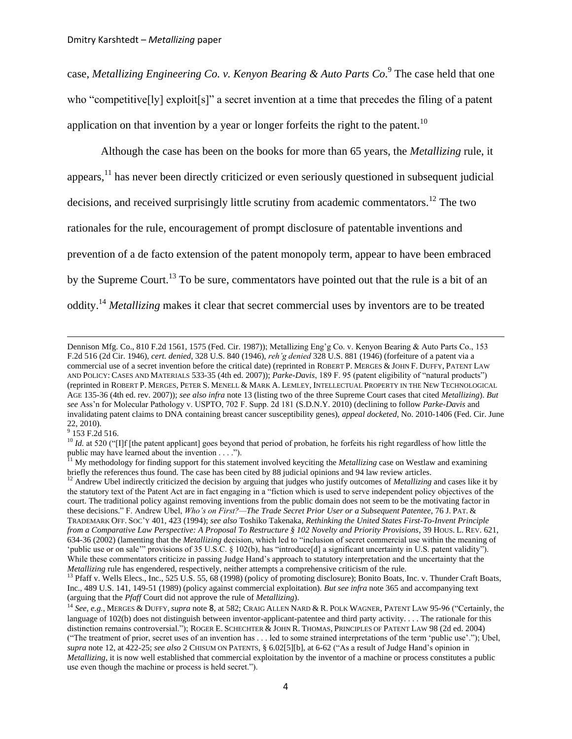case, *Metallizing Engineering Co. v. Kenyon Bearing & Auto Parts Co*. 9 The case held that one who "competitive[ly] exploit[s]" a secret invention at a time that precedes the filing of a patent application on that invention by a year or longer forfeits the right to the patent.<sup>10</sup>

<span id="page-3-1"></span>Although the case has been on the books for more than 65 years, the *Metallizing* rule, it appears,<sup>11</sup> has never been directly criticized or even seriously questioned in subsequent judicial decisions, and received surprisingly little scrutiny from academic commentators.<sup>12</sup> The two rationales for the rule, encouragement of prompt disclosure of patentable inventions and prevention of a de facto extension of the patent monopoly term, appear to have been embraced by the Supreme Court.<sup>13</sup> To be sure, commentators have pointed out that the rule is a bit of an oddity.<sup>14</sup> *Metallizing* makes it clear that secret commercial uses by inventors are to be treated

<sup>9</sup> 153 F.2d 516.

<span id="page-3-2"></span><span id="page-3-0"></span>Dennison Mfg. Co., 810 F.2d 1561, 1575 (Fed. Cir. 1987)); Metallizing Eng"g Co. v. Kenyon Bearing & Auto Parts Co., 153 F.2d 516 (2d Cir. 1946), *cert. denied*, 328 U.S. 840 (1946), *reh"g denied* 328 U.S. 881 (1946) (forfeiture of a patent via a commercial use of a secret invention before the critical date) (reprinted in ROBERT P. MERGES & JOHN F. DUFFY, PATENT LAW AND POLICY: CASES AND MATERIALS 533-35 (4th ed. 2007)); *Parke-Davis*, 189 F. 95 (patent eligibility of "natural products") (reprinted in ROBERT P. MERGES, PETER S. MENELL & MARK A. LEMLEY, INTELLECTUAL PROPERTY IN THE NEW TECHNOLOGICAL AGE 135-36 (4th ed. rev. 2007)); *see also infra* note [13](#page-3-0) (listing two of the three Supreme Court cases that cited *Metallizing*). *But see* Ass"n for Molecular Pathology v. USPTO, 702 F. Supp. 2d 181 (S.D.N.Y. 2010) (declining to follow *Parke-Davis* and invalidating patent claims to DNA containing breast cancer susceptibility genes), *appeal docketed*, No. 2010-1406 (Fed. Cir. June 22, 2010).

<sup>&</sup>lt;sup>10</sup> *Id.* at 520 ("IIf [the patent applicant] goes beyond that period of probation, he forfeits his right regardless of how little the public may have learned about the invention  $\dots$ .").

<sup>11</sup> My methodology for finding support for this statement involved keyciting the *Metallizing* case on Westlaw and examining briefly the references thus found. The case has been cited by 88 judicial opinions and 94 law review articles.

<sup>&</sup>lt;sup>12</sup> Andrew Ubel indirectly criticized the decision by arguing that judges who justify outcomes of *Metallizing* and cases like it by the statutory text of the Patent Act are in fact engaging in a "fiction which is used to serve independent policy objectives of the court. The traditional policy against removing inventions from the public domain does not seem to be the motivating factor in these decisions." F. Andrew Ubel, *Who"s on First?—The Trade Secret Prior User or a Subsequent Patentee*, 76 J. PAT. & TRADEMARK OFF. SOC"Y 401, 423 (1994); *see also* Toshiko Takenaka, *Rethinking the United States First-To-Invent Principle from a Comparative Law Perspective: A Proposal To Restructure § 102 Novelty and Priority Provisions*, 39 HOUS. L. REV. 621, 634-36 (2002) (lamenting that the *Metallizing* decision, which led to "inclusion of secret commercial use within the meaning of "public use or on sale"" provisions of 35 U.S.C. § 102(b), has "introduce[d] a significant uncertainty in U.S. patent validity"). While these commentators criticize in passing Judge Hand's approach to statutory interpretation and the uncertainty that the *Metallizing* rule has engendered, respectively, neither attempts a comprehensive criticism of the rule.

<sup>&</sup>lt;sup>13</sup> Pfaff v. Wells Elecs., Inc., 525 U.S. 55, 68 (1998) (policy of promoting disclosure); Bonito Boats, Inc. v. Thunder Craft Boats, Inc., 489 U.S. 141, 149-51 (1989) (policy against commercial exploitation). *But see infra* note [365](#page-60-0) and accompanying text (arguing that the *Pfaff* Court did not approve the rule of *Metallizing*).

<sup>14</sup> *See, e.g.*, MERGES & DUFFY, *supra* note [8](#page-2-1), at 582; CRAIG ALLEN NARD & R. POLK WAGNER, PATENT LAW 95-96 ("Certainly, the language of 102(b) does not distinguish between inventor-applicant-patentee and third party activity.... The rationale for this distinction remains controversial."); ROGER E. SCHECHTER & JOHN R. THOMAS, PRINCIPLES OF PATENT LAW 98 (2d ed. 2004) ("The treatment of prior, secret uses of an invention has . . . led to some strained interpretations of the term "public use"."); Ubel, *supra* not[e 12,](#page-3-1) at 422-25; *see also* 2 CHISUM ON PATENTS, § 6.02[5][b], at 6-62 ("As a result of Judge Hand"s opinion in *Metallizing*, it is now well established that commercial exploitation by the inventor of a machine or process constitutes a public use even though the machine or process is held secret.").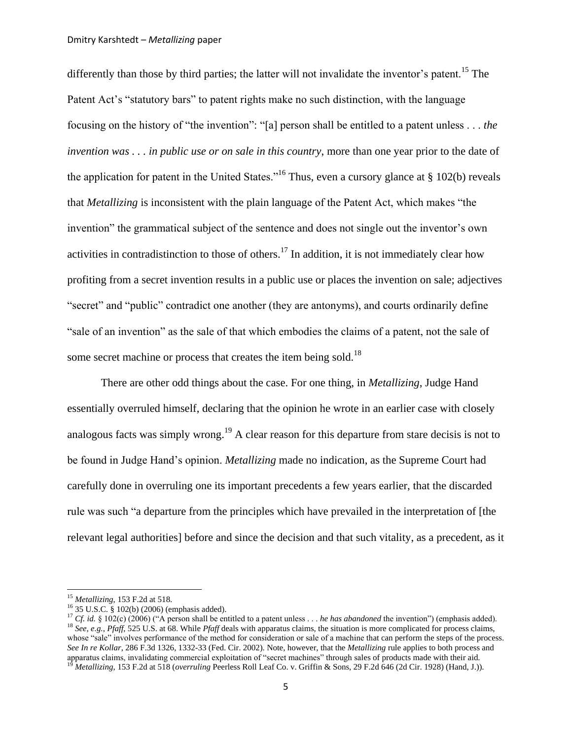<span id="page-4-1"></span>differently than those by third parties; the latter will not invalidate the inventor's patent.<sup>15</sup> The Patent Act's "statutory bars" to patent rights make no such distinction, with the language focusing on the history of "the invention": "[a] person shall be entitled to a patent unless . . . *the invention was . . . in public use or on sale in this country*, more than one year prior to the date of the application for patent in the United States.<sup> $16$ </sup> Thus, even a cursory glance at § 102(b) reveals that *Metallizing* is inconsistent with the plain language of the Patent Act, which makes "the invention" the grammatical subject of the sentence and does not single out the inventor's own activities in contradistinction to those of others.<sup>17</sup> In addition, it is not immediately clear how profiting from a secret invention results in a public use or places the invention on sale; adjectives "secret" and "public" contradict one another (they are antonyms), and courts ordinarily define "sale of an invention" as the sale of that which embodies the claims of a patent, not the sale of some secret machine or process that creates the item being sold.<sup>18</sup>

<span id="page-4-3"></span><span id="page-4-2"></span><span id="page-4-0"></span>There are other odd things about the case. For one thing, in *Metallizing*, Judge Hand essentially overruled himself, declaring that the opinion he wrote in an earlier case with closely analogous facts was simply wrong.<sup>19</sup> A clear reason for this departure from stare decisis is not to be found in Judge Hand"s opinion. *Metallizing* made no indication, as the Supreme Court had carefully done in overruling one its important precedents a few years earlier, that the discarded rule was such "a departure from the principles which have prevailed in the interpretation of [the relevant legal authorities] before and since the decision and that such vitality, as a precedent, as it

<sup>15</sup> *Metallizing*, 153 F.2d at 518.

<sup>16</sup> 35 U.S.C. § 102(b) (2006) (emphasis added).

<sup>&</sup>lt;sup>17</sup> *Cf. id.* § 102(c) (2006) ("A person shall be entitled to a patent unless . . . *he has abandoned* the invention") (emphasis added). <sup>18</sup> *See, e.g., Pfaff,* 525 U.S. at 68. While *Pfaff* deals with apparatus claims, the situation is more complicated for process claims, whose "sale" involves performance of the method for consideration or sale of a machine that can perform the steps of the process. *See In re Kollar*, 286 F.3d 1326, 1332-33 (Fed. Cir. 2002). Note, however, that the *Metallizing* rule applies to both process and apparatus claims, invalidating commercial exploitation of "secret machines" through sales of products made with their aid. <sup>19</sup> *Metallizing*, 153 F.2d at 518 (*overruling* Peerless Roll Leaf Co. v. Griffin & Sons, 29 F.2d 646 (2d Cir. 1928) (Hand, J.)).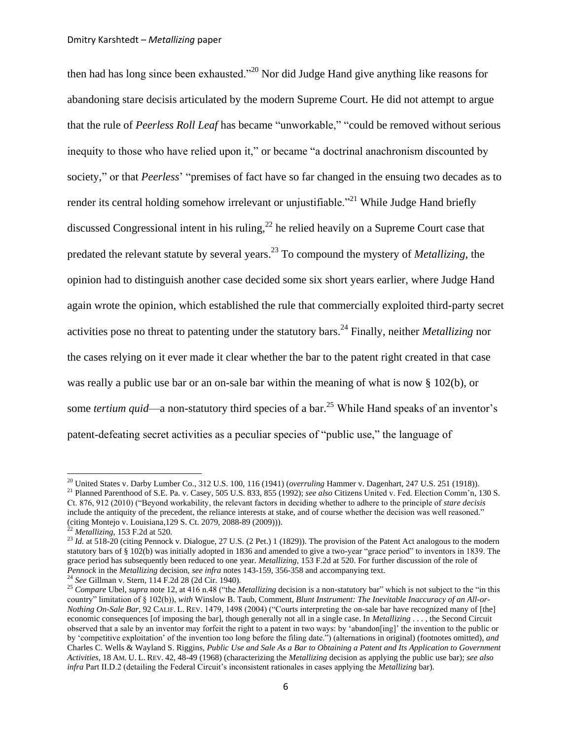<span id="page-5-2"></span>then had has long since been exhausted."<sup>20</sup> Nor did Judge Hand give anything like reasons for abandoning stare decisis articulated by the modern Supreme Court. He did not attempt to argue that the rule of *Peerless Roll Leaf* has became "unworkable," "could be removed without serious inequity to those who have relied upon it," or became "a doctrinal anachronism discounted by society," or that *Peerless*' "premises of fact have so far changed in the ensuing two decades as to render its central holding somehow irrelevant or unjustifiable.<sup>"21</sup> While Judge Hand briefly discussed Congressional intent in his ruling,  $^{22}$  he relied heavily on a Supreme Court case that predated the relevant statute by several years.<sup>23</sup> To compound the mystery of *Metallizing*, the opinion had to distinguish another case decided some six short years earlier, where Judge Hand again wrote the opinion, which established the rule that commercially exploited third-party secret activities pose no threat to patenting under the statutory bars.<sup>24</sup> Finally, neither *Metallizing* nor the cases relying on it ever made it clear whether the bar to the patent right created in that case was really a public use bar or an on-sale bar within the meaning of what is now § 102(b), or some *tertium quid*—a non-statutory third species of a bar.<sup>25</sup> While Hand speaks of an inventor's patent-defeating secret activities as a peculiar species of "public use," the language of

<span id="page-5-1"></span><span id="page-5-0"></span><sup>20</sup> [United States v. Darby Lumber Co.,](http://en.wikipedia.org/wiki/United_States_v._Darby_Lumber_Co.) 31[2 U.S.](http://en.wikipedia.org/wiki/United_States_Reports) [100,](http://supreme.justia.com/us/312/100/case.html) 116 (1941) (*overruling* Hammer v. Dagenhart[, 247 U.S. 251](http://en.wikipedia.org/wiki/Case_citation) (1918)).

<sup>21</sup> Planned Parenthood of S.E. Pa. v. Casey[, 505 U.S. 833,](http://en.wikipedia.org/wiki/Case_citation) 855 (1992); *see also* Citizens United v. Fed. Election Comm"n, 130 S. Ct. 876, 912 (2010) ("Beyond workability, the relevant factors in deciding whether to adhere to the principle of *stare decisis* include the antiquity of the precedent, the reliance interests at stake, and of course whether the decision was well reasoned." (citing Montejo v. Louisiana*,*[129 S. Ct. 2079, 2088-89 \(2009\)\)](http://web2.westlaw.com/find/default.wl?referencepositiontype=S&serialnum=2018897274&referenceposition=2088&rp=%2ffind%2fdefault.wl&sv=Split&rs=WLW11.04&db=708&tf=-1&findtype=Y&fn=_top&tc=-1&vr=2.0&pbc=008F951A&ordoc=2021175488)).

<sup>22</sup> *Metallizing*, 153 F.2d at 520.

<sup>&</sup>lt;sup>23</sup> *Id.* at 518-20 (citing Pennock v. Dialogue, 27 U.S. (2 Pet.) 1 (1829)). The provision of the Patent Act analogous to the modern statutory bars of § 102(b) was initially adopted in 1836 and amended to give a two-year "grace period" to inventors in 1839. The grace period has subsequently been reduced to one year. *Metallizing*, 153 F.2d at 520. For further discussion of the role of *Pennock* in the *Metallizing* decision, *see infra* note[s 143](#page-24-0)[-159,](#page-27-0) [356](#page-58-0)[-358](#page-58-1) and accompanying text.

<sup>24</sup> *See* Gillman v. Stern, 114 F.2d 28 (2d Cir. 1940).

<sup>&</sup>lt;sup>25</sup> *Compare Ubel, supra* not[e 12,](#page-3-1) at 416 n.48 ("the *Metallizing* decision is a non-statutory bar" which is not subject to the "in this country" limitation of § 102(b)), *with* Winslow B. Taub, Comment, *Blunt Instrument: The Inevitable Inaccuracy of an All-or-Nothing On-Sale Bar*, 92 CALIF. L. REV. 1479, 1498 (2004) ("Courts interpreting the on-sale bar have recognized many of [the] economic consequences [of imposing the bar], though generally not all in a single case. In *Metallizing* . . . , the Second Circuit observed that a sale by an inventor may forfeit the right to a patent in two ways: by "abandon[ing]" the invention to the public or by "competitive exploitation" of the invention too long before the filing date.") (alternations in original) (footnotes omitted), *and*  Charles C. Wells & Wayland S. Riggins, *Public Use and Sale As a Bar to Obtaining a Patent and Its Application to Government Activities*, 18 AM. U. L. REV. 42, 48-49 (1968) (characterizing the *Metallizing* decision as applying the public use bar); *see also infra Part II.D.2 (detailing the Federal Circuit's inconsistent rationales in cases applying the <i>Metallizing bar*).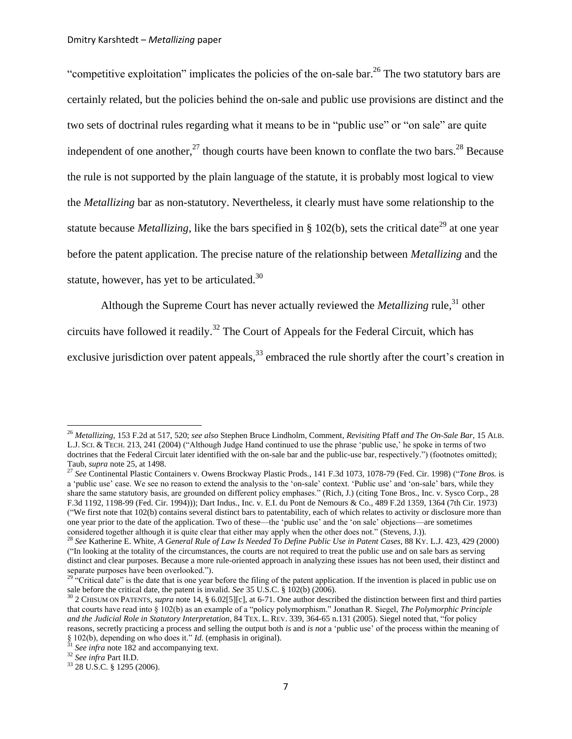"competitive exploitation" implicates the policies of the on-sale bar.<sup>26</sup> The two statutory bars are certainly related, but the policies behind the on-sale and public use provisions are distinct and the two sets of doctrinal rules regarding what it means to be in "public use" or "on sale" are quite independent of one another, $27$  though courts have been known to conflate the two bars.<sup>28</sup> Because the rule is not supported by the plain language of the statute, it is probably most logical to view the *Metallizing* bar as non-statutory. Nevertheless, it clearly must have some relationship to the statute because *Metallizing*, like the bars specified in § 102(b), sets the critical date<sup>29</sup> at one year before the patent application. The precise nature of the relationship between *Metallizing* and the statute, however, has yet to be articulated. $30$ 

<span id="page-6-0"></span>Although the Supreme Court has never actually reviewed the *Metallizing* rule,<sup>31</sup> other

circuits have followed it readily.<sup>32</sup> The Court of Appeals for the Federal Circuit, which has

exclusive jurisdiction over patent appeals,  $33$  embraced the rule shortly after the court's creation in

<sup>26</sup> *Metallizing*, 153 F.2d at 517, 520; *see also* Stephen Bruce Lindholm, Comment, *Revisiting* Pfaff *and The On-Sale Bar*, 15 ALB. L.J. SCI. & TECH. 213, 241 (2004) ("Although Judge Hand continued to use the phrase "public use," he spoke in terms of two doctrines that the Federal Circuit later identified with the on-sale bar and the public-use bar, respectively.") (footnotes omitted); Taub, *supra* not[e 25,](#page-5-0) at 1498.

<sup>27</sup> *See* Continental Plastic Containers v. Owens Brockway Plastic Prods., 141 F.3d 1073, 1078-79 (Fed. Cir. 1998) ("*Tone Bros.* is a 'public use' case. We see no reason to extend the analysis to the 'on-sale' context. 'Public use' and 'on-sale' bars, while they share the same statutory basis, are grounded on different policy emphases." (Rich, J.) (citing Tone Bros., Inc. v[. Sysco Corp.](http://web2.westlaw.com/find/default.wl?returnto=BusinessNameReturnTo&rs=WLW11.04&fn=_top&sv=Split&findtype=l&lvbp=T&docname=CIK%280000096021%29&db=BC-COMPANYSRBD&vr=2.0&rp=%2ffind%2fdefault.wl&pbc=649508BD), 28 F.3d 1192, 1198-99 (Fed. Cir. 1994))); Dart Indus., Inc. v. E.I. du Pont de Nemours & Co.[, 489 F.2d 1359,](http://web2.westlaw.com/result/default.wl?tf=0&fn=_top&scxt=WL&elmap=Inline&cite=489+F.2d+1359&pbc=3F1E7F52&uw=0&cxt=DC&vr=2.0&sv=Split&cnt=DOC&rs=LAWS3.0&ss=CNT&tc=0&rlt=CLID_FQRLT31440334420234&migkccrresultid=1&rp=%2fFind%2fdefault.wl&n=1&rlti=1&service=Find) 1364 (7th Cir. 1973) ("We first note that 102(b) contains several distinct bars to patentability, each of which relates to activity or disclosure more than one year prior to the date of the application. Two of these—the "public use" and the "on sale" objections—are sometimes considered together although it is quite clear that either may apply when the other does not." (Stevens, J.)).

<sup>28</sup> *See* Katherine E. White, *A General Rule of Law Is Needed To Define Public Use in Patent Cases*, 88 KY. L.J. 423, 429 (2000) ("In looking at the totality of the circumstances, the courts are not required to treat the public use and on sale bars as serving distinct and clear purposes. Because a more rule-oriented approach in analyzing these issues has not been used, their distinct and separate purposes have been overlooked.").

<sup>&</sup>lt;sup>29 "</sup>Critical date" is the date that is one year before the filing of the patent application. If the invention is placed in public use on sale before the critical date, the patent is invalid. *See* 35 U.S.C. § 102(b) (2006).

<sup>&</sup>lt;sup>30</sup> 2 CHISUM ON PATENTS, *supra* note [14,](#page-3-2) § 6.02[5][c], at 6-71. One author described the distinction between first and third parties that courts have read into § 102(b) as an example of a "policy polymorphism." Jonathan R. Siegel, *The Polymorphic Principle and the Judicial Role in Statutory Interpretation*, 84 TEX. L. REV. 339, 364-65 n.131 (2005). Siegel noted that, "for policy reasons, secretly practicing a process and selling the output both *is* and *is not* a "public use" of the process within the meaning of  $\S$  102(b), depending on who does it." *Id.* (emphasis in original).

See infra not[e 182](#page-31-0) and accompanying text.

<sup>32</sup> *See infra* Part II.D.

<sup>33</sup> [28 U.S.C.](http://en.wikipedia.org/wiki/Title_28_of_the_United_States_Code) § [1295](http://www.law.cornell.edu/uscode/28/1295.html) (2006).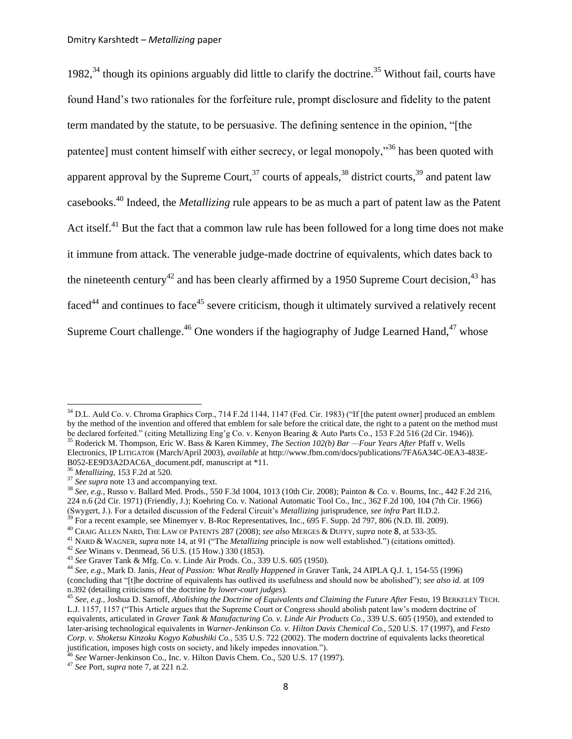<span id="page-7-1"></span><span id="page-7-0"></span>1982, $34$  though its opinions arguably did little to clarify the doctrine.<sup>35</sup> Without fail, courts have found Hand"s two rationales for the forfeiture rule, prompt disclosure and fidelity to the patent term mandated by the statute, to be persuasive. The defining sentence in the opinion, "[the patentee] must content himself with either secrecy, or legal monopoly,"<sup>36</sup> has been quoted with apparent approval by the Supreme Court,  $3^7$  courts of appeals,  $3^8$  district courts,  $3^9$  and patent law casebooks.<sup>40</sup> Indeed, the *Metallizing* rule appears to be as much a part of patent law as the Patent Act itself.<sup>41</sup> But the fact that a common law rule has been followed for a long time does not make it immune from attack. The venerable judge-made doctrine of equivalents, which dates back to the nineteenth century<sup>42</sup> and has been clearly affirmed by a 1950 Supreme Court decision,  $43$  has  $faced^{44}$  and continues to face<sup>45</sup> severe criticism, though it ultimately survived a relatively recent Supreme Court challenge.<sup>46</sup> One wonders if the hagiography of Judge Learned Hand,<sup>47</sup> whose

 $34$  D.L. Auld Co. v. Chroma Graphics Corp., 714 F.2d 1144, 1147 (Fed. Cir. 1983) ("If [the patent owner] produced an emblem by the method of the invention and offered that emblem for sale before the critical date, the right to a patent on the method must be declared forfeited." (citing Metallizing Eng"g Co. v. Kenyon Bearing & Auto Parts Co., 153 F.2d 516 (2d Cir. 1946)). <sup>35</sup> Roderick M. Thompson, Eric W. Bass & Karen Kimmey, *The Section 102(b) Bar —Four Years After* Pfaff v. Wells Electronics, IP LITIGATOR (March/April 2003), *available* at http://www.fbm.com/docs/publications/7FA6A34C-0EA3-483E-B052-EE9D3A2DAC6A\_document.pdf, manuscript at \*11.

<sup>36</sup> *Metallizing*, 153 F.2d at 520.

<sup>&</sup>lt;sup>37</sup> *See supra* not[e 13](#page-3-0) and accompanying text.

<sup>38</sup> *See, e.g.*, Russo v. Ballard Med. Prods., 550 F.3d 1004, 1013 (10th Cir. 2008); Painton & Co. v. Bourns, Inc., 442 F.2d 216, 224 n.6 (2d Cir. 1971) (Friendly, J.); Koehring Co. v. National Automatic Tool Co., Inc., 362 F.2d 100, 104 (7th Cir. 1966) (Swygert, J.). For a detailed discussion of the Federal Circuit"s *Metallizing* jurisprudence, *see infra* Part II.D.2.

<sup>39</sup> For a recent example, see Minemyer v. B-Roc Representatives, Inc., 695 F. Supp. 2d 797, 806 (N.D. Ill. 2009).

<sup>40</sup> CRAIG ALLEN NARD, THE LAW OF PATENTS 287 (2008); *see also* MERGES & DUFFY, *supra* note [8](#page-2-1), at 533-35.

<sup>41</sup> NARD & WAGNER, *supra* not[e 14,](#page-3-2) at 91 ("The *Metallizing* principle is now well established.") (citations omitted).

<sup>42</sup> *See* Winans v. Denmead, 56 U.S. (15 How.) 330 (1853).

<sup>43</sup> *See* Graver Tank & Mfg. Co. v. Linde Air Prods. Co., [339 U.S. 605](http://en.wikipedia.org/wiki/Case_citation) (1950).

<sup>44</sup> *See, e.g.*, Mark D. Janis, *Heat of Passion: What Really Happened in* Graver Tank, 24 AIPLA Q.J. 1, 154-55 (1996) (concluding that "[t]he doctrine of equivalents has outlived its usefulness and should now be abolished"); *see also id.* at 109 n.392 (detailing criticisms of the doctrine *by lower-court judges*).

<sup>45</sup> *See, e.g.,* Joshua D. Sarnoff, *Abolishing the Doctrine of Equivalents and Claiming the Future After* Festo, 19 BERKELEY TECH. L.J. 1157, 1157 ("This Article argues that the Supreme Court or Congress should abolish patent law"s modern doctrine of equivalents, articulated in *[Graver Tank & Manufacturing Co. v. Linde Air Products Co.](http://web2.westlaw.com/find/default.wl?tf=-1&rs=WLW11.04&serialnum=1950117294&fn=_top&sv=Split&tc=-1&pbc=BD69C608&ordoc=0303362804&findtype=Y&db=780&vr=2.0&rp=%2ffind%2fdefault.wl&mt=Westlaw)*, 339 U.S. 605 (1950), and extended to later-arising technological equivalents in *[Warner-Jenkinson Co. v. Hilton Davis Chemical Co.](http://web2.westlaw.com/find/default.wl?tf=-1&rs=WLW11.04&serialnum=1997060689&fn=_top&sv=Split&tc=-1&pbc=BD69C608&ordoc=0303362804&findtype=Y&db=780&vr=2.0&rp=%2ffind%2fdefault.wl&mt=Westlaw)*, 520 U.S. 17 (1997), and *[Festo](http://web2.westlaw.com/find/default.wl?tf=-1&rs=WLW11.04&serialnum=2002330186&fn=_top&sv=Split&tc=-1&pbc=BD69C608&ordoc=0303362804&findtype=Y&db=780&vr=2.0&rp=%2ffind%2fdefault.wl&mt=Westlaw)  [Corp. v. Shoketsu Kinzoku Kogyo Kabushiki Co.](http://web2.westlaw.com/find/default.wl?tf=-1&rs=WLW11.04&serialnum=2002330186&fn=_top&sv=Split&tc=-1&pbc=BD69C608&ordoc=0303362804&findtype=Y&db=780&vr=2.0&rp=%2ffind%2fdefault.wl&mt=Westlaw)*, 535 U.S. 722 (2002). The modern doctrine of equivalents lacks theoretical justification, imposes high costs on society, and likely impedes innovation.").

<sup>&</sup>lt;sup>5</sup> See [Warner-Jenkinson Co., Inc. v. Hilton Davis Chem.](http://en.wikipedia.org/wiki/Warner-Jenkinson_Company,_Inc._v._Hilton_Davis_Chemical_Co.) Co.[, 520 U.S. 17](http://en.wikipedia.org/wiki/Case_citation) (1997).

<sup>47</sup> *See* Port, *supra* note [7,](#page-2-2) at 221 n.2.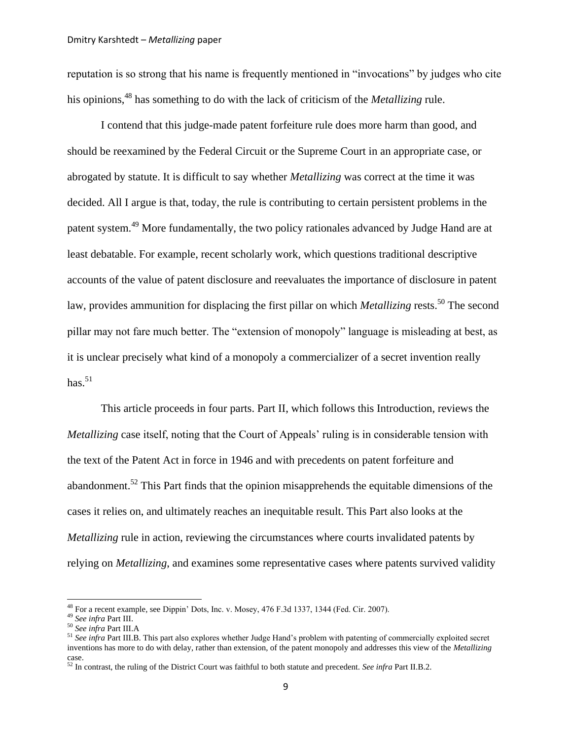<span id="page-8-0"></span>reputation is so strong that his name is frequently mentioned in "invocations" by judges who cite his opinions,<sup>48</sup> has something to do with the lack of criticism of the *Metallizing* rule.

I contend that this judge-made patent forfeiture rule does more harm than good, and should be reexamined by the Federal Circuit or the Supreme Court in an appropriate case, or abrogated by statute. It is difficult to say whether *Metallizing* was correct at the time it was decided. All I argue is that, today, the rule is contributing to certain persistent problems in the patent system.<sup>49</sup> More fundamentally, the two policy rationales advanced by Judge Hand are at least debatable. For example, recent scholarly work, which questions traditional descriptive accounts of the value of patent disclosure and reevaluates the importance of disclosure in patent law, provides ammunition for displacing the first pillar on which *Metallizing* rests.<sup>50</sup> The second pillar may not fare much better. The "extension of monopoly" language is misleading at best, as it is unclear precisely what kind of a monopoly a commercializer of a secret invention really has. $51$ 

This article proceeds in four parts. Part II, which follows this Introduction, reviews the *Metallizing* case itself, noting that the Court of Appeals' ruling is in considerable tension with the text of the Patent Act in force in 1946 and with precedents on patent forfeiture and abandonment.<sup>52</sup> This Part finds that the opinion misapprehends the equitable dimensions of the cases it relies on, and ultimately reaches an inequitable result. This Part also looks at the *Metallizing* rule in action, reviewing the circumstances where courts invalidated patents by relying on *Metallizing*, and examines some representative cases where patents survived validity

 $48$  For a recent example, see Dippin' Dots, Inc. v. Mosey, 476 F.3d 1337, 1344 (Fed. Cir. 2007).

<sup>49</sup> *See infra* Part III.

<sup>50</sup> *See infra* Part III.A

<sup>&</sup>lt;sup>51</sup> See infra Part III.B. This part also explores whether Judge Hand's problem with patenting of commercially exploited secret inventions has more to do with delay, rather than extension, of the patent monopoly and addresses this view of the *Metallizing*  case.

<sup>52</sup> In contrast, the ruling of the District Court was faithful to both statute and precedent. *See infra* Part II.B.2.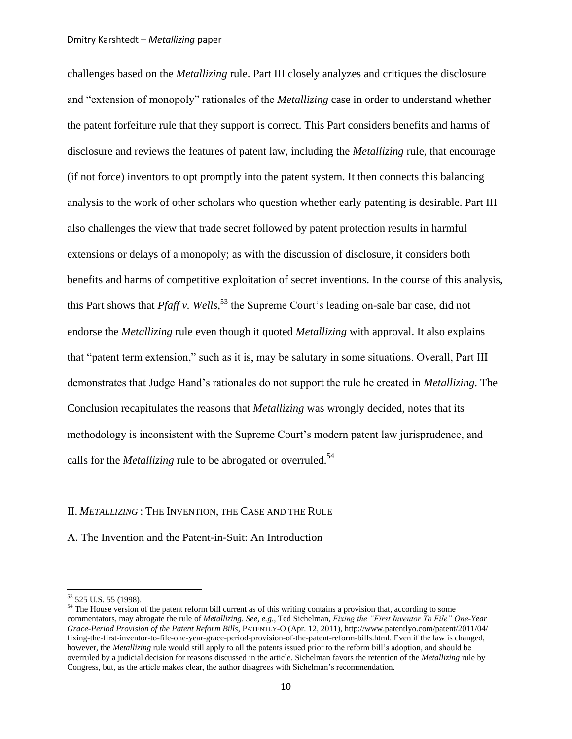challenges based on the *Metallizing* rule. Part III closely analyzes and critiques the disclosure and "extension of monopoly" rationales of the *Metallizing* case in order to understand whether the patent forfeiture rule that they support is correct. This Part considers benefits and harms of disclosure and reviews the features of patent law, including the *Metallizing* rule, that encourage (if not force) inventors to opt promptly into the patent system. It then connects this balancing analysis to the work of other scholars who question whether early patenting is desirable. Part III also challenges the view that trade secret followed by patent protection results in harmful extensions or delays of a monopoly; as with the discussion of disclosure, it considers both benefits and harms of competitive exploitation of secret inventions. In the course of this analysis, this Part shows that *Pfaff v. Wells*,<sup>53</sup> the Supreme Court's leading on-sale bar case, did not endorse the *Metallizing* rule even though it quoted *Metallizing* with approval. It also explains that "patent term extension," such as it is, may be salutary in some situations. Overall, Part III demonstrates that Judge Hand"s rationales do not support the rule he created in *Metallizing*. The Conclusion recapitulates the reasons that *Metallizing* was wrongly decided, notes that its methodology is inconsistent with the Supreme Court's modern patent law jurisprudence, and calls for the *Metallizing* rule to be abrogated or overruled.<sup>54</sup>

## II. *METALLIZING* : THE INVENTION, THE CASE AND THE RULE

A. The Invention and the Patent-in-Suit: An Introduction

<sup>53</sup> 525 U.S. 55 (1998).

<sup>&</sup>lt;sup>54</sup> The House version of the patent reform bill current as of this writing contains a provision that, according to some commentators, may abrogate the rule of *Metallizing*. *See, e.g.*, Ted Sichelman, *Fixing the "First Inventor To File" One-Year Grace-Period Provision of the Patent Reform Bills*, PATENTLY-O (Apr. 12, 2011), [http://www.patentlyo.com/p](http://www.patentlyo.com/)atent/2011/04/ fixing-the-first-inventor-to-file-one-year-grace-period-provision-of-the-patent-reform-bills.html. Even if the law is changed, however, the *Metallizing* rule would still apply to all the patents issued prior to the reform bill"s adoption, and should be overruled by a judicial decision for reasons discussed in the article. Sichelman favors the retention of the *Metallizing* rule by Congress, but, as the article makes clear, the author disagrees with Sichelman"s recommendation.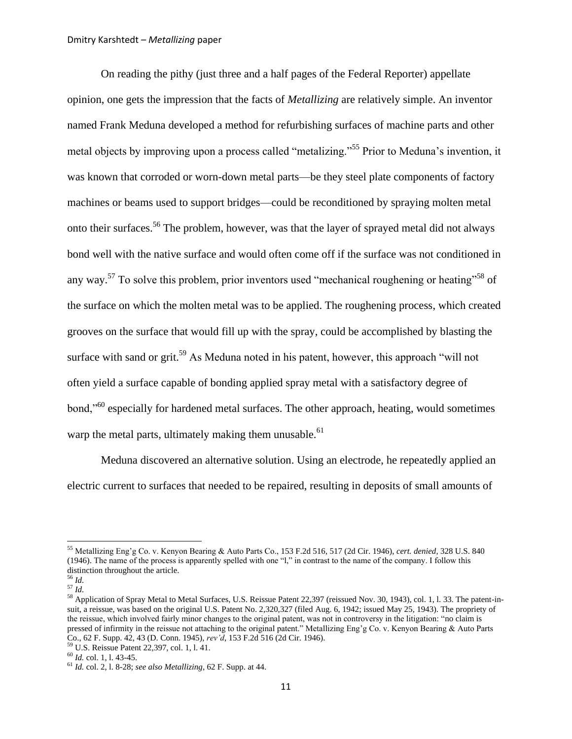<span id="page-10-0"></span>On reading the pithy (just three and a half pages of the Federal Reporter) appellate opinion, one gets the impression that the facts of *Metallizing* are relatively simple. An inventor named Frank Meduna developed a method for refurbishing surfaces of machine parts and other metal objects by improving upon a process called "metalizing."<sup>55</sup> Prior to Meduna"s invention, it was known that corroded or worn-down metal parts—be they steel plate components of factory machines or beams used to support bridges—could be reconditioned by spraying molten metal onto their surfaces.<sup>56</sup> The problem, however, was that the layer of sprayed metal did not always bond well with the native surface and would often come off if the surface was not conditioned in any way.<sup>57</sup> To solve this problem, prior inventors used "mechanical roughening or heating"<sup>58</sup> of the surface on which the molten metal was to be applied. The roughening process, which created grooves on the surface that would fill up with the spray, could be accomplished by blasting the surface with sand or grit.<sup>59</sup> As Meduna noted in his patent, however, this approach "will not often yield a surface capable of bonding applied spray metal with a satisfactory degree of bond,"<sup>60</sup> especially for hardened metal surfaces. The other approach, heating, would sometimes warp the metal parts, ultimately making them unusable.<sup>61</sup>

Meduna discovered an alternative solution. Using an electrode, he repeatedly applied an electric current to surfaces that needed to be repaired, resulting in deposits of small amounts of

<sup>55</sup> Metallizing Eng"g Co. v. Kenyon Bearing & Auto Parts Co., 153 F.2d 516, 517 (2d Cir. 1946), *cert. denied*, 328 U.S. 840 (1946). The name of the process is apparently spelled with one "l," in contrast to the name of the company. I follow this distinction throughout the article.

<sup>56</sup> *Id.*

<sup>57</sup> *Id.*

<sup>&</sup>lt;sup>58</sup> Application of Spray Metal to Metal Surfaces, U.S. Reissue Patent 22,397 (reissued Nov. 30, 1943), col. 1, 1. 33. The patent-insuit, a reissue, was based on the original U.S. Patent No. 2,320,327 (filed Aug. 6, 1942; issued May 25, 1943). The propriety of the reissue, which involved fairly minor changes to the original patent, was not in controversy in the litigation: "no claim is pressed of infirmity in the reissue not attaching to the original patent." Metallizing Eng"g Co. v. Kenyon Bearing & Auto Parts Co., 62 F. Supp. 42, 43 (D. Conn. 1945), *rev"d*, 153 F.2d 516 (2d Cir. 1946).

<sup>59</sup> U.S. Reissue Patent 22,397, col. 1, l. 41.

<sup>60</sup> *Id.* col. 1, l. 43-45.

<sup>61</sup> *Id.* col. 2, l. 8-28; *see also Metallizing*, 62 F. Supp. at 44.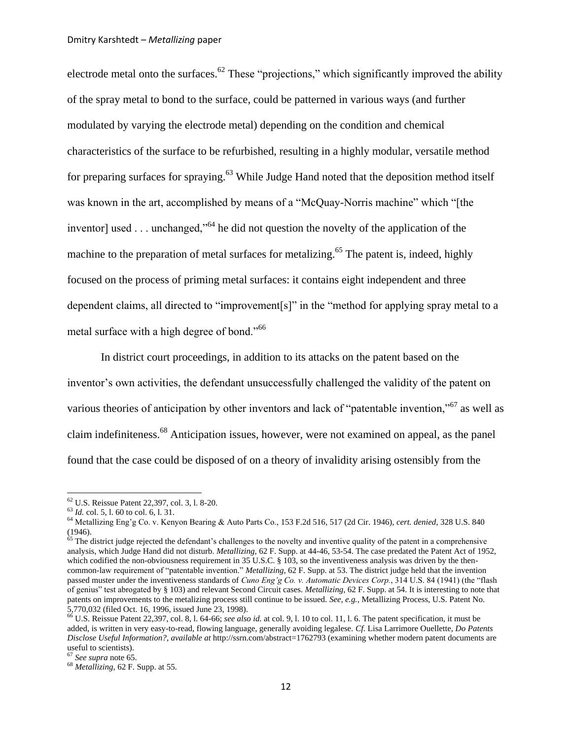electrode metal onto the surfaces.<sup>62</sup> These "projections," which significantly improved the ability of the spray metal to bond to the surface, could be patterned in various ways (and further modulated by varying the electrode metal) depending on the condition and chemical characteristics of the surface to be refurbished, resulting in a highly modular, versatile method for preparing surfaces for spraying.<sup>63</sup> While Judge Hand noted that the deposition method itself was known in the art, accomplished by means of a "McQuay-Norris machine" which "[the inventor] used  $\ldots$  unchanged,"<sup>64</sup> he did not question the novelty of the application of the machine to the preparation of metal surfaces for metalizing.<sup>65</sup> The patent is, indeed, highly focused on the process of priming metal surfaces: it contains eight independent and three dependent claims, all directed to "improvement[s]" in the "method for applying spray metal to a metal surface with a high degree of bond."<sup>66</sup>

<span id="page-11-1"></span><span id="page-11-0"></span>In district court proceedings, in addition to its attacks on the patent based on the inventor"s own activities, the defendant unsuccessfully challenged the validity of the patent on various theories of anticipation by other inventors and lack of "patentable invention,"<sup>67</sup> as well as claim indefiniteness.<sup>68</sup> Anticipation issues, however, were not examined on appeal, as the panel found that the case could be disposed of on a theory of invalidity arising ostensibly from the

<sup>62</sup> U.S. Reissue Patent 22,397, col. 3, l. 8-20.

<sup>63</sup> *Id.* col. 5, l. 60 to col. 6, l. 31.

<sup>64</sup> Metallizing Eng"g Co. v. Kenyon Bearing & Auto Parts Co., 153 F.2d 516, 517 (2d Cir. 1946), *cert. denied*, 328 U.S. 840 (1946).

 $65$  The district judge rejected the defendant's challenges to the novelty and inventive quality of the patent in a comprehensive analysis, which Judge Hand did not disturb. *Metallizing*, 62 F. Supp. at 44-46, 53-54. The case predated the Patent Act of 1952, which codified the non-obviousness requirement in 35 U.S.C. § 103, so the inventiveness analysis was driven by the thencommon-law requirement of "patentable invention." *Metallizing*, 62 F. Supp. at 53. The district judge held that the invention passed muster under the inventiveness standards of *Cuno Eng"g Co. v. Automatic Devices Corp.*, 314 U.S. 84 (1941) (the "flash of genius" test abrogated by § 103) and relevant Second Circuit cases. *Metallizing*, 62 F. Supp. at 54. It is interesting to note that patents on improvements to the metalizing process still continue to be issued. *See, e.g.*, Metallizing Process, U.S. Patent No. 5,770,032 (filed Oct. 16, 1996, issued June 23, 1998).

<sup>66</sup> U.S. Reissue Patent 22,397, col. 8, l. 64-66; *see also id.* at col. 9, l. 10 to col. 11, l. 6. The patent specification, it must be added, is written in very easy-to-read, flowing language, generally avoiding legalese. *Cf.* Lisa Larrimore Ouellette, *Do Patents Disclose Useful Information?*, *available at* http://ssrn.com/abstract=1762793 (examining whether modern patent documents are useful to scientists).

<sup>67</sup> *See supra* not[e 65.](#page-11-0)

<sup>68</sup> *Metallizing*, 62 F. Supp. at 55.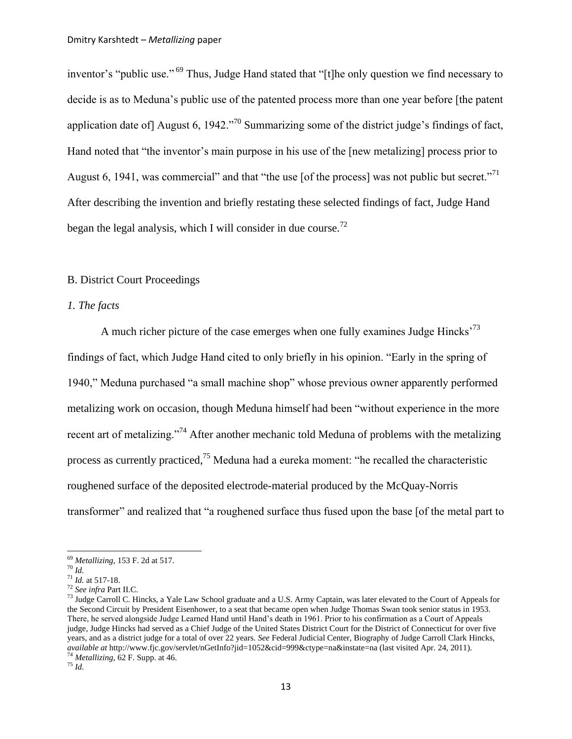inventor's "public use." <sup>69</sup> Thus, Judge Hand stated that "[t]he only question we find necessary to decide is as to Meduna"s public use of the patented process more than one year before [the patent application date of August 6, 1942. $\frac{370}{9}$  Summarizing some of the district judge's findings of fact, Hand noted that "the inventor"s main purpose in his use of the [new metalizing] process prior to August 6, 1941, was commercial" and that "the use [of the process] was not public but secret."<sup>71</sup> After describing the invention and briefly restating these selected findings of fact, Judge Hand began the legal analysis, which I will consider in due course.<sup>72</sup>

## B. District Court Proceedings

### *1. The facts*

A much richer picture of the case emerges when one fully examines Judge Hincks<sup> $73$ </sup> findings of fact, which Judge Hand cited to only briefly in his opinion. "Early in the spring of 1940," Meduna purchased "a small machine shop" whose previous owner apparently performed metalizing work on occasion, though Meduna himself had been "without experience in the more recent art of metalizing."<sup>74</sup> After another mechanic told Meduna of problems with the metalizing process as currently practiced,<sup>75</sup> Meduna had a eureka moment: "he recalled the characteristic roughened surface of the deposited electrode-material produced by the McQuay-Norris transformer" and realized that "a roughened surface thus fused upon the base [of the metal part to

l

<sup>69</sup> *Metallizing*, 153 F. 2d at 517.

<sup>70</sup> *Id.*

<sup>71</sup> *Id.* at 517-18.

<sup>72</sup> *See infra* Part II.C.

<sup>&</sup>lt;sup>73</sup> Judge Carroll C. Hincks, a Yale Law School graduate and a U.S. Army Captain, was later elevated to the Court of Appeals for the Second Circuit by President Eisenhower, to a seat that became open when Judge Thomas Swan took senior status in 1953. There, he served alongside Judge Learned Hand until Hand"s death in 1961. Prior to his confirmation as a Court of Appeals judge, Judge Hincks had served as a Chief Judge of the United States District Court for the District of Connecticut for over five years, and as a district judge for a total of over 22 years. *See* Federal Judicial Center, Biography of Judge Carroll Clark Hincks, *available at* http://www.fjc.gov/servlet/nGetInfo?jid=1052&cid=999&ctype=na&instate=na (last visited Apr. 24, 2011). <sup>74</sup> *Metallizing*, 62 F. Supp. at 46.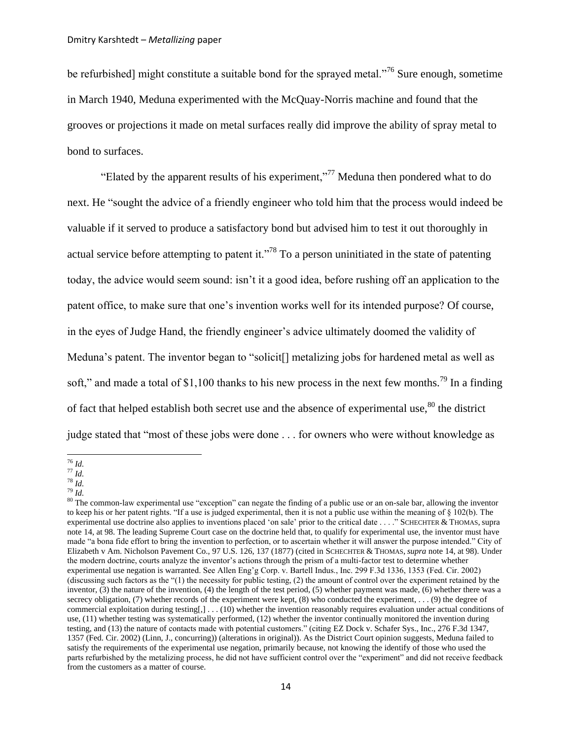be refurbished] might constitute a suitable bond for the sprayed metal."<sup>76</sup> Sure enough, sometime in March 1940, Meduna experimented with the McQuay-Norris machine and found that the grooves or projections it made on metal surfaces really did improve the ability of spray metal to bond to surfaces.

<span id="page-13-1"></span>"Elated by the apparent results of his experiment,"<sup>77</sup> Meduna then pondered what to do next. He "sought the advice of a friendly engineer who told him that the process would indeed be valuable if it served to produce a satisfactory bond but advised him to test it out thoroughly in actual service before attempting to patent it."<sup>78</sup> To a person uninitiated in the state of patenting today, the advice would seem sound: isn"t it a good idea, before rushing off an application to the patent office, to make sure that one"s invention works well for its intended purpose? Of course, in the eyes of Judge Hand, the friendly engineer's advice ultimately doomed the validity of Meduna's patent. The inventor began to "solicit<sup>[]</sup> metalizing jobs for hardened metal as well as soft," and made a total of \$1,100 thanks to his new process in the next few months.<sup>79</sup> In a finding of fact that helped establish both secret use and the absence of experimental use, $80$  the district judge stated that "most of these jobs were done . . . for owners who were without knowledge as

<sup>78</sup> *Id.*

<span id="page-13-0"></span> $\overline{\phantom{a}}$ <sup>76</sup> *Id.*

<sup>77</sup> *Id.*

<sup>79</sup> *Id.*

<sup>&</sup>lt;sup>80</sup> The common-law experimental use "exception" can negate the finding of a public use or an on-sale bar, allowing the inventor to keep his or her patent rights. "If a use is judged experimental, then it is not a public use within the meaning of § 102(b). The experimental use doctrine also applies to inventions placed "on sale" prior to the critical date . . . ." SCHECHTER & THOMAS, supra not[e 14,](#page-3-2) at 98. The leading Supreme Court case on the doctrine held that, to qualify for experimental use, the inventor must have made "a bona fide effort to bring the invention to perfection, or to ascertain whether it will answer the purpose intended." City of Elizabeth v Am. Nicholson Pavement Co., 97 U.S. 126, 137 (1877) (cited in SCHECHTER & THOMAS, *supra* not[e 14,](#page-3-2) at 98). Under the modern doctrine, courts analyze the inventor's actions through the prism of a multi-factor test to determine whether experimental use negation is warranted. See Allen Eng"g Corp. v. Bartell Indus., Inc. 299 F.3d 1336, 1353 (Fed. Cir. 2002) (discussing such factors as the "(1) the necessity for public testing, (2) the amount of control over the experiment retained by the inventor, (3) the nature of the invention, (4) the length of the test period, (5) whether payment was made, (6) whether there was a secrecy obligation, (7) whether records of the experiment were kept, (8) who conducted the experiment, . . . (9) the degree of commercial exploitation during testing[,] . . . (10) whether the invention reasonably requires evaluation under actual conditions of use, (11) whether testing was systematically performed, (12) whether the inventor continually monitored the invention during testing, and (13) the nature of contacts made with potential customers." (citing [EZ Dock v. Schafer Sys., Inc.,](http://web2.westlaw.com/find/default.wl?tf=-1&rs=WLW11.04&referencepositiontype=S&serialnum=2002067752&fn=_top&sv=Split&referenceposition=1357&pbc=CBB4B191&tc=-1&ordoc=2002479186&findtype=Y&db=506&vr=2.0&rp=%2ffind%2fdefault.wl&mt=208) 276 F.3d 1347, [1357 \(Fed. Cir. 2002\)](http://web2.westlaw.com/find/default.wl?tf=-1&rs=WLW11.04&referencepositiontype=S&serialnum=2002067752&fn=_top&sv=Split&referenceposition=1357&pbc=CBB4B191&tc=-1&ordoc=2002479186&findtype=Y&db=506&vr=2.0&rp=%2ffind%2fdefault.wl&mt=208) (Linn, J., concurring)) (alterations in original)). As the District Court opinion suggests, Meduna failed to satisfy the requirements of the experimental use negation, primarily because, not knowing the identify of those who used the parts refurbished by the metalizing process, he did not have sufficient control over the "experiment" and did not receive feedback from the customers as a matter of course.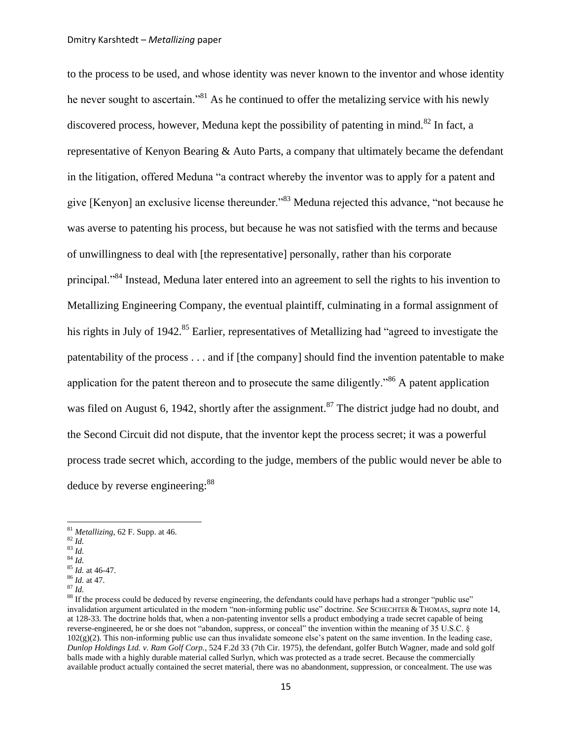<span id="page-14-4"></span><span id="page-14-3"></span><span id="page-14-0"></span>to the process to be used, and whose identity was never known to the inventor and whose identity he never sought to ascertain."<sup>81</sup> As he continued to offer the metalizing service with his newly discovered process, however, Meduna kept the possibility of patenting in mind.<sup>82</sup> In fact, a representative of Kenyon Bearing & Auto Parts, a company that ultimately became the defendant in the litigation, offered Meduna "a contract whereby the inventor was to apply for a patent and give [Kenyon] an exclusive license thereunder."<sup>83</sup> Meduna rejected this advance, "not because he was averse to patenting his process, but because he was not satisfied with the terms and because of unwillingness to deal with [the representative] personally, rather than his corporate principal."<sup>84</sup> Instead, Meduna later entered into an agreement to sell the rights to his invention to Metallizing Engineering Company, the eventual plaintiff, culminating in a formal assignment of his rights in July of 1942.<sup>85</sup> Earlier, representatives of Metallizing had "agreed to investigate the patentability of the process . . . and if [the company] should find the invention patentable to make application for the patent thereon and to prosecute the same diligently.<sup> $36$ </sup> A patent application was filed on August 6, 1942, shortly after the assignment.<sup>87</sup> The district judge had no doubt, and the Second Circuit did not dispute, that the inventor kept the process secret; it was a powerful process trade secret which, according to the judge, members of the public would never be able to deduce by reverse engineering:<sup>88</sup>

<span id="page-14-5"></span><span id="page-14-2"></span><span id="page-14-1"></span><sup>81</sup> *Metallizing*, 62 F. Supp. at 46.

 $82 \overline{Id}$ .

<sup>83</sup> *Id.*  $\overline{^{84}}$  *Id.* 

<sup>85</sup> *Id.* at 46-47. <sup>86</sup> *Id.* at 47.

<sup>87</sup> *Id.*

<sup>&</sup>lt;sup>88</sup> If the process could be deduced by reverse engineering, the defendants could have perhaps had a stronger "public use" invalidation argument articulated in the modern "non-informing public use" doctrine. *See* SCHECHTER & THOMAS, *supra* note [14,](#page-3-2) at 128-33. The doctrine holds that, when a non-patenting inventor sells a product embodying a trade secret capable of being reverse-engineered, he or she does not "abandon, suppress, or conceal" the invention within the meaning of 35 U.S.C. §  $102(g)(2)$ . This non-informing public use can thus invalidate someone else's patent on the same invention. In the leading case, *Dunlop Holdings Ltd. v. Ram Golf Corp.*, 524 F.2d 33 (7th Cir. 1975), the defendant, golfer Butch Wagner, made and sold golf balls made with a highly durable material called Surlyn, which was protected as a trade secret. Because the commercially available product actually contained the secret material, there was no abandonment, suppression, or concealment. The use was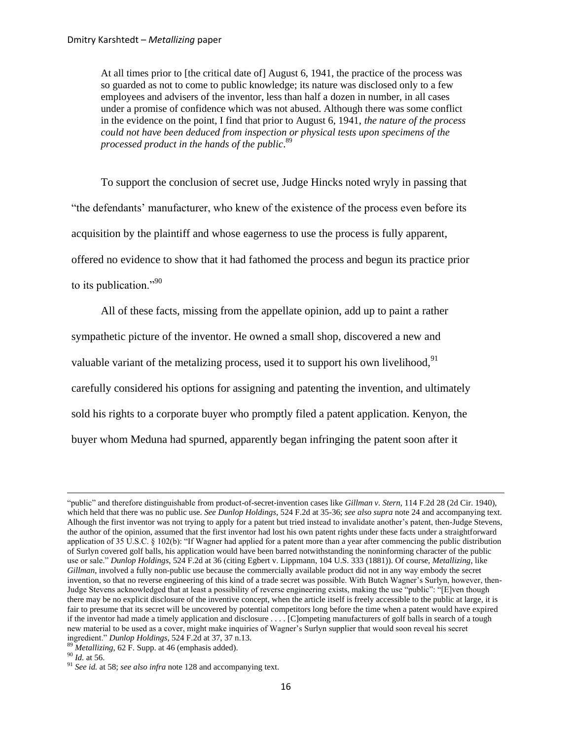At all times prior to [the critical date of] August 6, 1941, the practice of the process was so guarded as not to come to public knowledge; its nature was disclosed only to a few employees and advisers of the inventor, less than half a dozen in number, in all cases under a promise of confidence which was not abused. Although there was some conflict in the evidence on the point, I find that prior to August 6, 1941, *the nature of the process could not have been deduced from inspection or physical tests upon specimens of the processed product in the hands of the public*. 89

To support the conclusion of secret use, Judge Hincks noted wryly in passing that "the defendants" manufacturer, who knew of the existence of the process even before its acquisition by the plaintiff and whose eagerness to use the process is fully apparent, offered no evidence to show that it had fathomed the process and begun its practice prior to its publication."<sup>90</sup>

All of these facts, missing from the appellate opinion, add up to paint a rather sympathetic picture of the inventor. He owned a small shop, discovered a new and valuable variant of the metalizing process, used it to support his own livelihood,  $91$ carefully considered his options for assigning and patenting the invention, and ultimately sold his rights to a corporate buyer who promptly filed a patent application. Kenyon, the buyer whom Meduna had spurned, apparently began infringing the patent soon after it

<sup>&</sup>quot;public" and therefore distinguishable from product-of-secret-invention cases like *Gillman v. Stern*, 114 F.2d 28 (2d Cir. 1940), which held that there was no public use. *See Dunlop Holdings*, 524 F.2d at 35-36; *see also supra* not[e 24](#page-5-1) and accompanying text. Alhough the first inventor was not trying to apply for a patent but tried instead to invalidate another"s patent, then-Judge Stevens, the author of the opinion, assumed that the first inventor had lost his own patent rights under these facts under a straightforward application of 35 U.S.C. § 102(b): "If Wagner had applied for a patent more than a year after commencing the public distribution of Surlyn covered golf balls, his application would have been barred notwithstanding the noninforming character of the public use or sale." *Dunlop Holdings*, 524 F.2d at 36 (citing Egbert v. Lippmann, 104 U.S. 333 (1881)). Of course, *Metallizing*, like *Gillman*, involved a fully non-public use because the commercially available product did not in any way embody the secret invention, so that no reverse engineering of this kind of a trade secret was possible. With Butch Wagner"s Surlyn, however, then-Judge Stevens acknowledged that at least a possibility of reverse engineering exists, making the use "public": "[E]ven though there may be no explicit disclosure of the inventive concept, when the article itself is freely accessible to the public at large, it is fair to presume that its secret will be uncovered by potential competitors long before the time when a patent would have expired if the inventor had made a timely application and disclosure . . . . [C]ompeting manufacturers of golf balls in search of a tough new material to be used as a cover, might make inquiries of Wagner"s Surlyn supplier that would soon reveal his secret ingredient." *Dunlop Holdings*, 524 F.2d at 37, 37 n.13.

<sup>89</sup> *Metallizing*, 62 F. Supp. at 46 (emphasis added).

<sup>90</sup> *Id.* at 56.

<sup>91</sup> *See id.* at 58; *see also infra* not[e 128](#page-22-0) and accompanying text.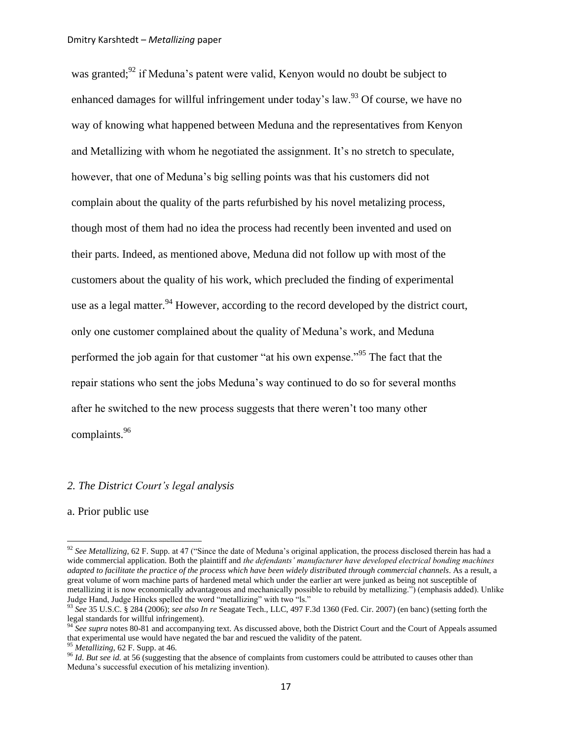<span id="page-16-1"></span><span id="page-16-0"></span>was granted;<sup>92</sup> if Meduna's patent were valid, Kenyon would no doubt be subject to enhanced damages for willful infringement under today's law.<sup>93</sup> Of course, we have no way of knowing what happened between Meduna and the representatives from Kenyon and Metallizing with whom he negotiated the assignment. It"s no stretch to speculate, however, that one of Meduna"s big selling points was that his customers did not complain about the quality of the parts refurbished by his novel metalizing process, though most of them had no idea the process had recently been invented and used on their parts. Indeed, as mentioned above, Meduna did not follow up with most of the customers about the quality of his work, which precluded the finding of experimental use as a legal matter. <sup>94</sup> However, according to the record developed by the district court, only one customer complained about the quality of Meduna"s work, and Meduna performed the job again for that customer "at his own expense."<sup>95</sup> The fact that the repair stations who sent the jobs Meduna"s way continued to do so for several months after he switched to the new process suggests that there weren"t too many other complaints.<sup>96</sup>

## *2. The District Court"s legal analysis*

#### a. Prior public use

<sup>92</sup> *See Metallizing*, 62 F. Supp. at 47 ("Since the date of Meduna"s original application, the process disclosed therein has had a wide commercial application. Both the plaintiff and *the defendants" manufacturer have developed electrical bonding machines adapted to facilitate the practice of the process which have been widely distributed through commercial channels*. As a result, a great volume of worn machine parts of hardened metal which under the earlier art were junked as being not susceptible of metallizing it is now economically advantageous and mechanically possible to rebuild by metallizing.") (emphasis added). Unlike Judge Hand, Judge Hincks spelled the word "metallizing" with two "ls."

<sup>93</sup> *See* 35 U.S.C. § 284 (2006); *see also In re* Seagate Tech., LLC, 497 F.3d 1360 (Fed. Cir. 2007) (en banc) (setting forth the legal standards for willful infringement).

<sup>&</sup>lt;sup>94</sup> See supra notes [80-](#page-13-0)[81](#page-14-0) and accompanying text. As discussed above, both the District Court and the Court of Appeals assumed that experimental use would have negated the bar and rescued the validity of the patent.

<sup>95</sup> *Metallizing*, 62 F. Supp. at 46.

<sup>&</sup>lt;sup>96</sup> *Id. But see id.* at 56 (suggesting that the absence of complaints from customers could be attributed to causes other than Meduna"s successful execution of his metalizing invention).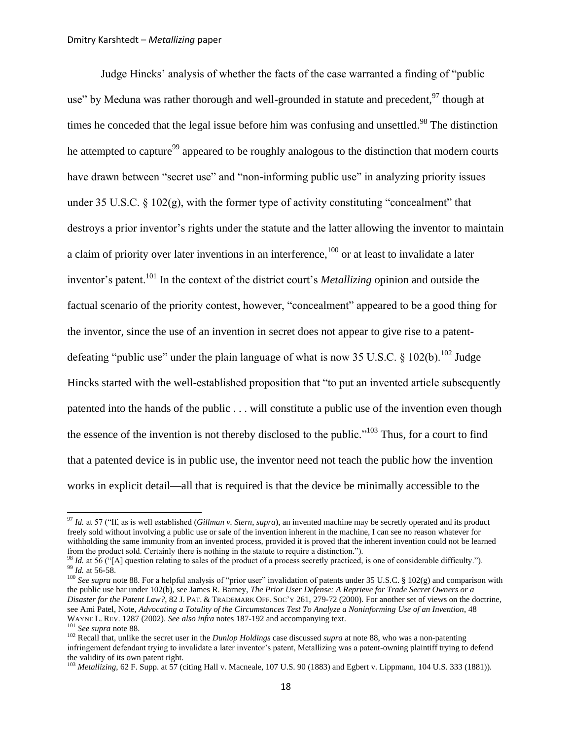<span id="page-17-2"></span><span id="page-17-0"></span>Judge Hincks" analysis of whether the facts of the case warranted a finding of "public use" by Meduna was rather thorough and well-grounded in statute and precedent,<sup>97</sup> though at times he conceded that the legal issue before him was confusing and unsettled.<sup>98</sup> The distinction he attempted to capture<sup>99</sup> appeared to be roughly analogous to the distinction that modern courts have drawn between "secret use" and "non-informing public use" in analyzing priority issues under 35 U.S.C.  $\S$  102(g), with the former type of activity constituting "concealment" that destroys a prior inventor's rights under the statute and the latter allowing the inventor to maintain a claim of priority over later inventions in an interference,  $100$  or at least to invalidate a later inventor's patent.<sup>101</sup> In the context of the district court's *Metallizing* opinion and outside the factual scenario of the priority contest, however, "concealment" appeared to be a good thing for the inventor, since the use of an invention in secret does not appear to give rise to a patentdefeating "public use" under the plain language of what is now 35 U.S.C.  $\frac{102}{b}$ . Judge Hincks started with the well-established proposition that "to put an invented article subsequently patented into the hands of the public . . . will constitute a public use of the invention even though the essence of the invention is not thereby disclosed to the public."<sup>103</sup> Thus, for a court to find that a patented device is in public use, the inventor need not teach the public how the invention works in explicit detail—all that is required is that the device be minimally accessible to the

<span id="page-17-1"></span><sup>97</sup> *Id.* at 57 ("If, as is well established (*Gillman v. Stern*, *supra*), an invented machine may be secretly operated and its product freely sold without involving a public use or sale of the invention inherent in the machine, I can see no reason whatever for withholding the same immunity from an invented process, provided it is proved that the inherent invention could not be learned from the product sold. Certainly there is nothing in the statute to require a distinction.").

<sup>98</sup> *Id.* at 56 ("[A] question relating to sales of the product of a process secretly practiced, is one of considerable difficulty."). <sup>99</sup> *Id.* at 56-58.

<sup>&</sup>lt;sup>100</sup> See supra not[e 88.](#page-14-1) For a helpful analysis of "prior user" invalidation of patents under 35 U.S.C. § 102(g) and comparison with the public use bar under 102(b), see James R. Barney, *The Prior User Defense: A Reprieve for Trade Secret Owners or a Disaster for the Patent Law?*, 82 J. PAT. & TRADEMARK OFF. SOC"Y 261, 279-72 (2000). For another set of views on the doctrine, see Ami Patel, Note, *Advocating a Totality of the Circumstances Test To Analyze a Noninforming Use of an Invention*, 48 WAYNE L. REV. 1287 (2002). *See also infra* note[s 187](#page-32-0)[-192](#page-33-0) and accompanying text.

<sup>101</sup> *See supra* not[e 88.](#page-14-1)

<sup>102</sup> Recall that, unlike the secret user in the *Dunlop Holdings* case discussed *supra* at not[e 88,](#page-14-1) who was a non-patenting infringement defendant trying to invalidate a later inventor's patent, Metallizing was a patent-owning plaintiff trying to defend the validity of its own patent right.

<sup>&</sup>lt;sup>103</sup> Metallizing, 62 F. Supp. at 57 (citing Hall v. Macneale, 107 U.S. 90 (1883) and Egbert v. Lippmann, 104 U.S. 333 (1881)).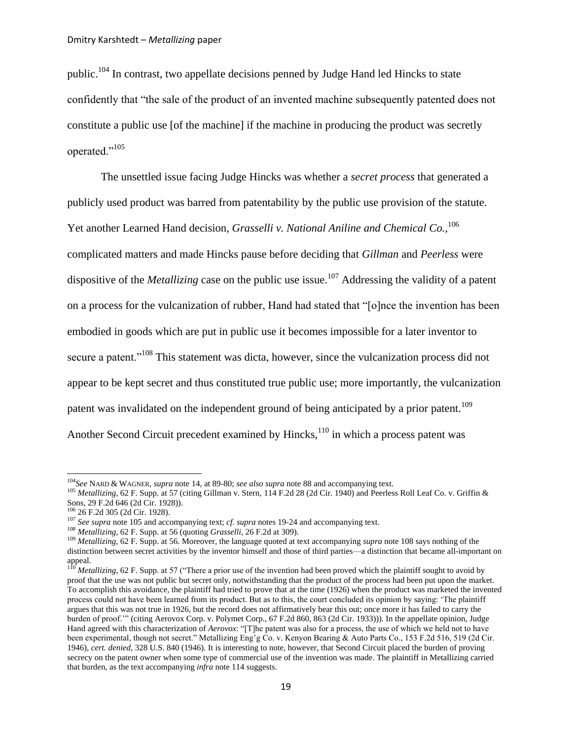<span id="page-18-2"></span>public.<sup>104</sup> In contrast, two appellate decisions penned by Judge Hand led Hincks to state confidently that "the sale of the product of an invented machine subsequently patented does not constitute a public use [of the machine] if the machine in producing the product was secretly operated."<sup>105</sup>

<span id="page-18-0"></span>The unsettled issue facing Judge Hincks was whether a *secret process* that generated a publicly used product was barred from patentability by the public use provision of the statute. Yet another Learned Hand decision, *Grasselli v. National Aniline and Chemical Co.*, 106 complicated matters and made Hincks pause before deciding that *Gillman* and *Peerless* were dispositive of the *Metallizing* case on the public use issue.<sup>107</sup> Addressing the validity of a patent on a process for the vulcanization of rubber, Hand had stated that "[o]nce the invention has been embodied in goods which are put in public use it becomes impossible for a later inventor to secure a patent."<sup>108</sup> This statement was dicta, however, since the vulcanization process did not appear to be kept secret and thus constituted true public use; more importantly, the vulcanization patent was invalidated on the independent ground of being anticipated by a prior patent.<sup>109</sup> Another Second Circuit precedent examined by  $Hincks$ ,  $110$  in which a process patent was

<span id="page-18-1"></span><sup>104</sup>*See* NARD & WAGNER, *supra* note [14,](#page-3-2) at 89-80; *see also supra* not[e 88](#page-14-1) and accompanying text.

<sup>&</sup>lt;sup>105</sup> *Metallizing*, 62 F. Supp. at 57 (citing Gillman v. Stern, 114 F.2d 28 (2d Cir. 1940) and Peerless Roll Leaf Co. v. Griffin & Sons, 29 F.2d 646 (2d Cir. 1928)).

<sup>106</sup> 26 F.2d 305 (2d Cir. 1928).

<sup>107</sup> *See supra* not[e 105](#page-18-0) and accompanying text; *cf. supra* note[s 19-](#page-4-0)[24](#page-5-1) and accompanying text.

<sup>108</sup> *Metallizing*, 62 F. Supp. at 56 (quoting *Grasselli*, 26 F.2d at 309).

<sup>109</sup> *Metallizing*, 62 F. Supp. at 56. Moreover, the language quoted at text accompanying *supra* not[e 108](#page-18-1) says nothing of the distinction between secret activities by the inventor himself and those of third parties—a distinction that became all-important on appeal.

<sup>&</sup>lt;sup>110</sup> *Metallizing*, 62 F. Supp. at 57 ("There a prior use of the invention had been proved which the plaintiff sought to avoid by proof that the use was not public but secret only, notwithstanding that the product of the process had been put upon the market. To accomplish this avoidance, the plaintiff had tried to prove that at the time (1926) when the product was marketed the invented process could not have been learned from its product. But as to this, the court concluded its opinion by saying: "The plaintiff argues that this was not true in 1926, but the record does not affirmatively bear this out; once more it has failed to carry the burden of proof."" (citing Aerovox Corp. v. Polymet Corp., 67 F.2d 860, 863 (2d Cir. 1933))). In the appellate opinion, Judge Hand agreed with this characterization of *Aerovox*: "[T]he patent was also for a process, the use of which we held not to have been experimental, though not secret." Metallizing Eng'g Co. v. Kenyon Bearing & Auto Parts Co., 153 F.2d 516, 519 (2d Cir. 1946), *cert. denied*, 328 U.S. 840 (1946). It is interesting to note, however, that Second Circuit placed the burden of proving secrecy on the patent owner when some type of commercial use of the invention was made. The plaintiff in Metallizing carried that burden, as the text accompanying *infra* note [114](#page-19-0) suggests.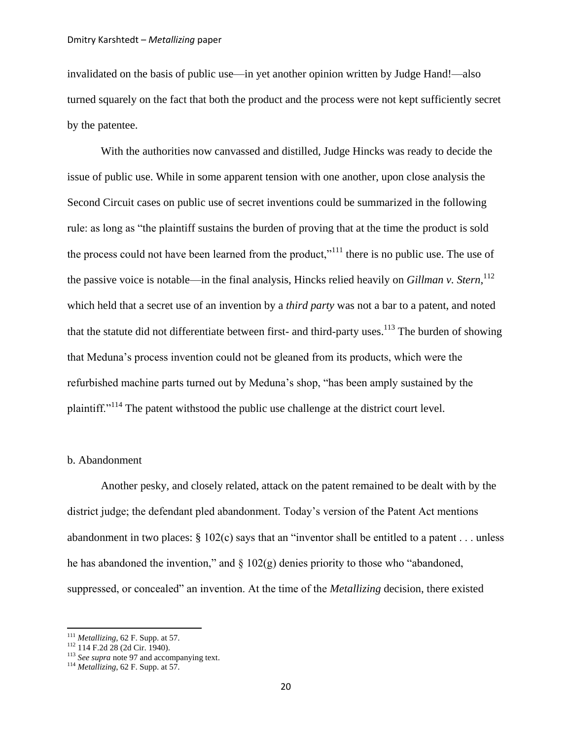invalidated on the basis of public use—in yet another opinion written by Judge Hand!—also turned squarely on the fact that both the product and the process were not kept sufficiently secret by the patentee.

With the authorities now canvassed and distilled, Judge Hincks was ready to decide the issue of public use. While in some apparent tension with one another, upon close analysis the Second Circuit cases on public use of secret inventions could be summarized in the following rule: as long as "the plaintiff sustains the burden of proving that at the time the product is sold the process could not have been learned from the product,"<sup>111</sup> there is no public use. The use of the passive voice is notable—in the final analysis, Hincks relied heavily on *Gillman v. Stern*, 112 which held that a secret use of an invention by a *third party* was not a bar to a patent, and noted that the statute did not differentiate between first- and third-party uses.<sup>113</sup> The burden of showing that Meduna"s process invention could not be gleaned from its products, which were the refurbished machine parts turned out by Meduna"s shop, "has been amply sustained by the plaintiff."<sup>114</sup> The patent withstood the public use challenge at the district court level.

## <span id="page-19-0"></span>b. Abandonment

Another pesky, and closely related, attack on the patent remained to be dealt with by the district judge; the defendant pled abandonment. Today"s version of the Patent Act mentions abandonment in two places: § 102(c) says that an "inventor shall be entitled to a patent . . . unless he has abandoned the invention," and  $\S 102(g)$  denies priority to those who "abandoned, suppressed, or concealed" an invention. At the time of the *Metallizing* decision, there existed

<sup>111</sup> *Metallizing*, 62 F. Supp. at 57.

<sup>112</sup> 114 F.2d 28 (2d Cir. 1940).

<sup>&</sup>lt;sup>113</sup> *See supra* not[e 97](#page-17-0) and accompanying text.

<sup>114</sup> *Metallizing*, 62 F. Supp. at 57.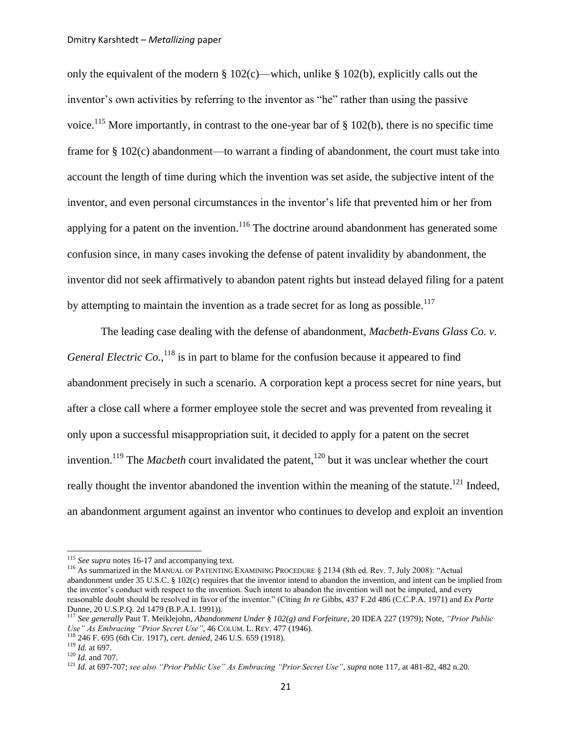only the equivalent of the modern  $\S 102(c)$ —which, unlike  $\S 102(b)$ , explicitly calls out the inventor's own activities by referring to the inventor as "he" rather than using the passive voice.<sup>115</sup> More importantly, in contrast to the one-year bar of  $\S$  102(b), there is no specific time frame for § 102(c) abandonment—to warrant a finding of abandonment, the court must take into account the length of time during which the invention was set aside, the subjective intent of the inventor, and even personal circumstances in the inventor's life that prevented him or her from applying for a patent on the invention.<sup>116</sup> The doctrine around abandonment has generated some confusion since, in many cases invoking the defense of patent invalidity by abandonment, the inventor did not seek affirmatively to abandon patent rights but instead delayed filing for a patent by attempting to maintain the invention as a trade secret for as long as possible.<sup>117</sup>

<span id="page-20-1"></span><span id="page-20-0"></span>The leading case dealing with the defense of abandonment, *Macbeth-Evans Glass Co. v.* General Electric Co., <sup>118</sup> is in part to blame for the confusion because it appeared to find abandonment precisely in such a scenario. A corporation kept a process secret for nine years, but after a close call where a former employee stole the secret and was prevented from revealing it only upon a successful misappropriation suit, it decided to apply for a patent on the secret invention.<sup>119</sup> The *Macbeth* court invalidated the patent,<sup>120</sup> but it was unclear whether the court really thought the inventor abandoned the invention within the meaning of the statute.<sup>121</sup> Indeed, an abandonment argument against an inventor who continues to develop and exploit an invention

l

<sup>&</sup>lt;sup>115</sup> See supra notes [16-](#page-4-1)[17](#page-4-2) and accompanying text.

<sup>&</sup>lt;sup>116</sup> As summarized in the MANUAL OF PATENTING EXAMINING PROCEDURE § 2134 (8th ed. Rev. 7, July 2008): "Actual abandonment unde[r 35 U.S.C. § 102\(c\)](http://www.uspto.gov/web/offices/pac/mpep/documents/appxl_35_U_S_C_102.htm#usc35s102) requires that the inventor intend to abandon the invention, and intent can be implied from the inventor's conduct with respect to the invention. Such intent to abandon the invention will not be imputed, and every reasonable doubt should be resolved in favor of the inventor." (Citing *In re* Gibbs, 437 F.2d 486 (C.C.P.A. 1971) and *Ex Parte*  Dunne, 20 U.S.P.Q. 2d 1479 (B.P.A.I. 1991)).

<sup>117</sup> *See generally* Paut T. Meiklejohn, *Abandonment Under § 102(g) and Forfeiture*, 20 IDEA 227 (1979); Note, *"Prior Public Use" As Embracing "Prior Secret Use"*, 46 COLUM. L. REV. 477 (1946).

<sup>118</sup> 246 F. 695 (6th Cir. 1917), *cert. denied*, 246 U.S. 659 (1918).

<sup>119</sup> *Id.* at 697. <sup>120</sup> *Id.* and 707.

<sup>121</sup> *Id.* at 697-707; *see also "Prior Public Use" As Embracing "Prior Secret Use"*, *supra* not[e 117,](#page-20-0) at 481-82, 482 n.20.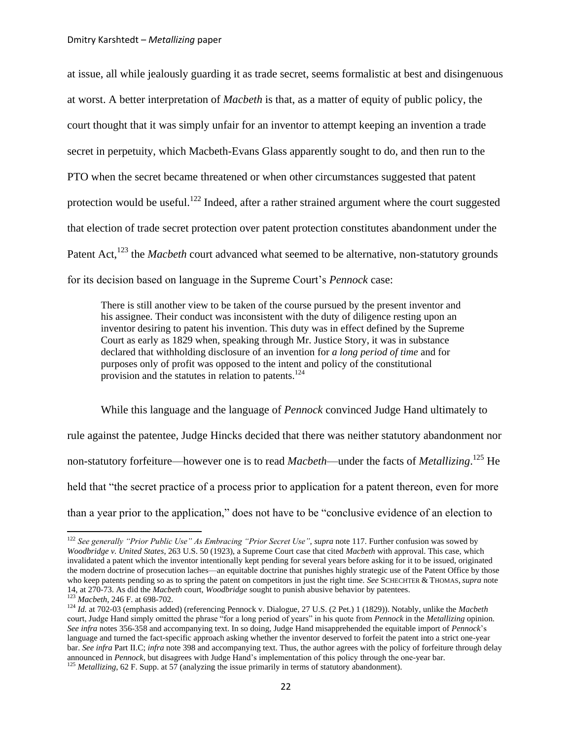$\overline{a}$ 

at issue, all while jealously guarding it as trade secret, seems formalistic at best and disingenuous at worst. A better interpretation of *Macbeth* is that, as a matter of equity of public policy, the court thought that it was simply unfair for an inventor to attempt keeping an invention a trade secret in perpetuity, which Macbeth-Evans Glass apparently sought to do, and then run to the PTO when the secret became threatened or when other circumstances suggested that patent protection would be useful.<sup>122</sup> Indeed, after a rather strained argument where the court suggested that election of trade secret protection over patent protection constitutes abandonment under the Patent Act,<sup>123</sup> the *Macbeth* court advanced what seemed to be alternative, non-statutory grounds for its decision based on language in the Supreme Court"s *Pennock* case:

<span id="page-21-1"></span><span id="page-21-0"></span>There is still another view to be taken of the course pursued by the present inventor and his assignee. Their conduct was inconsistent with the duty of diligence resting upon an inventor desiring to patent his invention. This duty was in effect defined by the Supreme Court as early as 1829 when, speaking through Mr. Justice Story, it was in substance declared that withholding disclosure of an invention for *a long period of time* and for purposes only of profit was opposed to the intent and policy of the constitutional provision and the statutes in relation to patents.<sup>124</sup>

While this language and the language of *Pennock* convinced Judge Hand ultimately to rule against the patentee, Judge Hincks decided that there was neither statutory abandonment nor non-statutory forfeiture—however one is to read *Macbeth*—under the facts of *Metallizing*. <sup>125</sup> He held that "the secret practice of a process prior to application for a patent thereon, even for more than a year prior to the application," does not have to be "conclusive evidence of an election to

<sup>122</sup> *See generally "Prior Public Use" As Embracing "Prior Secret Use"*, *supra* note [117.](#page-20-0) Further confusion was sowed by *Woodbridge v. United States*, 263 U.S. 50 (1923), a Supreme Court case that cited *Macbeth* with approval. This case, which invalidated a patent which the inventor intentionally kept pending for several years before asking for it to be issued, originated the modern doctrine of prosecution laches—an equitable doctrine that punishes highly strategic use of the Patent Office by those who keep patents pending so as to spring the patent on competitors in just the right time. *See* SCHECHTER & THOMAS, *supra* note [14,](#page-3-2) at 270-73. As did the *Macbeth* court, *Woodbridge* sought to punish abusive behavior by patentees. <sup>123</sup> *Macbeth*, 246 F. at 698-702.

<sup>124</sup> *Id.* at 702-03 (emphasis added) (referencing Pennock v. Dialogue, 27 U.S. (2 Pet.) 1 (1829)). Notably, unlike the *Macbeth*  court, Judge Hand simply omitted the phrase "for a long period of years" in his quote from *Pennock* in the *Metallizing* opinion. *See infra* note[s 356](#page-58-0)[-358](#page-58-1) and accompanying text. In so doing, Judge Hand misapprehended the equitable import of *Pennock*"s language and turned the fact-specific approach asking whether the inventor deserved to forfeit the patent into a strict one-year bar. *See infra* Part II.C; *infra* not[e 398](#page-64-0) and accompanying text. Thus, the author agrees with the policy of forfeiture through delay announced in *Pennock*, but disagrees with Judge Hand"s implementation of this policy through the one-year bar. <sup>125</sup> *Metallizing*, 62 F. Supp. at 57 (analyzing the issue primarily in terms of statutory abandonment).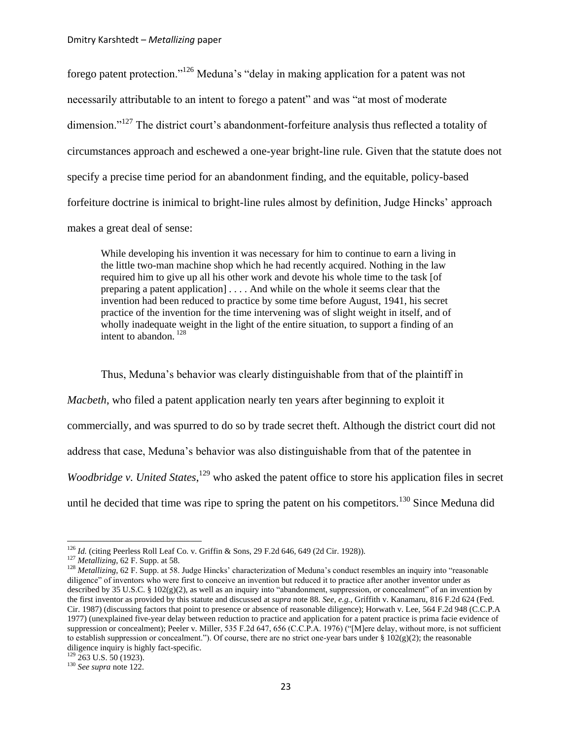forego patent protection."<sup>126</sup> Meduna"s "delay in making application for a patent was not necessarily attributable to an intent to forego a patent" and was "at most of moderate dimension."<sup>127</sup> The district court's abandonment-forfeiture analysis thus reflected a totality of circumstances approach and eschewed a one-year bright-line rule. Given that the statute does not specify a precise time period for an abandonment finding, and the equitable, policy-based forfeiture doctrine is inimical to bright-line rules almost by definition, Judge Hincks" approach makes a great deal of sense:

<span id="page-22-0"></span>While developing his invention it was necessary for him to continue to earn a living in the little two-man machine shop which he had recently acquired. Nothing in the law required him to give up all his other work and devote his whole time to the task [of preparing a patent application] . . . . And while on the whole it seems clear that the invention had been reduced to practice by some time before August, 1941, his secret practice of the invention for the time intervening was of slight weight in itself, and of wholly inadequate weight in the light of the entire situation, to support a finding of an intent to abandon. <sup>128</sup>

Thus, Meduna"s behavior was clearly distinguishable from that of the plaintiff in *Macbeth*, who filed a patent application nearly ten years after beginning to exploit it commercially, and was spurred to do so by trade secret theft. Although the district court did not address that case, Meduna"s behavior was also distinguishable from that of the patentee in *Woodbridge v. United States*,<sup>129</sup> who asked the patent office to store his application files in secret until he decided that time was ripe to spring the patent on his competitors.<sup>130</sup> Since Meduna did

<sup>&</sup>lt;sup>126</sup> *Id.* (citing Peerless Roll Leaf Co. v. Griffin & Sons, 29 F.2d 646, 649 (2d Cir. 1928)).

<sup>127</sup> *Metallizing*, 62 F. Supp. at 58.

<sup>&</sup>lt;sup>128</sup> Metallizing, 62 F. Supp. at 58. Judge Hincks' characterization of Meduna's conduct resembles an inquiry into "reasonable diligence" of inventors who were first to conceive an invention but reduced it to practice after another inventor under as described by 35 U.S.C. § 102(g)(2), as well as an inquiry into "abandonment, suppression, or concealment" of an invention by the first inventor as provided by this statute and discussed at *supra* not[e 88.](#page-14-1) *See, e.g.*, Griffith v. Kanamaru, 816 F.2d 624 (Fed. Cir. 1987) (discussing factors that point to presence or absence of reasonable diligence); Horwath v. Lee, 564 F.2d 948 (C.C.P.A 1977) (unexplained five-year delay between reduction to practice and application for a patent practice is prima facie evidence of suppression or concealment); Peeler v*.* Miller, 535 F.2d 647, 656 (C.C.P.A. 1976) ("[M]ere delay, without more, is not sufficient to establish suppression or concealment."). Of course, there are no strict one-year bars under  $\S$  102(g)(2); the reasonable diligence inquiry is highly fact-specific.

 $129$  263 U.S. 50 (1923).

<sup>130</sup> *See supra* not[e 122.](#page-21-0)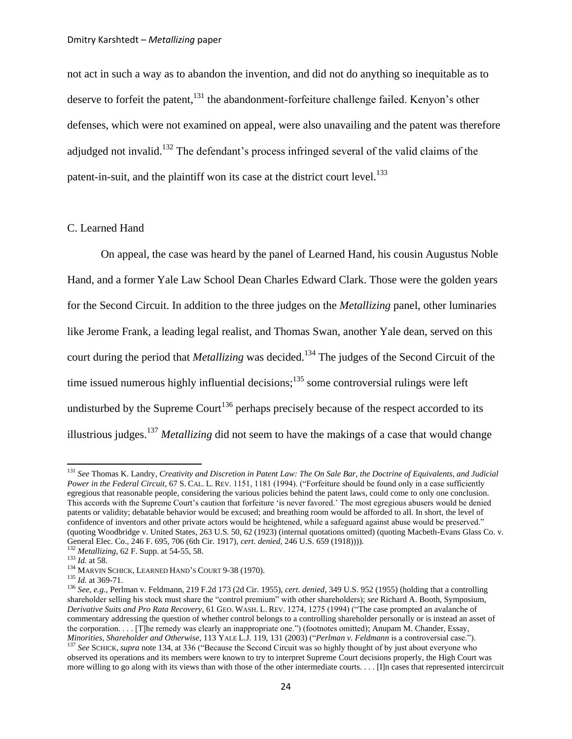not act in such a way as to abandon the invention, and did not do anything so inequitable as to deserve to forfeit the patent,<sup>131</sup> the abandonment-forfeiture challenge failed. Kenyon's other defenses, which were not examined on appeal, were also unavailing and the patent was therefore adjudged not invalid.<sup>132</sup> The defendant's process infringed several of the valid claims of the patent-in-suit, and the plaintiff won its case at the district court level.<sup>133</sup>

## C. Learned Hand

<span id="page-23-0"></span>On appeal, the case was heard by the panel of Learned Hand, his cousin Augustus Noble Hand, and a former Yale Law School Dean Charles Edward Clark. Those were the golden years for the Second Circuit. In addition to the three judges on the *Metallizing* panel, other luminaries like Jerome Frank, a leading legal realist, and Thomas Swan, another Yale dean, served on this court during the period that *Metallizing* was decided.<sup>134</sup> The judges of the Second Circuit of the time issued numerous highly influential decisions; $135$  some controversial rulings were left undisturbed by the Supreme Court<sup>136</sup> perhaps precisely because of the respect accorded to its illustrious judges.<sup>137</sup> *Metallizing* did not seem to have the makings of a case that would change

<sup>131</sup> *See* Thomas K. Landry, *Creativity and Discretion in Patent Law: The On Sale Bar, the Doctrine of Equivalents, and Judicial Power in the Federal Circuit*, 67 S. CAL. L. REV. 1151, 1181 (1994). ("Forfeiture should be found only in a case sufficiently egregious that reasonable people, considering the various policies behind the patent laws, could come to only one conclusion. This accords with the Supreme Court"s caution that forfeiture "is never favored." The most egregious abusers would be denied patents or validity; debatable behavior would be excused; and breathing room would be afforded to all. In short, the level of confidence of inventors and other private actors would be heightened, while a safeguard against abuse would be preserved." (quoting Woodbridge v. United States, 263 U.S. 50, 62 (1923) (internal quotations omitted) (quoting Macbeth-Evans Glass Co. v. General Elec. Co., 246 F. 695, 706 (6th Cir. 1917), *cert. denied*, 246 U.S. 659 (1918)))).

<sup>132</sup> *Metallizing*, 62 F. Supp. at 54-55, 58.

<sup>133</sup> *Id.* at 58.

<sup>&</sup>lt;sup>134</sup> MARVIN SCHICK, LEARNED HAND'S COURT 9-38 (1970).

<sup>135</sup> *Id.* at 369-71.

<sup>136</sup> *See, e.g.*, Perlman v*.* Feldmann, 219 F.2d 173 (2d Cir. 1955), *cert. denied*, 349 U.S. 952 (1955) (holding that a controlling shareholder selling his stock must share the "control premium" with other shareholders); *see* Richard A. Booth, Symposium, *Derivative Suits and Pro Rata Recovery*, 61 GEO. WASH. L. REV. 1274, 1275 (1994) ("The case prompted an avalanche of commentary addressing the question of whether control belongs to a controlling shareholder personally or is instead an asset of the corporation. . . . [T]he remedy was clearly an inappropriate one.") (footnotes omitted); Anupam M. Chander, Essay, *Minorities, Shareholder and Otherwise*, 113 YALE L.J. 119, 131 (2003) ("*Perlman v. Feldmann* is a controversial case.").

<sup>137</sup> *See* SCHICK, *supra* not[e 134,](#page-23-0) at 336 ("Because the Second Circuit was so highly thought of by just about everyone who observed its operations and its members were known to try to interpret Supreme Court decisions properly, the High Court was more willing to go along with its views than with those of the other intermediate courts. . . . [I]n cases that represented intercircuit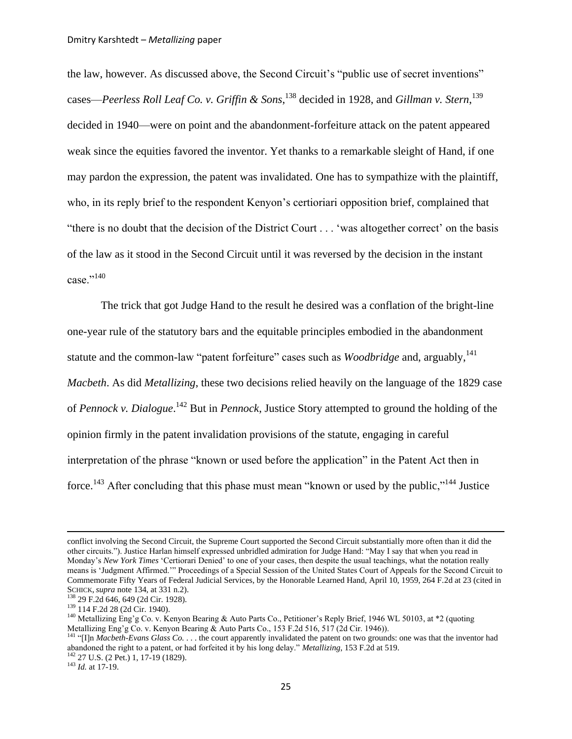the law, however. As discussed above, the Second Circuit's "public use of secret inventions" cases—*Peerless Roll Leaf Co. v. Griffin & Sons*, <sup>138</sup> decided in 1928, and *Gillman v. Stern*, 139 decided in 1940—were on point and the abandonment-forfeiture attack on the patent appeared weak since the equities favored the inventor. Yet thanks to a remarkable sleight of Hand, if one may pardon the expression, the patent was invalidated. One has to sympathize with the plaintiff, who, in its reply brief to the respondent Kenyon"s certioriari opposition brief, complained that "there is no doubt that the decision of the District Court . . . "was altogether correct" on the basis of the law as it stood in the Second Circuit until it was reversed by the decision in the instant case."140

The trick that got Judge Hand to the result he desired was a conflation of the bright-line one-year rule of the statutory bars and the equitable principles embodied in the abandonment statute and the common-law "patent forfeiture" cases such as *Woodbridge* and, arguably,<sup>141</sup> *Macbeth*. As did *Metallizing*, these two decisions relied heavily on the language of the 1829 case of *Pennock v. Dialogue*. <sup>142</sup> But in *Pennock*, Justice Story attempted to ground the holding of the opinion firmly in the patent invalidation provisions of the statute, engaging in careful interpretation of the phrase "known or used before the application" in the Patent Act then in force.<sup>143</sup> After concluding that this phase must mean "known or used by the public,"<sup>144</sup> Justice

<sup>143</sup> *Id.* at 17-19.

<span id="page-24-0"></span>conflict involving the Second Circuit, the Supreme Court supported the Second Circuit substantially more often than it did the other circuits."). Justice Harlan himself expressed unbridled admiration for Judge Hand: "May I say that when you read in Monday"s *New York Times* "Certiorari Denied" to one of your cases, then despite the usual teachings, what the notation really means is "Judgment Affirmed."" Proceedings of a Special Session of the United States Court of Appeals for the Second Circuit to Commemorate Fifty Years of Federal Judicial Services, by the Honorable Learned Hand, April 10, 1959, 264 F.2d at 23 (cited in SCHICK, *supra* not[e 134,](#page-23-0) at 331 n.2).

<sup>138</sup> 29 F.2d 646, 649 (2d Cir. 1928).

<sup>139</sup> 114 F.2d 28 (2d Cir. 1940).

<sup>&</sup>lt;sup>140</sup> Metallizing Eng'g Co. v. Kenyon Bearing & Auto Parts Co., Petitioner's Reply Brief, 1946 WL 50103, at  $*2$  (quoting Metallizing Eng'g Co. v. Kenyon Bearing & Auto Parts Co., 153 F.2d 516, 517 (2d Cir. 1946)).

<sup>&</sup>lt;sup>141</sup> "[I]n *Macbeth-Evans Glass Co.* . . . the court apparently invalidated the patent on two grounds: one was that the inventor had abandoned the right to a patent, or had forfeited it by his long delay." *Metallizing*, 153 F.2d at 519. <sup>142</sup> 27 U.S. (2 Pet.) 1, 17-19 (1829).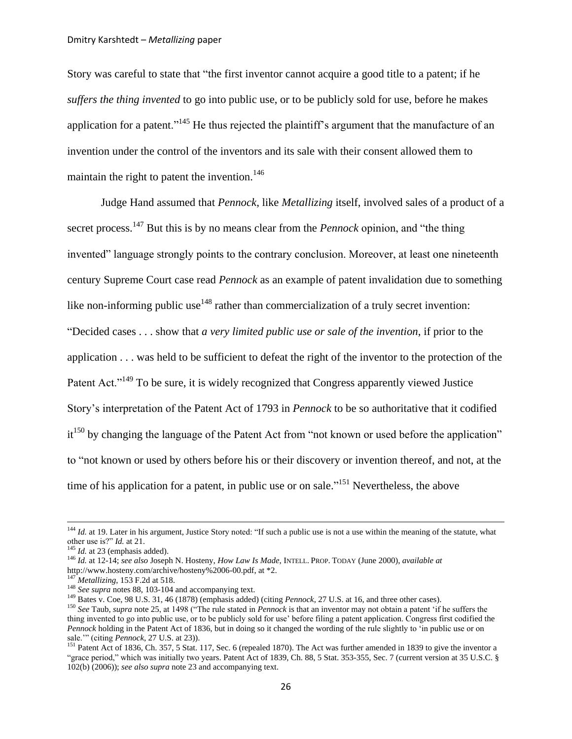Story was careful to state that "the first inventor cannot acquire a good title to a patent; if he *suffers the thing invented* to go into public use, or to be publicly sold for use, before he makes application for a patent."<sup>145</sup> He thus rejected the plaintiff's argument that the manufacture of an invention under the control of the inventors and its sale with their consent allowed them to maintain the right to patent the invention.<sup>146</sup>

<span id="page-25-2"></span><span id="page-25-0"></span>Judge Hand assumed that *Pennock*, like *Metallizing* itself, involved sales of a product of a secret process.<sup>147</sup> But this is by no means clear from the *Pennock* opinion, and "the thing invented" language strongly points to the contrary conclusion. Moreover, at least one nineteenth century Supreme Court case read *Pennock* as an example of patent invalidation due to something like non-informing public use<sup>148</sup> rather than commercialization of a truly secret invention: "Decided cases . . . show that *a very limited public use or sale of the invention*, if prior to the application . . . was held to be sufficient to defeat the right of the inventor to the protection of the Patent Act."<sup>149</sup> To be sure, it is widely recognized that Congress apparently viewed Justice Story"s interpretation of the Patent Act of 1793 in *Pennock* to be so authoritative that it codified it<sup>150</sup> by changing the language of the Patent Act from "not known or used before the application" to "not known or used by others before his or their discovery or invention thereof, and not, at the time of his application for a patent, in public use or on sale."<sup>151</sup> Nevertheless, the above

<span id="page-25-1"></span><sup>&</sup>lt;sup>144</sup> *Id.* at 19. Later in his argument, Justice Story noted: "If such a public use is not a use within the meaning of the statute, what other use is?" *Id.* at 21.

<sup>&</sup>lt;sup>145</sup> *Id.* at 23 (emphasis added).

<sup>146</sup> *Id.* at 12-14; *see also* Joseph N. Hosteny, *How Law Is Made*, INTELL. PROP. TODAY (June 2000), *available at*  [http://www.hosteny.com/archive/hosteny%2006-00.pdf,](http://www.hosteny.com/archive/hosteny%2006-00.pdf) at \*2.

<sup>147</sup> *Metallizing*, 153 F.2d at 518.

<sup>&</sup>lt;sup>148</sup> *See supra* notes [88,](#page-14-1) [103](#page-17-1)[-104](#page-18-2) and accompanying text.

<sup>149</sup> Bates v. Coe, 98 U.S. 31, 46 (1878) (emphasis added) (citing *Pennock*, 27 U.S. at 16, and three other cases).

<sup>150</sup> *See* Taub, *supra* not[e 25,](#page-5-0) at 1498 ("The rule stated in *Pennock* is that an inventor may not obtain a patent "if he suffers the thing invented to go into public use, or to be publicly sold for use" before filing a patent application. Congress first codified the *Pennock* holding in the Patent Act of 1836, but in doing so it changed the wording of the rule slightly to 'in public use or on sale."" (citing *Pennock*, 27 U.S. at 23)).

<sup>&</sup>lt;sup>151</sup> Patent Act of 1836, Ch. 357, 5 Stat. 117, Sec. 6 (repealed 1870). The Act was further amended in 1839 to give the inventor a "grace period," which was initially two years. Patent Act of 1839, Ch. 88, 5 Stat. 353-355, Sec. 7 (current version at 35 U.S.C. § 102(b) (2006)); *see also supra* not[e 23](#page-5-2) and accompanying text.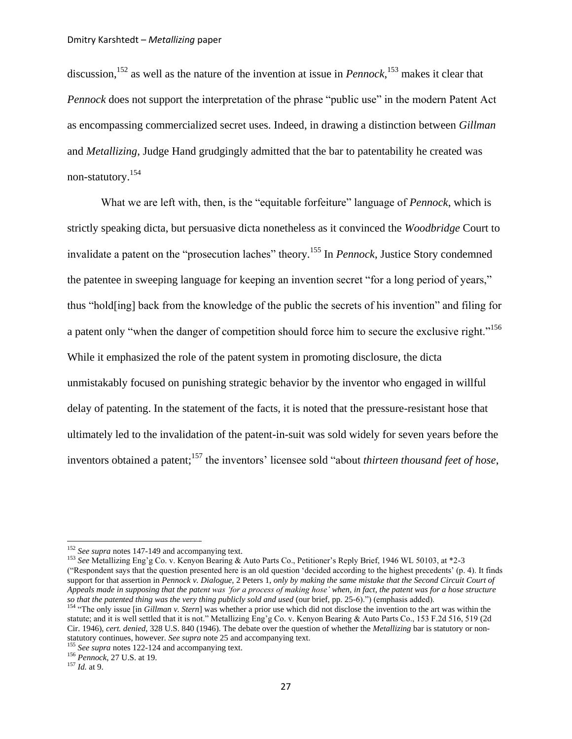<span id="page-26-1"></span>discussion,<sup>152</sup> as well as the nature of the invention at issue in *Pennock*, <sup>153</sup> makes it clear that *Pennock* does not support the interpretation of the phrase "public use" in the modern Patent Act as encompassing commercialized secret uses. Indeed, in drawing a distinction between *Gillman*  and *Metallizing*, Judge Hand grudgingly admitted that the bar to patentability he created was non-statutory.<sup>154</sup>

<span id="page-26-0"></span>What we are left with, then, is the "equitable forfeiture" language of *Pennock*, which is strictly speaking dicta, but persuasive dicta nonetheless as it convinced the *Woodbridge* Court to invalidate a patent on the "prosecution laches" theory.<sup>155</sup> In *Pennock*, Justice Story condemned the patentee in sweeping language for keeping an invention secret "for a long period of years," thus "hold[ing] back from the knowledge of the public the secrets of his invention" and filing for a patent only "when the danger of competition should force him to secure the exclusive right."<sup>156</sup> While it emphasized the role of the patent system in promoting disclosure, the dicta unmistakably focused on punishing strategic behavior by the inventor who engaged in willful delay of patenting. In the statement of the facts, it is noted that the pressure-resistant hose that ultimately led to the invalidation of the patent-in-suit was sold widely for seven years before the inventors obtained a patent;<sup>157</sup> the inventors' licensee sold "about *thirteen thousand feet of hose*,

<sup>153</sup> *See* Metallizing Eng"g Co. v. Kenyon Bearing & Auto Parts Co., Petitioner"s Reply Brief, 1946 WL 50103, at \*2-3 ("Respondent says that the question presented here is an old question "decided according to the highest precedents" (p. 4). It finds support for that assertion in *Pennock v. Dialogue*, 2 Peters 1, *only by making the same mistake that the Second Circuit Court of Appeals made in supposing that the patent was "for a process of making hose" when, in fact, the patent was for a hose structure so that the patented thing was the very thing publicly sold and used* (our brief, pp. 25-6).") (emphasis added).

<sup>152</sup> *See supra* notes [147-](#page-25-0)[149](#page-25-1) and accompanying text.

<sup>154</sup> "The only issue [in *Gillman v. Stern*] was whether a prior use which did not disclose the invention to the art was within the statute; and it is well settled that it is not." Metallizing Eng"g Co. v. Kenyon Bearing & Auto Parts Co., 153 F.2d 516, 519 (2d Cir. 1946), *cert. denied*, 328 U.S. 840 (1946). The debate over the question of whether the *Metallizing* bar is statutory or nonstatutory continues, however. *See supra* not[e 25](#page-5-0) and accompanying text.

<sup>155</sup> *See supra* notes [122-](#page-21-0)[124](#page-21-1) and accompanying text.

<sup>156</sup> *Pennock*, 27 U.S. at 19.

<sup>157</sup> *Id.* at 9.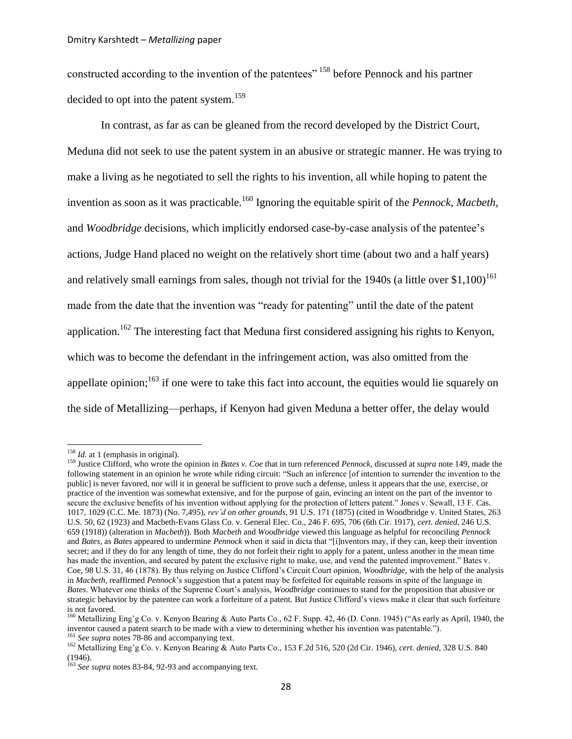<span id="page-27-0"></span>constructed according to the invention of the patentees" <sup>158</sup> before Pennock and his partner decided to opt into the patent system.<sup>159</sup>

<span id="page-27-1"></span>In contrast, as far as can be gleaned from the record developed by the District Court, Meduna did not seek to use the patent system in an abusive or strategic manner. He was trying to make a living as he negotiated to sell the rights to his invention, all while hoping to patent the invention as soon as it was practicable.<sup>160</sup> Ignoring the equitable spirit of the *Pennock*, *Macbeth*, and *Woodbridge* decisions, which implicitly endorsed case-by-case analysis of the patentee's actions, Judge Hand placed no weight on the relatively short time (about two and a half years) and relatively small earnings from sales, though not trivial for the 1940s (a little over  $$1,100$ )<sup>161</sup> made from the date that the invention was "ready for patenting" until the date of the patent application.<sup>162</sup> The interesting fact that Meduna first considered assigning his rights to Kenyon, which was to become the defendant in the infringement action, was also omitted from the appellate opinion; $163$  if one were to take this fact into account, the equities would lie squarely on the side of Metallizing—perhaps, if Kenyon had given Meduna a better offer, the delay would

<sup>&</sup>lt;sup>158</sup> *Id.* at 1 (emphasis in original).

<sup>159</sup> Justice Clifford, who wrote the opinion in *Bates v. Coe* that in turn referenced *Pennock*, discussed at *supra* note [149,](#page-25-1) made the following statement in an opinion he wrote while riding circuit: "Such an inference [of intention to surrender the invention to the public] is never favored, nor will it in general be sufficient to prove such a defense, unless it appears that the use, exercise, or practice of the invention was somewhat extensive, and for the purpose of gain, evincing an intent on the part of the inventor to secure the exclusive benefits of his invention without applying for the protection of letters patent." Jones v. Sewall, 13 F. Cas. 1017, 1029 (C.C. Me. 1873) (No. 7,495), *rev"d on other grounds*, 91 U.S. 171 (1875) (cited in Woodbridge v. United States, 263 U.S. 50, 62 (1923) and Macbeth-Evans Glass Co. v. General Elec. Co., 246 F. 695, 706 (6th Cir. 1917), *cert. denied*, 246 U.S. 659 (1918)) (alteration in *Macbeth*)). Both *Macbeth* and *Woodbridge* viewed this language as helpful for reconciling *Pennock*  and *Bates*, as *Bates* appeared to undermine *Pennock* when it said in dicta that "[i]nventors may, if they can, keep their invention secret; and if they do for any length of time, they do not forfeit their right to apply for a patent, unless another in the mean time has made the invention, and secured by patent the exclusive right to make, use, and vend the patented improvement." Bates v. Coe, 98 U.S. 31, 46 (1878). By thus relying on Justice Clifford"s Circuit Court opinion, *Woodbridge*, with the help of the analysis in *Macbeth*, reaffirmed *Pennock*"s suggestion that a patent may be forfeited for equitable reasons in spite of the language in *Bates*. Whatever one thinks of the Supreme Court"s analysis, *Woodbridge* continues to stand for the proposition that abusive or strategic behavior by the patentee can work a forfeiture of a patent. But Justice Clifford"s views make it clear that such forfeiture is not favored.

<sup>160</sup> Metallizing Eng"g Co. v. Kenyon Bearing & Auto Parts Co., 62 F. Supp. 42, 46 (D. Conn. 1945) ("As early as April, 1940, the inventor caused a patent search to be made with a view to determining whether his invention was patentable.").

<sup>161</sup> *See supra* notes [78-](#page-13-1)[86](#page-14-2) and accompanying text.

<sup>&</sup>lt;sup>162</sup> Metallizing Eng'g Co. v. Kenyon Bearing & Auto Parts Co., 153 F.2d 516, 520 (2d Cir. 1946), *cert. denied*, 328 U.S. 840 (1946).

<sup>&</sup>lt;sup>163</sup> See supra notes [83-](#page-14-3)[84,](#page-14-4) [92](#page-16-0)[-93](#page-16-1) and accompanying text.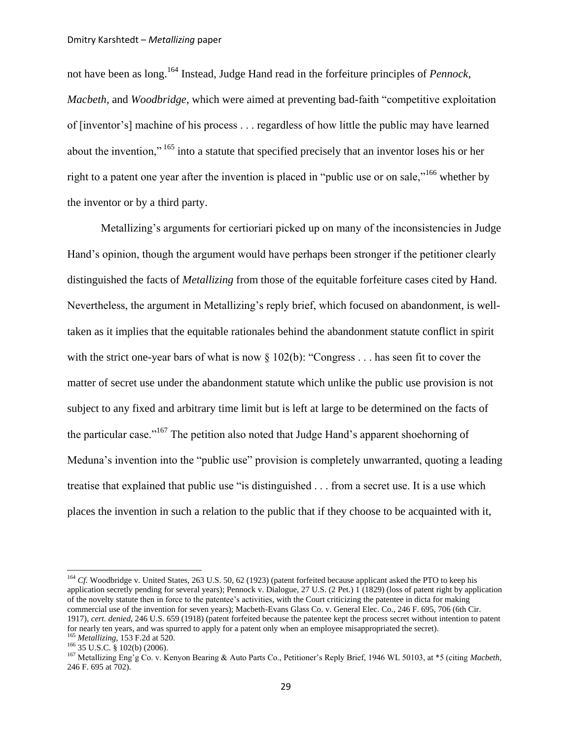<span id="page-28-2"></span>not have been as long.<sup>164</sup> Instead, Judge Hand read in the forfeiture principles of *Pennock*, *Macbeth*, and *Woodbridge*, which were aimed at preventing bad-faith "competitive exploitation of [inventor"s] machine of his process . . . regardless of how little the public may have learned about the invention," <sup>165</sup> into a statute that specified precisely that an inventor loses his or her right to a patent one year after the invention is placed in "public use or on sale,"<sup>166</sup> whether by the inventor or by a third party.

<span id="page-28-0"></span>Metallizing's arguments for certioriari picked up on many of the inconsistencies in Judge Hand"s opinion, though the argument would have perhaps been stronger if the petitioner clearly distinguished the facts of *Metallizing* from those of the equitable forfeiture cases cited by Hand. Nevertheless, the argument in Metallizing"s reply brief, which focused on abandonment, is welltaken as it implies that the equitable rationales behind the abandonment statute conflict in spirit with the strict one-year bars of what is now § 102(b): "Congress . . . has seen fit to cover the matter of secret use under the abandonment statute which unlike the public use provision is not subject to any fixed and arbitrary time limit but is left at large to be determined on the facts of the particular case."<sup>167</sup> The petition also noted that Judge Hand's apparent shoehorning of Meduna"s invention into the "public use" provision is completely unwarranted, quoting a leading treatise that explained that public use "is distinguished . . . from a secret use. It is a use which places the invention in such a relation to the public that if they choose to be acquainted with it,

<span id="page-28-1"></span><sup>&</sup>lt;sup>164</sup> *Cf.* Woodbridge v. United States, 263 U.S. 50, 62 (1923) (patent forfeited because applicant asked the PTO to keep his application secretly pending for several years); Pennock v. Dialogue, 27 U.S. (2 Pet.) 1 (1829) (loss of patent right by application of the novelty statute then in force to the patentee"s activities, with the Court criticizing the patentee in dicta for making commercial use of the invention for seven years); Macbeth-Evans Glass Co. v. General Elec. Co., 246 F. 695, 706 (6th Cir. 1917), *cert. denied*, 246 U.S. 659 (1918) (patent forfeited because the patentee kept the process secret without intention to patent for nearly ten years, and was spurred to apply for a patent only when an employee misappropriated the secret). <sup>165</sup> *Metallizing*, 153 F.2d at 520.

<sup>166</sup> 35 U.S.C. § 102(b) (2006).

<sup>&</sup>lt;sup>167</sup> Metallizing Eng'g Co. v. Kenyon Bearing & Auto Parts Co., Petitioner's Reply Brief, 1946 WL 50103, at \*5 (citing *Macbeth*, 246 F. 695 at 702).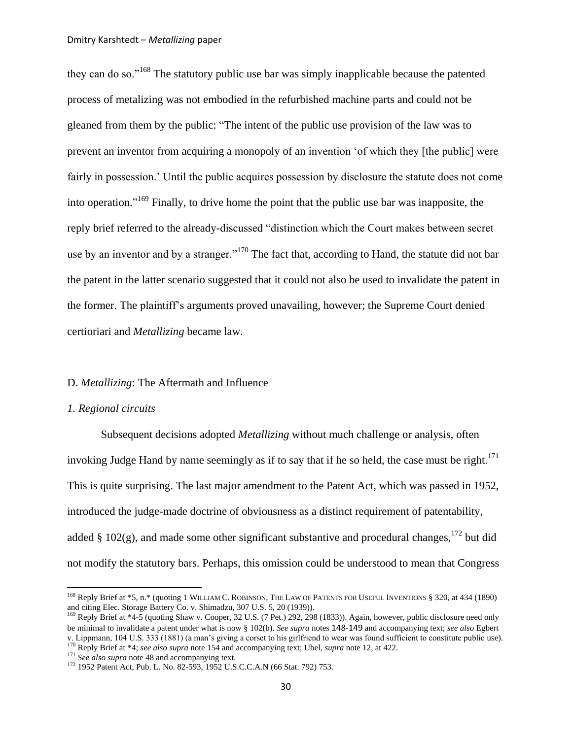they can do so."<sup>168</sup> The statutory public use bar was simply inapplicable because the patented process of metalizing was not embodied in the refurbished machine parts and could not be gleaned from them by the public: "The intent of the public use provision of the law was to prevent an inventor from acquiring a monopoly of an invention "of which they [the public] were fairly in possession." Until the public acquires possession by disclosure the statute does not come into operation." <sup>169</sup> Finally, to drive home the point that the public use bar was inapposite, the reply brief referred to the already-discussed "distinction which the Court makes between secret use by an inventor and by a stranger."<sup>170</sup> The fact that, according to Hand, the statute did not bar the patent in the latter scenario suggested that it could not also be used to invalidate the patent in the former. The plaintiff"s arguments proved unavailing, however; the Supreme Court denied certioriari and *Metallizing* became law.

### <span id="page-29-0"></span>D. *Metallizing*: The Aftermath and Influence

#### *1. Regional circuits*

 $\overline{\phantom{a}}$ 

Subsequent decisions adopted *Metallizing* without much challenge or analysis, often invoking Judge Hand by name seemingly as if to say that if he so held, the case must be right.<sup>171</sup> This is quite surprising. The last major amendment to the Patent Act, which was passed in 1952, introduced the judge-made doctrine of obviousness as a distinct requirement of patentability, added § 102(g), and made some other significant substantive and procedural changes,  $172$  but did not modify the statutory bars. Perhaps, this omission could be understood to mean that Congress

<sup>&</sup>lt;sup>168</sup> Reply Brief at \*5, n.\* (quoting 1 WILLIAM C. ROBINSON, THE LAW OF PATENTS FOR USEFUL INVENTIONS § 320, at 434 (1890) and citing Elec. Storage Battery Co. v. Shimadzu, 307 U.S. 5, 20 (1939)).

<sup>169</sup> Reply Brief at \*4-5 (quoting Shaw v. Cooper, 32 U.S. (7 Pet.) 292, 298 (1833)). Again, however, public disclosure need only be minimal to invalidate a patent under what is now § 102(b). *See supra* notes [148](#page-25-2)-[149](#page-25-1) and accompanying text; *see also* Egbert v. Lippmann, 104 U.S. 333 (1881) (a man's giving a corset to his girlfriend to wear was found sufficient to constitute public use).

<sup>170</sup> Reply Brief at \*4; *see also supra* not[e 154](#page-26-0) and accompanying text; Ubel, *supra* note [12,](#page-3-1) at 422.

<sup>&</sup>lt;sup>171</sup> See also supra not[e 48](#page-8-0) and accompanying text.

<sup>172</sup> 1952 Patent Act, Pub. L. No. 82-593, 1952 U.S.C.C.A.N (66 Stat. 792) 753.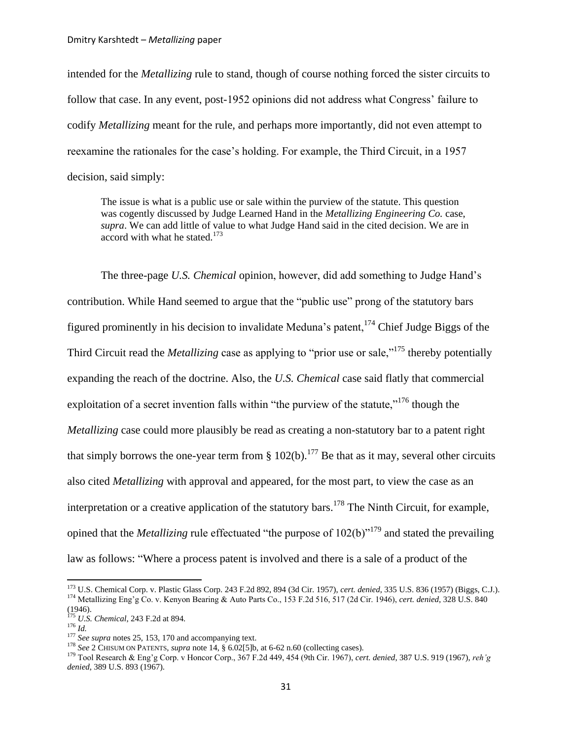intended for the *Metallizing* rule to stand, though of course nothing forced the sister circuits to follow that case. In any event, post-1952 opinions did not address what Congress' failure to codify *Metallizing* meant for the rule, and perhaps more importantly, did not even attempt to reexamine the rationales for the case's holding. For example, the Third Circuit, in a 1957 decision, said simply:

The issue is what is a public use or sale within the purview of the statute. This question was cogently discussed by Judge Learned Hand in the *Metallizing Engineering Co.* case, *supra*. We can add little of value to what Judge Hand said in the cited decision. We are in accord with what he stated.<sup>173</sup>

The three-page *U.S. Chemical* opinion, however, did add something to Judge Hand"s contribution. While Hand seemed to argue that the "public use" prong of the statutory bars figured prominently in his decision to invalidate Meduna's patent,  $174$  Chief Judge Biggs of the Third Circuit read the *Metallizing* case as applying to "prior use or sale,"<sup>175</sup> thereby potentially expanding the reach of the doctrine. Also, the *U.S. Chemical* case said flatly that commercial exploitation of a secret invention falls within "the purview of the statute,"<sup>176</sup> though the *Metallizing* case could more plausibly be read as creating a non-statutory bar to a patent right that simply borrows the one-year term from  $\S 102(b)$ .<sup>177</sup> Be that as it may, several other circuits also cited *Metallizing* with approval and appeared, for the most part, to view the case as an interpretation or a creative application of the statutory bars.<sup>178</sup> The Ninth Circuit, for example, opined that the *Metallizing* rule effectuated "the purpose of 102(b)"<sup>179</sup> and stated the prevailing law as follows: "Where a process patent is involved and there is a sale of a product of the

<sup>173</sup> U.S. Chemical Corp. v. Plastic Glass Corp. 243 F.2d 892, 894 (3d Cir. 1957), *cert. denied*, 335 U.S. 836 (1957) (Biggs, C.J.). <sup>174</sup> Metallizing Eng'g Co. v. Kenyon Bearing & Auto Parts Co., 153 F.2d 516, 517 (2d Cir. 1946), *cert. denied*, 328 U.S. 840 (1946).

<sup>175</sup> *U.S. Chemical*, 243 F.2d at 894.

 $^{176}$  *Id.* 

<sup>&</sup>lt;sup>177</sup> *See supra* notes [25,](#page-5-0) [153,](#page-26-1) [170](#page-29-0) and accompanying text.

<sup>&</sup>lt;sup>178</sup> See 2 CHISUM ON PATENTS, *supra* note [14,](#page-3-2) § 6.02[5]b, at 6-62 n.60 (collecting cases).

<sup>179</sup> Tool Research & Eng"g Corp. v Honcor Corp., 367 F.2d 449, 454 (9th Cir. 1967), *cert. denied*, 387 U.S. 919 (1967), *reh"g denied*, 389 U.S. 893 (1967).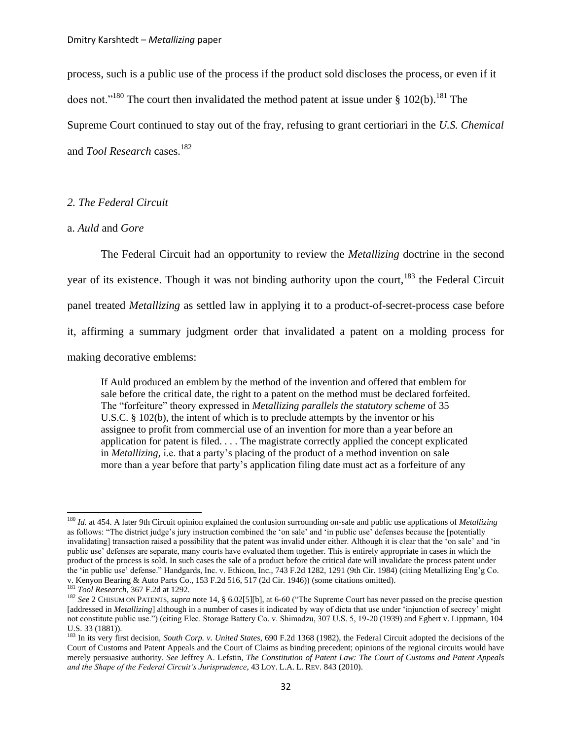process, such is a public use of the process if the product sold discloses the process, or even if it does not."<sup>180</sup> The court then invalidated the method patent at issue under  $\S 102(b)$ .<sup>181</sup> The Supreme Court continued to stay out of the fray, refusing to grant certioriari in the *U.S. Chemical*  and *Tool Research* cases.<sup>182</sup>

## <span id="page-31-0"></span>*2. The Federal Circuit*

#### a. *Auld* and *Gore*

The Federal Circuit had an opportunity to review the *Metallizing* doctrine in the second year of its existence. Though it was not binding authority upon the court,  $183$  the Federal Circuit panel treated *Metallizing* as settled law in applying it to a product-of-secret-process case before it, affirming a summary judgment order that invalidated a patent on a molding process for making decorative emblems:

<span id="page-31-1"></span>If Auld produced an emblem by the method of the invention and offered that emblem for sale before the critical date, the right to a patent on the method must be declared forfeited. The "forfeiture" theory expressed in *Metallizing parallels the statutory scheme* of 35 U.S.C. § 102(b), the intent of which is to preclude attempts by the inventor or his assignee to profit from commercial use of an invention for more than a year before an application for patent is filed. . . . The magistrate correctly applied the concept explicated in *Metallizing,* i.e. that a party"s placing of the product of a method invention on sale more than a year before that party"s application filing date must act as a forfeiture of any

<sup>180</sup> *Id.* at 454. A later 9th Circuit opinion explained the confusion surrounding on-sale and public use applications of *Metallizing* as follows: "The district judge"s jury instruction combined the "on sale" and "in public use" defenses because the [potentially invalidating] transaction raised a possibility that the patent was invalid under either. Although it is clear that the "on sale" and "in public use' defenses are separate, many courts have evaluated them together. This is entirely appropriate in cases in which the product of the process is sold. In such cases the sale of a product before the critical date will invalidate the process patent under the "in public use" defense." Handgards, Inc. v. Ethicon, Inc., 743 F.2d 1282, 1291 (9th Cir. 1984) (citing Metallizing Eng"g Co. v. Kenyon Bearing & Auto Parts Co., 153 F.2d 516, 517 (2d Cir. 1946)) (some citations omitted).

<sup>181</sup> *Tool Research*, 367 F.2d at 1292.

<sup>182</sup> *See* 2 CHISUM ON PATENTS, *supra* note [14,](#page-3-2) § 6.02[5][b], at 6-60 ("The Supreme Court has never passed on the precise question [addressed in *Metallizing*] although in a number of cases it indicated by way of dicta that use under 'injunction of secrecy' might not constitute public use.") (citing Elec. Storage Battery Co. v. Shimadzu, 307 U.S. 5, 19-20 (1939) and Egbert v. Lippmann, 104 U.S. 33 (1881)).

<sup>&</sup>lt;sup>183</sup> In its very first decision, *South Corp. v. United States*, 690 F.2d 1368 (1982), the Federal Circuit adopted the decisions of the Court of Customs and Patent Appeals and the Court of Claims as binding precedent; opinions of the regional circuits would have merely persuasive authority. *See* Jeffrey A. Lefstin, *The Constitution of Patent Law: The Court of Customs and Patent Appeals and the Shape of the Federal Circuit"s Jurisprudence*, 43 LOY. L.A. L. REV. 843 (2010).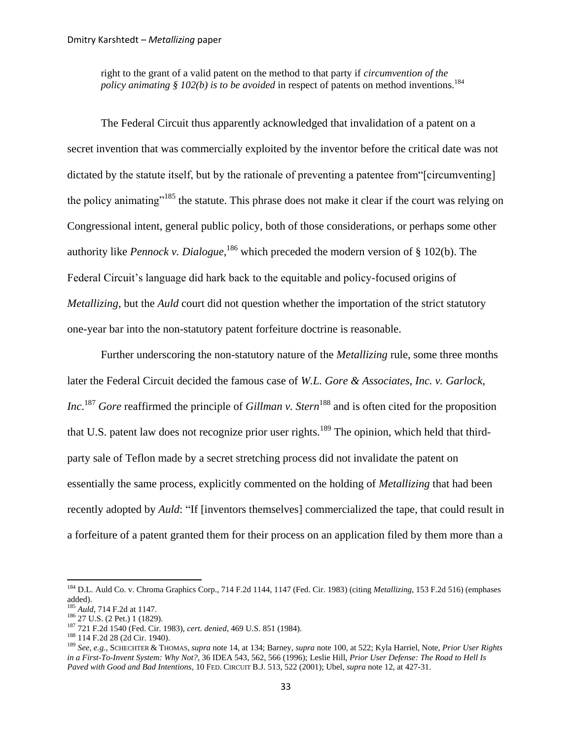<span id="page-32-1"></span>right to the grant of a valid patent on the method to that party if *circumvention of the policy animating § 102(b) is to be avoided* in respect of patents on method inventions.<sup>184</sup>

The Federal Circuit thus apparently acknowledged that invalidation of a patent on a secret invention that was commercially exploited by the inventor before the critical date was not dictated by the statute itself, but by the rationale of preventing a patentee from"[circumventing] the policy animating"<sup>185</sup> the statute. This phrase does not make it clear if the court was relying on Congressional intent, general public policy, both of those considerations, or perhaps some other authority like *Pennock v. Dialogue*, <sup>186</sup> which preceded the modern version of § 102(b). The Federal Circuit's language did hark back to the equitable and policy-focused origins of *Metallizing*, but the *Auld* court did not question whether the importation of the strict statutory one-year bar into the non-statutory patent forfeiture doctrine is reasonable.

<span id="page-32-2"></span><span id="page-32-0"></span>Further underscoring the non-statutory nature of the *Metallizing* rule, some three months later the Federal Circuit decided the famous case of *W.L. Gore & Associates, Inc. v. Garlock, Inc*.<sup>187</sup> *Gore* reaffirmed the principle of *Gillman v. Stern*<sup>188</sup> and is often cited for the proposition that U.S. patent law does not recognize prior user rights.<sup>189</sup> The opinion, which held that thirdparty sale of Teflon made by a secret stretching process did not invalidate the patent on essentially the same process, explicitly commented on the holding of *Metallizing* that had been recently adopted by *Auld*: "If [inventors themselves] commercialized the tape, that could result in a forfeiture of a patent granted them for their process on an application filed by them more than a

 $\overline{a}$ 

<sup>188</sup> 114 F.2d 28 (2d Cir. 1940).

<sup>184</sup> D.L. Auld Co. v. Chroma Graphics Corp., 714 F.2d 1144, 1147 (Fed. Cir. 1983) (citing *Metallizing,* 153 F.2d 516) (emphases added).

<sup>185</sup> *Auld*, 714 F.2d at 1147.

<sup>186</sup> 27 U.S. (2 Pet.) 1 (1829).

<sup>187</sup> 721 F.2d 1540 (Fed. Cir. 1983), *cert. denied*, [469 U.S. 851 \(1984\).](http://web2.westlaw.com/find/default.wl?tf=-1&rs=WLW11.04&serialnum=1984239243&fn=_top&sv=Split&tc=-1&pbc=DB79DFF2&ordoc=0106632357&findtype=Y&db=780&vr=2.0&rp=%2ffind%2fdefault.wl&mt=208)

<sup>189</sup> *See, e.g.*, SCHECHTER & THOMAS, *supra* not[e 14,](#page-3-2) at 134; Barney, *supra* note [100,](#page-17-2) at 522; Kyla Harriel, Note, *Prior User Rights in a First-To-Invent System: Why Not?*, 36 IDEA 543, 562, 566 (1996); Leslie Hill, *Prior User Defense: The Road to Hell Is Paved with Good and Bad Intentions*, 10 FED. CIRCUIT B.J. 513, 522 (2001); Ubel, *supra* not[e 12,](#page-3-1) at 427-31.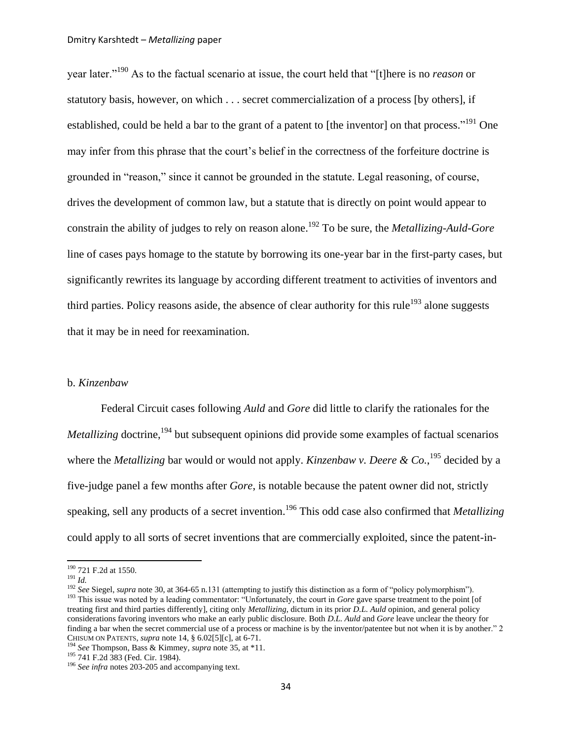year later."<sup>190</sup> As to the factual scenario at issue, the court held that "[t]here is no *reason* or statutory basis, however, on which . . . secret commercialization of a process [by others], if established, could be held a bar to the grant of a patent to [the inventor] on that process."<sup>191</sup> One may infer from this phrase that the court"s belief in the correctness of the forfeiture doctrine is grounded in "reason," since it cannot be grounded in the statute. Legal reasoning, of course, drives the development of common law, but a statute that is directly on point would appear to constrain the ability of judges to rely on reason alone.<sup>192</sup> To be sure, the *Metallizing*-*Auld*-*Gore* line of cases pays homage to the statute by borrowing its one-year bar in the first-party cases, but significantly rewrites its language by according different treatment to activities of inventors and third parties. Policy reasons aside, the absence of clear authority for this rule<sup>193</sup> alone suggests that it may be in need for reexamination.

## <span id="page-33-0"></span>b. *Kinzenbaw*

Federal Circuit cases following *Auld* and *Gore* did little to clarify the rationales for the *Metallizing* doctrine,<sup>194</sup> but subsequent opinions did provide some examples of factual scenarios where the *Metallizing* bar would or would not apply. *Kinzenbaw v. Deere & Co.*, <sup>195</sup> decided by a five-judge panel a few months after *Gore*, is notable because the patent owner did not, strictly speaking, sell any products of a secret invention.<sup>196</sup> This odd case also confirmed that *Metallizing*  could apply to all sorts of secret inventions that are commercially exploited, since the patent-in-

 $\overline{\phantom{a}}$ 

<sup>195</sup> 741 F.2d 383 (Fed. Cir. 1984).

<sup>190</sup> 721 F.2d at 1550.

<sup>191</sup> *Id.*

<sup>&</sup>lt;sup>192</sup> *See* Siegel, *supra* not[e 30,](#page-6-0) at 364-65 n.131 (attempting to justify this distinction as a form of "policy polymorphism"). <sup>193</sup> This issue was noted by a leading commentator: "Unfortunately, the court in *Gore* gave sparse treatment to the point [of treating first and third parties differently], citing only *Metallizing*, dictum in its prior *D.L. Auld* opinion, and general policy considerations favoring inventors who make an early public disclosure. Both *D.L. Auld* and *Gore* leave unclear the theory for finding a bar when the secret commercial use of a process or machine is by the inventor/patentee but not when it is by another." 2 CHISUM ON PATENTS, *supra* note [14,](#page-3-2) § 6.02[5][c], at 6-71.

<sup>194</sup> *See* Thompson, Bass & Kimmey, *supra* note [35,](#page-7-0) at \*11.

<sup>196</sup> *See infra* notes [203-](#page-34-0)[205](#page-35-0) and accompanying text.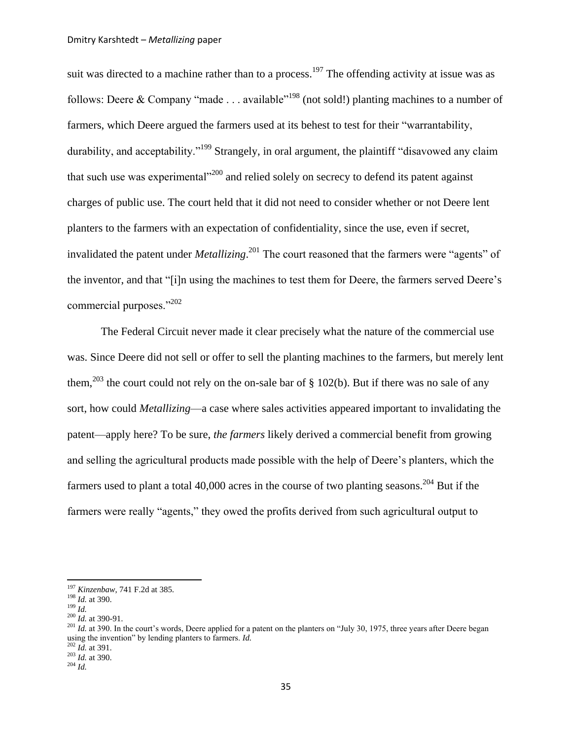suit was directed to a machine rather than to a process.<sup>197</sup> The offending activity at issue was as follows: Deere & Company "made . . . available"<sup>198</sup> (not sold!) planting machines to a number of farmers, which Deere argued the farmers used at its behest to test for their "warrantability, durability, and acceptability."<sup>199</sup> Strangely, in oral argument, the plaintiff "disavowed any claim" that such use was experimental $^{200}$  and relied solely on secrecy to defend its patent against charges of public use. The court held that it did not need to consider whether or not Deere lent planters to the farmers with an expectation of confidentiality, since the use, even if secret, invalidated the patent under *Metallizing*. <sup>201</sup> The court reasoned that the farmers were "agents" of the inventor, and that "[i]n using the machines to test them for Deere, the farmers served Deere"s commercial purposes."<sup>202</sup>

<span id="page-34-0"></span>The Federal Circuit never made it clear precisely what the nature of the commercial use was. Since Deere did not sell or offer to sell the planting machines to the farmers, but merely lent them,<sup>203</sup> the court could not rely on the on-sale bar of  $\S$  102(b). But if there was no sale of any sort, how could *Metallizing*—a case where sales activities appeared important to invalidating the patent—apply here? To be sure, *the farmers* likely derived a commercial benefit from growing and selling the agricultural products made possible with the help of Deere"s planters, which the farmers used to plant a total 40,000 acres in the course of two planting seasons.<sup>204</sup> But if the farmers were really "agents," they owed the profits derived from such agricultural output to

<span id="page-34-1"></span><sup>197</sup> *Kinzenbaw*, 741 F.2d at 385.

<sup>198</sup> *Id.* at 390.

 $^{199}$  *Id.* 

<sup>200</sup> *Id.* at 390-91.

<sup>&</sup>lt;sup>201</sup> *Id.* at 390. In the court's words, Deere applied for a patent on the planters on "July 30, 1975, three years after Deere began using the invention" by lending planters to farmers. *Id.*

<sup>202</sup> *Id.* at 391.

<sup>203</sup> *Id.* at 390.

<sup>204</sup> *Id.*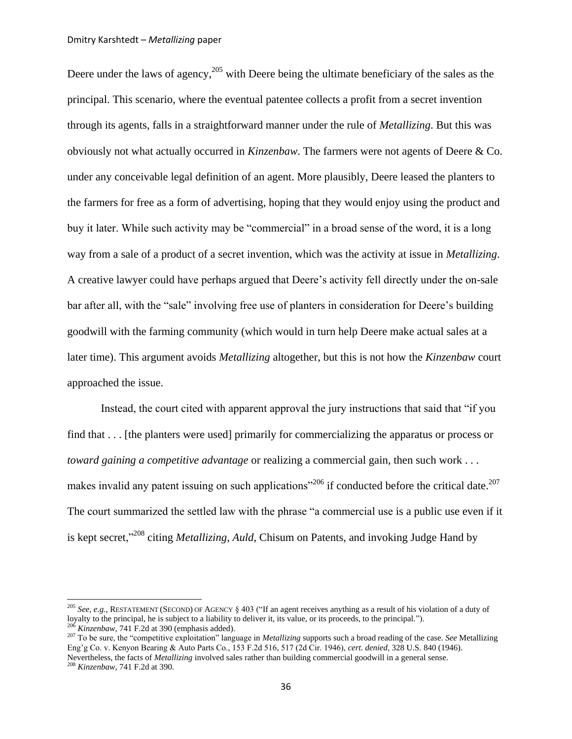<span id="page-35-2"></span> $\overline{\phantom{a}}$ 

<span id="page-35-0"></span>Deere under the laws of agency,  $205$  with Deere being the ultimate beneficiary of the sales as the principal. This scenario, where the eventual patentee collects a profit from a secret invention through its agents, falls in a straightforward manner under the rule of *Metallizing*. But this was obviously not what actually occurred in *Kinzenbaw*. The farmers were not agents of Deere & Co. under any conceivable legal definition of an agent. More plausibly, Deere leased the planters to the farmers for free as a form of advertising, hoping that they would enjoy using the product and buy it later. While such activity may be "commercial" in a broad sense of the word, it is a long way from a sale of a product of a secret invention, which was the activity at issue in *Metallizing*. A creative lawyer could have perhaps argued that Deere"s activity fell directly under the on-sale bar after all, with the "sale" involving free use of planters in consideration for Deere"s building goodwill with the farming community (which would in turn help Deere make actual sales at a later time). This argument avoids *Metallizing* altogether, but this is not how the *Kinzenbaw* court approached the issue.

<span id="page-35-1"></span>Instead, the court cited with apparent approval the jury instructions that said that "if you find that . . . [the planters were used] primarily for commercializing the apparatus or process or *toward gaining a competitive advantage* or realizing a commercial gain, then such work . . . makes invalid any patent issuing on such applications<sup> $206$ </sup> if conducted before the critical date.<sup>207</sup> The court summarized the settled law with the phrase "a commercial use is a public use even if it is kept secret,"<sup>208</sup> citing *Metallizing*, *Auld*, Chisum on Patents, and invoking Judge Hand by

<sup>205</sup> *See, e.g.*, RESTATEMENT (SECOND) OF AGENCY § 403 ("If an agent receives anything as a result of his violation of a duty of loyalty to the principal, he is subject to a liability to deliver it, its value, or its proceeds, to the principal."). <sup>206</sup> *Kinzenbaw*, 741 F.2d at 390 (emphasis added).

<sup>207</sup> To be sure, the "competitive exploitation" language in *Metallizing* supports such a broad reading of the case. *See* Metallizing Eng"g Co. v. Kenyon Bearing & Auto Parts Co., 153 F.2d 516, 517 (2d Cir. 1946), *cert. denied*, 328 U.S. 840 (1946). Nevertheless, the facts of *Metallizing* involved sales rather than building commercial goodwill in a general sense. <sup>208</sup> *Kinzenbaw*, 741 F.2d at 390.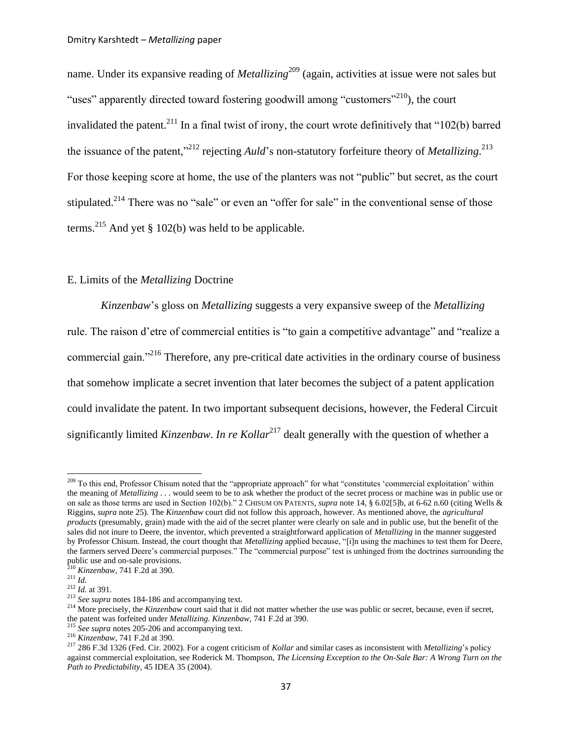name. Under its expansive reading of *Metallizing*<sup>209</sup> (again, activities at issue were not sales but "uses" apparently directed toward fostering goodwill among "customers"<sup>210</sup>), the court invalidated the patent.<sup>211</sup> In a final twist of irony, the court wrote definitively that "102(b) barred the issuance of the patent,"<sup>212</sup> rejecting *Auld*"s non-statutory forfeiture theory of *Metallizing*. 213 For those keeping score at home, the use of the planters was not "public" but secret, as the court stipulated.<sup>214</sup> There was no "sale" or even an "offer for sale" in the conventional sense of those terms.<sup>215</sup> And yet § 102(b) was held to be applicable.

## <span id="page-36-1"></span>E. Limits of the *Metallizing* Doctrine

<span id="page-36-2"></span>*Kinzenbaw*"s gloss on *Metallizing* suggests a very expansive sweep of the *Metallizing* rule. The raison d"etre of commercial entities is "to gain a competitive advantage" and "realize a commercial gain."<sup>216</sup> Therefore, any pre-critical date activities in the ordinary course of business that somehow implicate a secret invention that later becomes the subject of a patent application could invalidate the patent. In two important subsequent decisions, however, the Federal Circuit significantly limited *Kinzenbaw. In re Kollar*<sup>217</sup> dealt generally with the question of whether a

<span id="page-36-0"></span><sup>&</sup>lt;sup>209</sup> To this end, Professor Chisum noted that the "appropriate approach" for what "constitutes 'commercial exploitation' within the meaning of *Metallizing* . . . would seem to be to ask whether the product of the secret process or machine was in public use or on sale as those terms are used in Section 102(b)." 2 CHISUM ON PATENTS, *supra* not[e 14,](#page-3-2) § 6.02[5]b, at 6-62 n.60 (citing Wells & Riggins, *supra* note [25\)](#page-5-0). The *Kinzenbaw* court did not follow this approach, however. As mentioned above, the *agricultural products* (presumably, grain) made with the aid of the secret planter were clearly on sale and in public use, but the benefit of the sales did not inure to Deere, the inventor, which prevented a straightforward application of *Metallizing* in the manner suggested by Professor Chisum. Instead, the court thought that *Metallizing* applied because, "[i]n using the machines to test them for Deere, the farmers served Deere"s commercial purposes." The "commercial purpose" test is unhinged from the doctrines surrounding the public use and on-sale provisions.

<sup>210</sup> *Kinzenbaw*, 741 F.2d at 390.

<sup>211</sup> *Id.*

<sup>212</sup> *Id.* at 391.

<sup>213</sup> *See supra* notes [184-](#page-32-1)[186](#page-32-2) and accompanying text.

<sup>&</sup>lt;sup>214</sup> More precisely, the *Kinzenbaw* court said that it did not matter whether the use was public or secret, because, even if secret, the patent was forfeited under *Metallizing*. *Kinzenbaw*, 741 F.2d at 390.

<sup>215</sup> *See supra* notes [205-](#page-35-0)[206](#page-35-1) and accompanying text.

<sup>216</sup> *Kinzenbaw*, 741 F.2d at 390.

<sup>217</sup> 286 F.3d 1326 (Fed. Cir. 2002). For a cogent criticism of *Kollar* and similar cases as inconsistent with *Metallizing*"s policy against commercial exploitation, see Roderick M. Thompson, *The Licensing Exception to the On-Sale Bar: A Wrong Turn on the Path to Predictability*, 45 IDEA 35 (2004).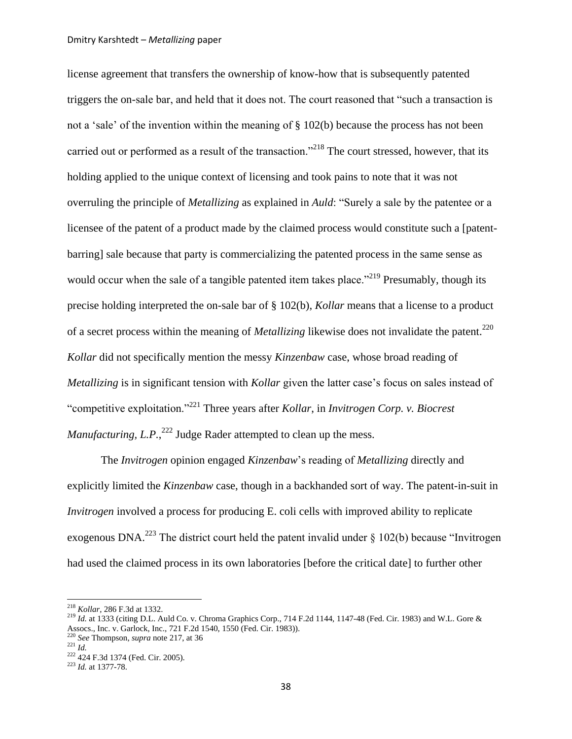license agreement that transfers the ownership of know-how that is subsequently patented triggers the on-sale bar, and held that it does not. The court reasoned that "such a transaction is not a 'sale' of the invention within the meaning of  $\S$  102(b) because the process has not been carried out or performed as a result of the transaction."<sup>218</sup> The court stressed, however, that its holding applied to the unique context of licensing and took pains to note that it was not overruling the principle of *Metallizing* as explained in *Auld*: "Surely a sale by the patentee or a licensee of the patent of a product made by the claimed process would constitute such a [patentbarring] sale because that party is commercializing the patented process in the same sense as would occur when the sale of a tangible patented item takes place."<sup>219</sup> Presumably, though its precise holding interpreted the on-sale bar of [§ 102\(b\),](http://web2.westlaw.com/find/default.wl?tf=-1&rs=WLW10.10&referencepositiontype=T&referenceposition=SP%3ba83b000018c76&fn=_top&sv=Split&docname=35USCAS102&tc=-1&pbc=0CE54B5C&ordoc=2002249504&findtype=L&db=1000546&vr=2.0&rp=%2ffind%2fdefault.wl&mt=208) *Kollar* means that a license to a product of a secret process within the meaning of *Metallizing* likewise does not invalidate the patent.<sup>220</sup> *Kollar* did not specifically mention the messy *Kinzenbaw* case, whose broad reading of *Metallizing* is in significant tension with *Kollar* given the latter case's focus on sales instead of "competitive exploitation."<sup>221</sup> Three years after *Kollar*, in *Invitrogen Corp. v. Biocrest*  Manufacturing, L.P.,<sup>222</sup> Judge Rader attempted to clean up the mess.

The *Invitrogen* opinion engaged *Kinzenbaw*"s reading of *Metallizing* directly and explicitly limited the *Kinzenbaw* case, though in a backhanded sort of way. The patent-in-suit in *Invitrogen* involved a process for producing E. coli cells with improved ability to replicate exogenous DNA.<sup>223</sup> The district court held the patent invalid under  $\S$  102(b) because "Invitrogen had used the claimed process in its own laboratories [before the critical date] to further other

<sup>218</sup> *Kollar*, 286 F.3d at 1332.

<sup>&</sup>lt;sup>219</sup> Id. at 1333 (citing [D.L. Auld Co. v. Chroma Graphics Corp.,](http://web2.westlaw.com/find/default.wl?tf=-1&rs=WLW11.04&referencepositiontype=S&serialnum=1983138411&fn=_top&sv=Split&referenceposition=1147&pbc=E5BC7519&tc=-1&ordoc=2002249504&findtype=Y&db=350&vr=2.0&rp=%2ffind%2fdefault.wl&mt=208) 714 F.2d 1144, 1147-48 (Fed. Cir. 1983) and W.L. Gore & Assocs., Inc. v. Garlock, Inc., [721 F.2d 1540, 1550 \(Fed. Cir. 1983\)\).](http://web2.westlaw.com/find/default.wl?tf=-1&rs=WLW11.04&referencepositiontype=S&serialnum=1983151589&fn=_top&sv=Split&referenceposition=1550&pbc=E5BC7519&tc=-1&ordoc=2002249504&findtype=Y&db=350&vr=2.0&rp=%2ffind%2fdefault.wl&mt=208)

<sup>220</sup> *See* Thompson, *supra* not[e 217,](#page-36-0) at 36

<sup>221</sup> *Id.*

<sup>&</sup>lt;sup>222</sup> 424 F.3d 1374 (Fed. Cir. 2005).

<sup>223</sup> *Id.* at 1377-78.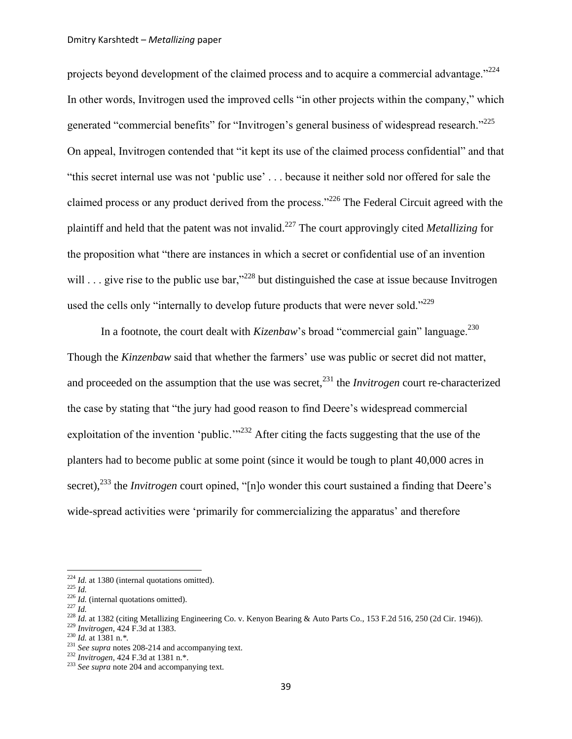projects beyond development of the claimed process and to acquire a commercial advantage."<sup>224</sup> In other words, Invitrogen used the improved cells "in other projects within the company," which generated "commercial benefits" for "Invitrogen's general business of widespread research."<sup>225</sup> On appeal, Invitrogen contended that "it kept its use of the claimed process confidential" and that "this secret internal use was not "public use" . . . because it neither sold nor offered for sale the claimed process or any product derived from the process."<sup>226</sup> The Federal Circuit agreed with the plaintiff and held that the patent was not invalid.<sup>227</sup> The court approvingly cited *Metallizing* for the proposition what "there are instances in which a secret or confidential use of an invention will . . . give rise to the public use bar,"<sup>228</sup> but distinguished the case at issue because Invitrogen used the cells only "internally to develop future products that were never sold."<sup>229</sup>

In a footnote, the court dealt with *Kizenbaw*'s broad "commercial gain" language.<sup>230</sup> Though the *Kinzenbaw* said that whether the farmers' use was public or secret did not matter, and proceeded on the assumption that the use was secret,<sup>231</sup> the *Invitrogen* court re-characterized the case by stating that "the jury had good reason to find Deere"s widespread commercial exploitation of the invention 'public."<sup>232</sup> After citing the facts suggesting that the use of the planters had to become public at some point (since it would be tough to plant 40,000 acres in secret),<sup>233</sup> the *Invitrogen* court opined, "[n]o wonder this court sustained a finding that Deere's wide-spread activities were 'primarily for commercializing the apparatus' and therefore

<sup>&</sup>lt;sup>224</sup> *Id.* at 1380 (internal quotations omitted).

<sup>225</sup> *Id.*

<sup>&</sup>lt;sup>226</sup> *Id.* (internal quotations omitted).

 $^{227}$  *Id.* 

<sup>&</sup>lt;sup>228</sup> *Id.* at 1382 (citing Metallizing Engineering Co. v. Kenyon Bearing & Auto Parts Co., 153 F.2d 516, 250 (2d Cir. 1946)).

<sup>229</sup> *Invitrogen*, 424 F.3d at 1383.

<sup>230</sup> *Id.* at 1381 n.*\*.*

<sup>231</sup> *See supra* notes [208-](#page-35-2)[214](#page-36-1) and accompanying text.

<sup>232</sup> *Invitrogen*, 424 F.3d at 1381 n.\*.

<sup>233</sup> *See supra* not[e 204](#page-34-1) and accompanying text.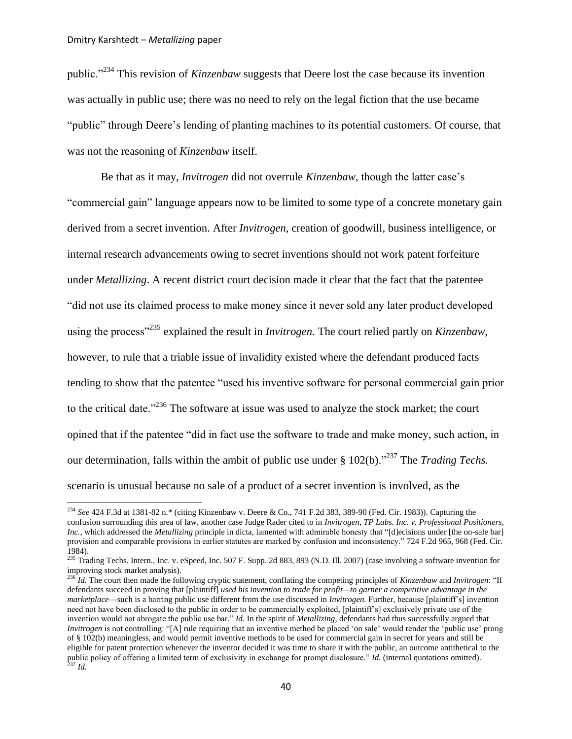$\overline{\phantom{a}}$ 

public."<sup>234</sup> This revision of *Kinzenbaw* suggests that Deere lost the case because its invention was actually in public use; there was no need to rely on the legal fiction that the use became "public" through Deere"s lending of planting machines to its potential customers. Of course, that was not the reasoning of *Kinzenbaw* itself.

<span id="page-39-0"></span>Be that as it may, *Invitrogen* did not overrule *Kinzenbaw*, though the latter case"s "commercial gain" language appears now to be limited to some type of a concrete monetary gain derived from a secret invention. After *Invitrogen*, creation of goodwill, business intelligence, or internal research advancements owing to secret inventions should not work patent forfeiture under *Metallizing*. A recent district court decision made it clear that the fact that the patentee "did not use its claimed process to make money since it never sold any later product developed using the process"<sup>235</sup> explained the result in *Invitrogen*. The court relied partly on *Kinzenbaw*, however, to rule that a triable issue of invalidity existed where the defendant produced facts tending to show that the patentee "used his inventive software for personal commercial gain prior to the critical date."<sup>236</sup> The software at issue was used to analyze the stock market; the court opined that if the patentee "did in fact use the software to trade and make money, such action, in our determination, falls within the ambit of public use under [§ 102\(b\).](http://web2.westlaw.com/find/default.wl?tf=-1&rs=WLW10.10&referencepositiontype=T&referenceposition=SP%3ba83b000018c76&fn=_top&sv=Split&docname=35USCAS102&tc=-1&pbc=26062F87&ordoc=2012987038&findtype=L&db=1000546&vr=2.0&rp=%2ffind%2fdefault.wl&mt=208)"<sup>237</sup> The *Trading Techs.* scenario is unusual because no sale of a product of a secret invention is involved, as the

<sup>234</sup> *See* 424 F.3d at 1381-82 n.\* (citing Kinzenbaw v. Deere & Co., 741 F.2d 383, 389-90 (Fed. Cir. 1983)). Capturing the confusion surrounding this area of law, another case Judge Rader cited to in *Invitrogen*, *TP Labs. Inc. v. Professional Positioners, Inc.*, which addressed the *Metallizing* principle in dicta, lamented with admirable honesty that "[d]ecisions under [the on-sale bar] provision and comparable provisions in earlier statutes are marked by confusion and inconsistency." 724 F.2d 965, 968 (Fed. Cir. 1984).

<sup>&</sup>lt;sup>235</sup> Trading Techs. Intern., Inc. v. eSpeed, Inc. 507 F. Supp. 2d 883, 893 (N.D. Ill. 2007) (case involving a software invention for improving stock market analysis).

<sup>236</sup> *Id.* The court then made the following cryptic statement, conflating the competing principles of *Kinzenbaw* and *Invitrogen*: "If defendants succeed in proving that [plaintiff] *used his invention to trade for profit—to garner a competitive advantage in the marketplace*—such is a barring public use different from the use discussed in *[Invitrogen.](http://web2.westlaw.com/find/default.wl?tf=-1&rs=WLW11.04&serialnum=2007423393&fn=_top&sv=Split&tc=-1&pbc=8A19D0B7&ordoc=2012987038&findtype=Y&vr=2.0&rp=%2ffind%2fdefault.wl&mt=Westlaw)* Further, because [plaintiff"s] invention need not have been disclosed to the public in order to be commercially exploited, [plaintiff"s] exclusively private use of the invention would not abrogate the public use bar." *Id.* In the spirit of *Metallizing*, defendants had thus successfully argued that *Invitrogen* is not controlling: "[A] rule requiring that an inventive method be placed 'on sale' would render the 'public use' prong o[f § 102\(b\)](http://web2.westlaw.com/find/default.wl?tf=-1&rs=WLW11.04&referencepositiontype=T&referenceposition=SP%3ba83b000018c76&fn=_top&sv=Split&docname=35USCAS102&tc=-1&pbc=8A19D0B7&ordoc=2012987038&findtype=L&db=1000546&vr=2.0&rp=%2ffind%2fdefault.wl&mt=Westlaw) meaningless, and would permit inventive methods to be used for commercial gain in secret for years and still be eligible for patent protection whenever the inventor decided it was time to share it with the public, an outcome antithetical to the public policy of offering a limited term of exclusivity in exchange for prompt disclosure." *Id.* (internal quotations omitted). <sup>237</sup> *Id.*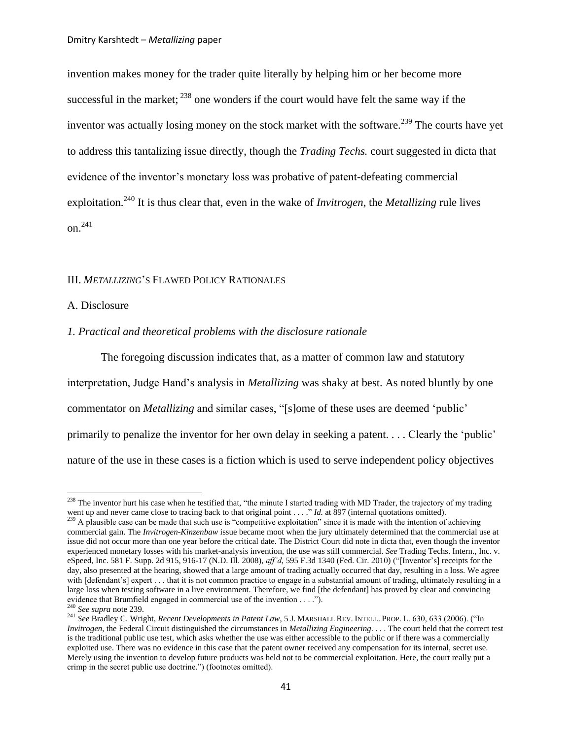<span id="page-40-0"></span>invention makes money for the trader quite literally by helping him or her become more successful in the market;  $^{238}$  one wonders if the court would have felt the same way if the inventor was actually losing money on the stock market with the software.<sup>239</sup> The courts have yet to address this tantalizing issue directly, though the *Trading Techs.* court suggested in dicta that evidence of the inventor"s monetary loss was probative of patent-defeating commercial exploitation.<sup>240</sup> It is thus clear that, even in the wake of *Invitrogen*, the *Metallizing* rule lives on. 241

## <span id="page-40-1"></span>III. *METALLIZING*"S FLAWED POLICY RATIONALES

## A. Disclosure

#### *1. Practical and theoretical problems with the disclosure rationale*

The foregoing discussion indicates that, as a matter of common law and statutory interpretation, Judge Hand"s analysis in *Metallizing* was shaky at best. As noted bluntly by one commentator on *Metallizing* and similar cases, "[s]ome of these uses are deemed "public" primarily to penalize the inventor for her own delay in seeking a patent. . . . Clearly the "public" nature of the use in these cases is a fiction which is used to serve independent policy objectives

 $^{238}$  The inventor hurt his case when he testified that, "the minute I started trading with MD Trader, the trajectory of my trading went up and never came close to tracing back to that original point . . . ." *Id.* at 897 (internal quotations omitted).

<sup>&</sup>lt;sup>239</sup> A plausible case can be made that such use is "competitive exploitation" since it is made with the intention of achieving commercial gain. The *Invitrogen*-*Kinzenbaw* issue became moot when the jury ultimately determined that the commercial use at issue did not occur more than one year before the critical date. The District Court did note in dicta that, even though the inventor experienced monetary losses with his market-analysis invention, the use was still commercial. *See* Trading Techs. Intern., Inc. v. eSpeed, Inc. 581 F. Supp. 2d 915, 916-17 (N.D. Ill. 2008), *aff"d*, 595 F.3d 1340 (Fed. Cir. 2010) ("[Inventor"s] receipts for the day, also presented at the hearing, showed that a large amount of trading actually occurred that day, resulting in a loss. We agree with [defendant's] expert . . . that it is not common practice to engage in a substantial amount of trading, ultimately resulting in a large loss when testing software in a live environment. Therefore, we find [the defendant] has proved by clear and convincing evidence that Brumfield engaged in commercial use of the invention . . . .").

<sup>240</sup> *See supra* not[e 239.](#page-40-0)

<sup>241</sup> *See* Bradley C. Wright, *Recent Developments in Patent Law*, 5 J. MARSHALL REV. INTELL. PROP. L. 630, 633 (2006). ("In *Invitrogen*, the Federal Circuit distinguished the circumstances in *Metallizing Engineering*. . . . The court held that the correct test is the traditional public use test, which asks whether the use was either accessible to the public or if there was a commercially exploited use. There was no evidence in this case that the patent owner received any compensation for its internal, secret use. Merely using the invention to develop future products was held not to be commercial exploitation. Here, the court really put a crimp in the secret public use doctrine.") (footnotes omitted).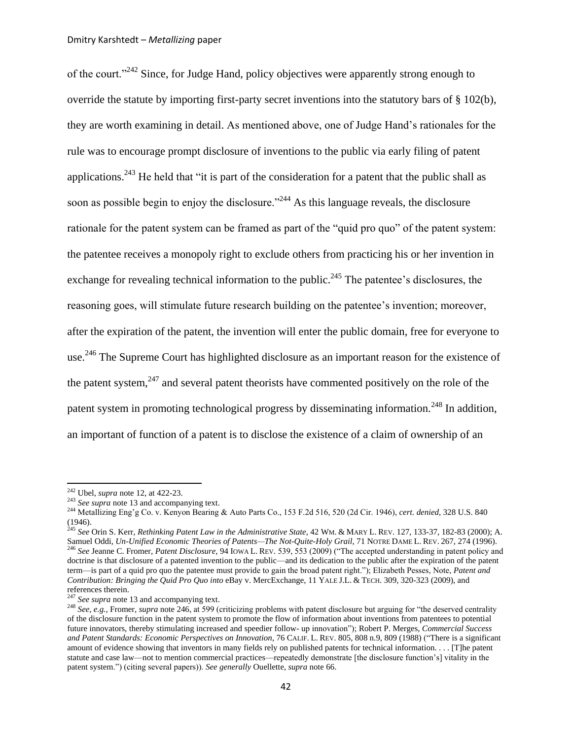<span id="page-41-2"></span>of the court."<sup>242</sup> Since, for Judge Hand, policy objectives were apparently strong enough to override the statute by importing first-party secret inventions into the statutory bars of § 102(b), they are worth examining in detail. As mentioned above, one of Judge Hand"s rationales for the rule was to encourage prompt disclosure of inventions to the public via early filing of patent applications.<sup>243</sup> He held that "it is part of the consideration for a patent that the public shall as soon as possible begin to enjoy the disclosure."<sup>244</sup> As this language reveals, the disclosure rationale for the patent system can be framed as part of the "quid pro quo" of the patent system: the patentee receives a monopoly right to exclude others from practicing his or her invention in exchange for revealing technical information to the public.<sup>245</sup> The patentee's disclosures, the reasoning goes, will stimulate future research building on the patentee"s invention; moreover, after the expiration of the patent, the invention will enter the public domain, free for everyone to use.<sup>246</sup> The Supreme Court has highlighted disclosure as an important reason for the existence of the patent system, $^{247}$  and several patent theorists have commented positively on the role of the patent system in promoting technological progress by disseminating information.<sup>248</sup> In addition, an important of function of a patent is to disclose the existence of a claim of ownership of an

<sup>245</sup> *See* Orin S. Kerr, *Rethinking Patent Law in the Administrative State*, 42 WM. & MARY L. REV. 127, 133-37, 182-83 (2000); A. Samuel Oddi, *[Un-Unified Economic Theories of Patents—The Not-Quite-Holy Grail](http://web2.westlaw.com/find/default.wl?tf=-1&rs=WLW11.04&referencepositiontype=S&serialnum=0106127233&fn=_top&sv=Split&referenceposition=271&findtype=Y&tc=-1&ordoc=0281621512&db=1211&vr=2.0&rp=%2ffind%2fdefault.wl&pbc=ADB895E3)*, 71 NOTRE DAME L. REV. 267, 274 (1996). <sup>246</sup> *See* Jeanne C. Fromer, *Patent Disclosure*, 94 IOWA L. REV. 539, 553 (2009) ("The accepted understanding in patent policy and doctrine is that disclosure of a patented invention to the public—and its dedication to the public after the expiration of the patent term—is part of a quid pro quo the patentee must provide to gain the broad patent right."); Elizabeth Pesses, Note, *Patent and Contribution: Bringing the Quid Pro Quo into* eBay v. MercExchange, 11 YALE J.L. & TECH. 309, 320-323 (2009), and

references therein.

<span id="page-41-1"></span><span id="page-41-0"></span> $\overline{a}$ 

<sup>247</sup> See supra not[e 13](#page-3-0) and accompanying text.

<sup>242</sup> Ubel, *supra* not[e 12,](#page-3-1) at 422-23.

<sup>&</sup>lt;sup>243</sup> *See supra* not[e 13](#page-3-0) and accompanying text.

<sup>244</sup> Metallizing Eng"g Co. v. Kenyon Bearing & Auto Parts Co., 153 F.2d 516, 520 (2d Cir. 1946), *cert. denied*, 328 U.S. 840 (1946).

<sup>&</sup>lt;sup>248</sup> *See, e.g.*, Fromer, *supra* not[e 246,](#page-41-0) at 599 (criticizing problems with patent disclosure but arguing for "the deserved centrality" of the disclosure function in the patent system to promote the flow of information about inventions from patentees to potential future innovators, thereby stimulating increased and speedier follow- up innovation"); Robert P. Merges, *Commercial Success and Patent Standards: Economic Perspectives on Innovation*, 76 CALIF. L. REV. 805, 808 n.9, 809 (1988) ("There is a significant amount of evidence showing that inventors in many fields rely on published patents for technical information. . . . [T]he patent statute and case law—not to mention commercial practices—repeatedly demonstrate [the disclosure function"s] vitality in the patent system.") (citing several papers)). *See generally* Ouellette, *supra* note [66.](#page-11-1)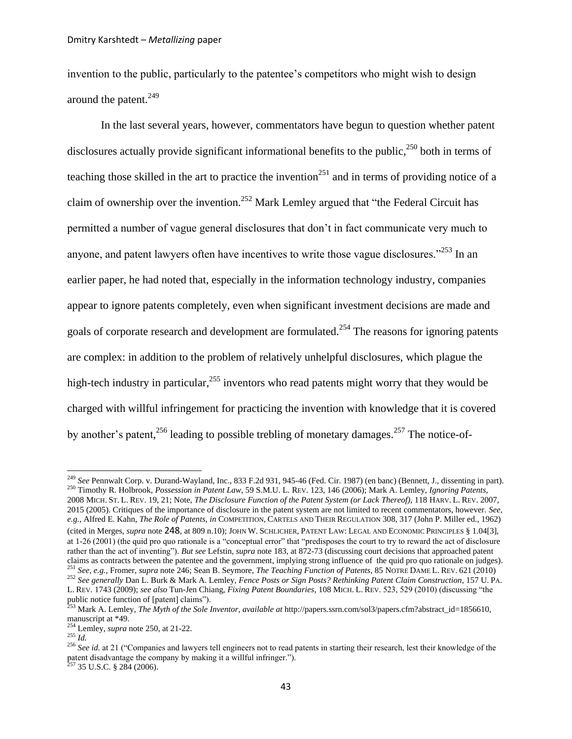invention to the public, particularly to the patentee's competitors who might wish to design around the patent.<sup>249</sup>

<span id="page-42-4"></span><span id="page-42-2"></span><span id="page-42-1"></span><span id="page-42-0"></span>In the last several years, however, commentators have begun to question whether patent disclosures actually provide significant informational benefits to the public,<sup>250</sup> both in terms of teaching those skilled in the art to practice the invention<sup>251</sup> and in terms of providing notice of a claim of ownership over the invention.<sup>252</sup> Mark Lemley argued that "the Federal Circuit has permitted a number of vague general disclosures that don"t in fact communicate very much to anyone, and patent lawyers often have incentives to write those vague disclosures.<sup>2253</sup> In an earlier paper, he had noted that, especially in the information technology industry, companies appear to ignore patents completely, even when significant investment decisions are made and goals of corporate research and development are formulated.<sup>254</sup> The reasons for ignoring patents are complex: in addition to the problem of relatively unhelpful disclosures, which plague the high-tech industry in particular,  $255$  inventors who read patents might worry that they would be charged with willful infringement for practicing the invention with knowledge that it is covered by another's patent,<sup>256</sup> leading to possible trebling of monetary damages.<sup>257</sup> The notice-of-

<span id="page-42-3"></span>l

<sup>249</sup> *See* [Pennwalt Corp. v. Durand-Wayland, Inc., 833 F.2d 931, 945-46 \(Fed. Cir. 1987\)](http://web2.westlaw.com/find/default.wl?referencepositiontype=S&serialnum=1987138946&referenceposition=945&rp=%2ffind%2fdefault.wl&sv=Split&rs=WLW11.04&db=350&tf=-1&findtype=Y&fn=_top&tc=-1&vr=2.0&pbc=D6922B9E&ordoc=0110349571) (en banc) (Bennett, J., dissenting in part). <sup>250</sup> Timothy R. Holbrook, *Possession in Patent Law*, 59 S.M.U. L. REV. 123, 146 (2006); Mark A. Lemley, *Ignoring Patents*, 2008 MICH. ST. L. REV. 19, 21; Note, *The Disclosure Function of the Patent System (or Lack Thereof)*, 118 HARV. L. REV. 2007, 2015 (2005). Critiques of the importance of disclosure in the patent system are not limited to recent commentators, however. *See, e.g.*, Alfred E. Kahn, *The Role of Patents*, *in* COMPETITION, CARTELS AND THEIR REGULATION 308, 317 (John P. Miller ed., 1962) (cited in Merges, *supra* note [248](#page-41-1), at 809 n.10); JOHN W. SCHLICHER, PATENT LAW: LEGAL AND ECONOMIC PRINCIPLES § 1.04[3], at 1-26 (2001) (the quid pro quo rationale is a "conceptual error" that "predisposes the court to try to reward the act of disclosure rather than the act of inventing"). *But see* Lefstin, *supra* note [183,](#page-31-1) at 872-73 (discussing court decisions that approached patent claims as contracts between the patentee and the government, implying strong influence of the quid pro quo rationale on judges). <sup>251</sup> *See, e.g.*, Fromer, *supra* not[e 246;](#page-41-0) Sean B. Seymore, *The Teaching Function of Patents*, 85 NOTRE DAME L. REV. 621 (2010) <sup>252</sup> *See generally* Dan L. Burk & Mark A. Lemley, *Fence Posts or Sign Posts? Rethinking Patent Claim Construction*, 157 U. PA. L. REV. 1743 (2009); *see also* Tun-Jen Chiang, *Fixing Patent Boundaries*, 108 MICH. L. REV. 523, 529 (2010) (discussing "the

public notice function of [patent] claims"). <sup>253</sup> Mark A. Lemley, *The Myth of the Sole Inventor*, *available at* http://papers.ssrn.com/sol3/papers.cfm?abstract\_id=1856610, manuscript at \*49.

<sup>254</sup> Lemley, *supra* not[e 250,](#page-42-0) at 21-22.

 $^{255}$   $\overline{Id}$ .

<sup>&</sup>lt;sup>256</sup> See id. at 21 ("Companies and lawyers tell engineers not to read patents in starting their research, lest their knowledge of the patent disadvantage the company by making it a willful infringer.").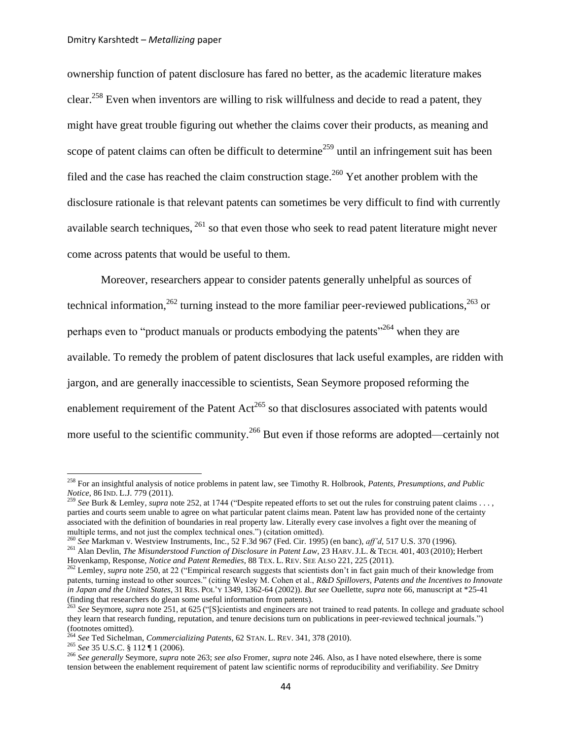ownership function of patent disclosure has fared no better, as the academic literature makes clear.<sup>258</sup> Even when inventors are willing to risk willfulness and decide to read a patent, they might have great trouble figuring out whether the claims cover their products, as meaning and scope of patent claims can often be difficult to determine<sup>259</sup> until an infringement suit has been filed and the case has reached the claim construction stage.<sup>260</sup> Yet another problem with the disclosure rationale is that relevant patents can sometimes be very difficult to find with currently available search techniques, <sup>261</sup> so that even those who seek to read patent literature might never come across patents that would be useful to them.

<span id="page-43-2"></span><span id="page-43-1"></span><span id="page-43-0"></span>Moreover, researchers appear to consider patents generally unhelpful as sources of technical information,  $262$  turning instead to the more familiar peer-reviewed publications,  $263$  or perhaps even to "product manuals or products embodying the patents"<sup>264</sup> when they are available. To remedy the problem of patent disclosures that lack useful examples, are ridden with jargon, and are generally inaccessible to scientists, Sean Seymore proposed reforming the enablement requirement of the Patent Act<sup>265</sup> so that disclosures associated with patents would more useful to the scientific community.<sup>266</sup> But even if those reforms are adopted—certainly not

<sup>258</sup> For an insightful analysis of notice problems in patent law, see Timothy R. Holbrook, *Patents, Presumptions, and Public Notice*, 86 IND. L.J. 779 (2011).<br><sup>259</sup> S<sub>AL</sub>D 1.6 -

<sup>259</sup> *See* Burk & Lemley, *supra* note [252,](#page-42-1) at 1744 ("Despite repeated efforts to set out the rules for construing patent claims . . . , parties and courts seem unable to agree on what particular patent claims mean. Patent law has provided none of the certainty associated with the definition of boundaries in real property law. Literally every case involves a fight over the meaning of multiple terms, and not just the complex technical ones.") (citation omitted).

<sup>260</sup> *See* Markman v. Westview Instruments, Inc*.*, 52 F.3d 967 (Fed. Cir. 1995) (en banc), *aff"d*, 517 U.S. 370 (1996).

<sup>261</sup> Alan Devlin, *The Misunderstood Function of Disclosure in Patent Law*, 23 HARV.J.L. & TECH. 401, 403 (2010); Herbert Hovenkamp, Response, *Notice and Patent Remedies*, 88 TEX. L. REV. SEE ALSO 221, 225 (2011).

<sup>&</sup>lt;sup>262</sup> Lemley, *supra* not[e 250,](#page-42-0) at 22 ("Empirical research suggests that scientists don't in fact gain much of their knowledge from patents, turning instead to other sources." (citing Wesley M. Cohen et al., *R&D Spillovers, Patents and the Incentives to Innovate in Japan and the United States*, 31 RES. POL"Y 1349, 1362-64 (2002)). *But see* Ouellette, *supra* not[e 66,](#page-11-1) manuscript at \*25-41 (finding that researchers do glean some useful information from patents).

<sup>263</sup> *See* Seymore, *supra* note [251,](#page-42-2) at 625 ("[S]cientists and engineers are not trained to read patents. In college and graduate school they learn that research funding, reputation, and tenure decisions turn on publications in peer-reviewed technical journals.")  $\frac{1}{264}$  (footnotes omitted).

<sup>&</sup>lt;sup>4</sup> See Ted Sichelman, *Commercializing Patents*, 62 STAN, L. REV. 341, 378 (2010).

<sup>265</sup> *See* 35 U.S.C. § 112 ¶ 1 (2006).

<sup>266</sup> *See generally* Seymore, *supra* note [263;](#page-43-0) *see also* Fromer, *supra* note [246.](#page-41-0) Also, as I have noted elsewhere, there is some tension between the enablement requirement of patent law scientific norms of reproducibility and verifiability. *See* Dmitry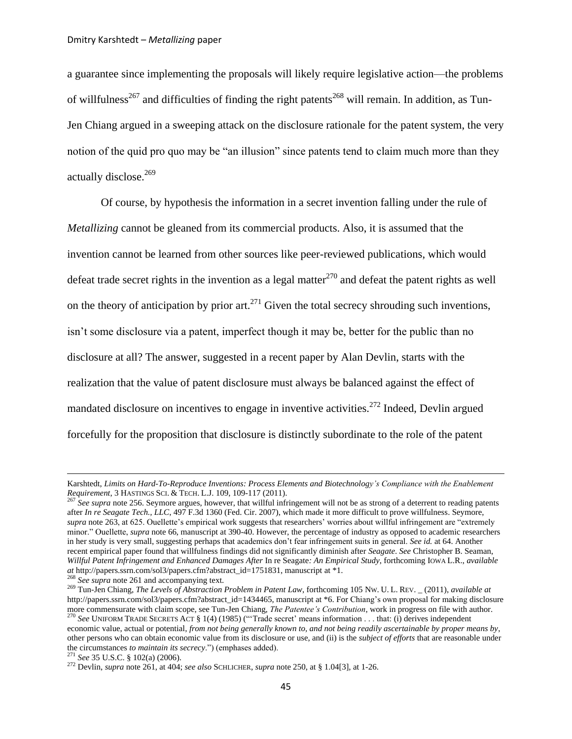a guarantee since implementing the proposals will likely require legislative action—the problems of willfulness<sup>267</sup> and difficulties of finding the right patents<sup>268</sup> will remain. In addition, as Tun-Jen Chiang argued in a sweeping attack on the disclosure rationale for the patent system, the very notion of the quid pro quo may be "an illusion" since patents tend to claim much more than they actually disclose.<sup>269</sup>

<span id="page-44-2"></span><span id="page-44-0"></span>Of course, by hypothesis the information in a secret invention falling under the rule of *Metallizing* cannot be gleaned from its commercial products. Also, it is assumed that the invention cannot be learned from other sources like peer-reviewed publications, which would defeat trade secret rights in the invention as a legal matter<sup>270</sup> and defeat the patent rights as well on the theory of anticipation by prior art.<sup>271</sup> Given the total secrecy shrouding such inventions, isn"t some disclosure via a patent, imperfect though it may be, better for the public than no disclosure at all? The answer, suggested in a recent paper by Alan Devlin, starts with the realization that the value of patent disclosure must always be balanced against the effect of mandated disclosure on incentives to engage in inventive activities.<sup>272</sup> Indeed, Devlin argued forcefully for the proposition that disclosure is distinctly subordinate to the role of the patent

<span id="page-44-1"></span>Karshtedt, *Limits on Hard-To-Reproduce Inventions: Process Elements and Biotechnology"s Compliance with the Enablement Requirement*, 3 HASTINGS SCI. & TECH. L.J. 109, 109-117 (2011).<br><sup>267</sup> See surve and 255. S

<sup>267</sup> *See supra* not[e 256.](#page-42-3) Seymore argues, however, that willful infringement will not be as strong of a deterrent to reading patents after *In re Seagate Tech., LLC*, 497 F.3d 1360 (Fed. Cir. 2007), which made it more difficult to prove willfulness. Seymore, *supra* not[e 263,](#page-43-0) at 625. Ouellette's empirical work suggests that researchers' worries about willful infringement are "extremely minor." Ouellette, *supra* note [66,](#page-11-1) manuscript at 390-40. However, the percentage of industry as opposed to academic researchers in her study is very small, suggesting perhaps that academics don"t fear infringement suits in general. *See id.* at 64. Another recent empirical paper found that willfulness findings did not significantly diminish after *Seagate*. *See* [Christopher B. Seaman,](http://www.kentlaw.edu/faculty/cseaman/) *[Willful Patent Infringement and Enhanced Damages After](http://ssrn.com/abstract=1751831)* In re Seagate*: An Empirical Study*, forthcoming IOWA L.R., *available at* [http://papers.ssrn.com/sol3/papers.cfm?abstract\\_id=1751831,](http://papers.ssrn.com/sol3/papers.cfm?abstract_id=1751831) manuscript at \*1.

<sup>&</sup>lt;sup>268</sup> See supra not[e 261](#page-43-1) and accompanying text.

<sup>269</sup> Tun-Jen Chiang, *The Levels of Abstraction Problem in Patent Law*, forthcoming 105 NW. U. L. REV. \_ (2011), *available at*  http://papers.ssrn.com/sol3/papers.cfm?abstract\_id=1434465, manuscript at \*6. For Chiang's own proposal for making disclosure more commensurate with claim scope, see Tun-Jen Chiang, *The Patentee"s Contribution*, work in progress on file with author. <sup>270</sup> *See* UNIFORM TRADE SECRETS ACT § 1(4) (1985) (""Trade secret" means information . . . that: (i) derives independent economic value, actual or potential, *from not being generally known to, and not being readily ascertainable by proper means by*, other persons who can obtain economic value from its disclosure or use, and (ii) is the *subject of efforts* that are reasonable under the circumstances *to maintain its secrecy*.") (emphases added).

<sup>271</sup> *See* 35 U.S.C. § 102(a) (2006).

<sup>272</sup> Devlin, *supra* not[e 261,](#page-43-1) at 404; *see also* SCHLICHER, *supra* not[e 250,](#page-42-0) at § 1.04[3], at 1-26.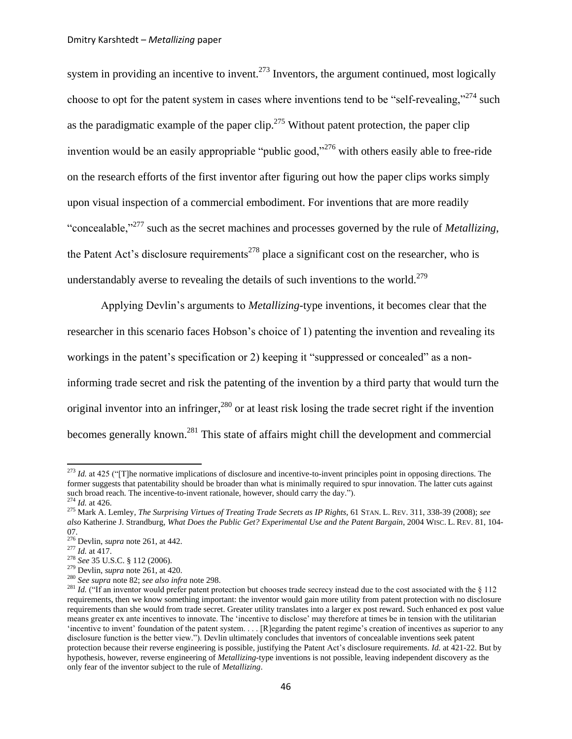<span id="page-45-3"></span>system in providing an incentive to invent.<sup>273</sup> Inventors, the argument continued, most logically choose to opt for the patent system in cases where inventions tend to be "self-revealing,"<sup>274</sup> such as the paradigmatic example of the paper clip.<sup>275</sup> Without patent protection, the paper clip invention would be an easily appropriable "public good,"<sup>276</sup> with others easily able to free-ride on the research efforts of the first inventor after figuring out how the paper clips works simply upon visual inspection of a commercial embodiment. For inventions that are more readily "concealable,"<sup>277</sup> such as the secret machines and processes governed by the rule of *Metallizing*, the Patent Act's disclosure requirements<sup>278</sup> place a significant cost on the researcher, who is understandably averse to revealing the details of such inventions to the world.<sup>279</sup>

<span id="page-45-2"></span>Applying Devlin"s arguments to *Metallizing*-type inventions, it becomes clear that the researcher in this scenario faces Hobson"s choice of 1) patenting the invention and revealing its workings in the patent's specification or 2) keeping it "suppressed or concealed" as a noninforming trade secret and risk the patenting of the invention by a third party that would turn the original inventor into an infringer,  $^{280}$  or at least risk losing the trade secret right if the invention becomes generally known.<sup>281</sup> This state of affairs might chill the development and commercial

<span id="page-45-1"></span><span id="page-45-0"></span><sup>&</sup>lt;sup>273</sup> *Id.* at 425 ("[T]he normative implications of disclosure and incentive-to-invent principles point in opposing directions. The former suggests that patentability should be broader than what is minimally required to spur innovation. The latter cuts against such broad reach. The incentive-to-invent rationale, however, should carry the day.").

<sup>274</sup> *Id.* at 426.

<sup>275</sup> Mark A. Lemley, *The Surprising Virtues of Treating Trade Secrets as IP Rights*, 61 STAN. L. REV. 311, 338-39 (2008); *see also* Katherine J. Strandburg, *What Does the Public Get? Experimental Use and the Patent Bargain*, 2004 WISC. L. REV. 81, 104- 07.

<sup>276</sup> Devlin, *supra* not[e 261,](#page-43-1) at 442.

<sup>277</sup> *Id.* at 417.

<sup>278</sup> *See* 35 U.S.C. § 112 (2006).

<sup>279</sup> Devlin, *supra* not[e 261,](#page-43-1) at 420.

<sup>280</sup> *See supra* note 82; *see also infra* not[e 298.](#page-49-0)

<sup>&</sup>lt;sup>281</sup> *Id.* ("If an inventor would prefer patent protection but chooses trade secrecy instead due to the cost associated with the § 112 requirements, then we know something important: the inventor would gain more utility from patent protection with no disclosure requirements than she would from trade secret. Greater utility translates into a larger ex post reward. Such enhanced ex post value means greater ex ante incentives to innovate. The "incentive to disclose" may therefore at times be in tension with the utilitarian "incentive to invent" foundation of the patent system. . . . [R]egarding the patent regime"s creation of incentives as superior to any disclosure function is the better view."). Devlin ultimately concludes that inventors of concealable inventions seek patent protection because their reverse engineering is possible, justifying the Patent Act"s disclosure requirements. *Id.* at 421-22. But by hypothesis, however, reverse engineering of *Metallizing*-type inventions is not possible, leaving independent discovery as the only fear of the inventor subject to the rule of *Metallizing*.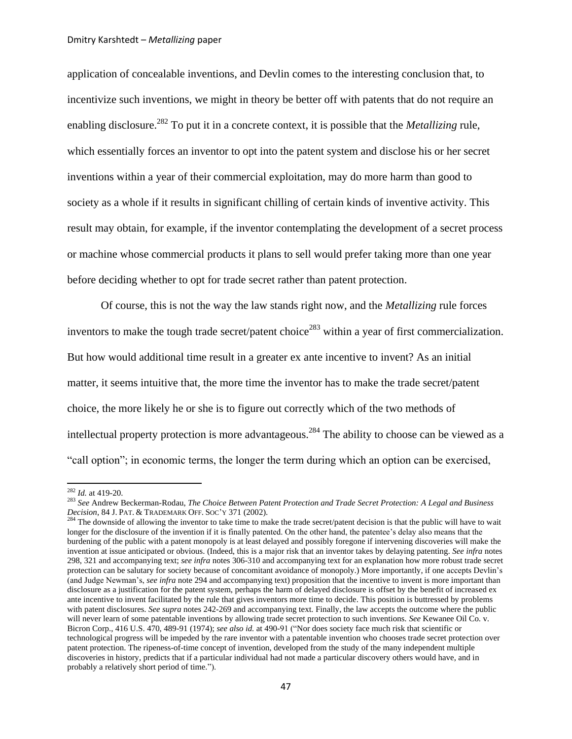application of concealable inventions, and Devlin comes to the interesting conclusion that, to incentivize such inventions, we might in theory be better off with patents that do not require an enabling disclosure.<sup>282</sup> To put it in a concrete context, it is possible that the *Metallizing* rule, which essentially forces an inventor to opt into the patent system and disclose his or her secret inventions within a year of their commercial exploitation, may do more harm than good to society as a whole if it results in significant chilling of certain kinds of inventive activity. This result may obtain, for example, if the inventor contemplating the development of a secret process or machine whose commercial products it plans to sell would prefer taking more than one year before deciding whether to opt for trade secret rather than patent protection.

Of course, this is not the way the law stands right now, and the *Metallizing* rule forces inventors to make the tough trade secret/patent choice<sup>283</sup> within a year of first commercialization. But how would additional time result in a greater ex ante incentive to invent? As an initial matter, it seems intuitive that, the more time the inventor has to make the trade secret/patent choice, the more likely he or she is to figure out correctly which of the two methods of intellectual property protection is more advantageous.<sup>284</sup> The ability to choose can be viewed as a "call option"; in economic terms, the longer the term during which an option can be exercised,

<span id="page-46-0"></span><sup>282</sup> *Id.* at 419-20.

<sup>283</sup> *See* Andrew Beckerman-Rodau, *The Choice Between Patent Protection and Trade Secret Protection: A Legal and Business Decision*, 84 J. PAT. & TRADEMARK OFF. SOC"Y 371 (2002).

<sup>&</sup>lt;sup>284</sup> The downside of allowing the inventor to take time to make the trade secret/patent decision is that the public will have to wait longer for the disclosure of the invention if it is finally patented. On the other hand, the patentee's delay also means that the burdening of the public with a patent monopoly is at least delayed and possibly foregone if intervening discoveries will make the invention at issue anticipated or obvious. (Indeed, this is a major risk that an inventor takes by delaying patenting. *See infra* notes [298,](#page-49-0) [321](#page-52-0) and accompanying text; *see infra* note[s 306](#page-50-0)[-310](#page-50-1) and accompanying text for an explanation how more robust trade secret protection can be salutary for society because of concomitant avoidance of monopoly.) More importantly, if one accepts Devlin"s (and Judge Newman"s, *see infra* not[e 294](#page-48-0) and accompanying text) proposition that the incentive to invent is more important than disclosure as a justification for the patent system, perhaps the harm of delayed disclosure is offset by the benefit of increased ex ante incentive to invent facilitated by the rule that gives inventors more time to decide. This position is buttressed by problems with patent disclosures. *See supra* note[s 242](#page-41-2)[-269](#page-44-0) and accompanying text. Finally, the law accepts the outcome where the public will never learn of some patentable inventions by allowing trade secret protection to such inventions. *See* Kewanee Oil Co. v. Bicron Corp., 416 U.S. 470, 489-91 (1974); *see also id.* at 490-91 ("Nor does society face much risk that scientific or technological progress will be impeded by the rare inventor with a patentable invention who chooses trade secret protection over patent protection. The ripeness-of-time concept of invention, developed from the study of the many independent multiple discoveries in history, predicts that if a particular individual had not made a particular discovery others would have, and in probably a relatively short period of time.").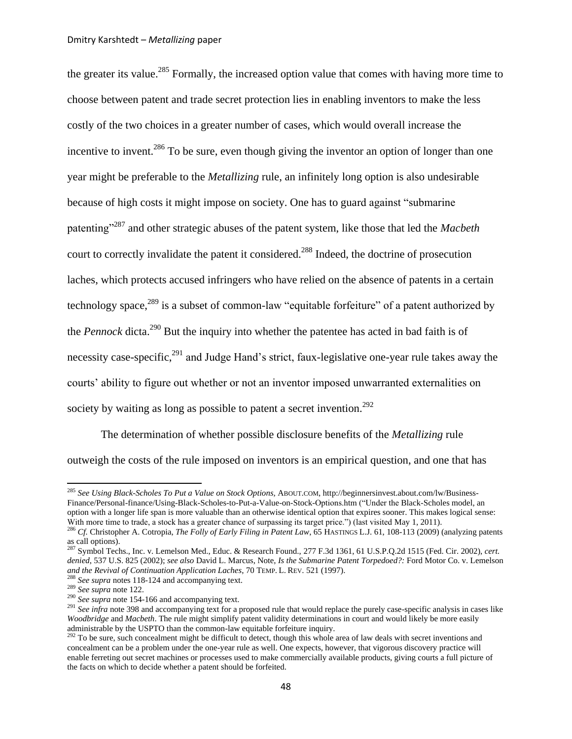<span id="page-47-0"></span>the greater its value.<sup>285</sup> Formally, the increased option value that comes with having more time to choose between patent and trade secret protection lies in enabling inventors to make the less costly of the two choices in a greater number of cases, which would overall increase the incentive to invent.<sup>286</sup> To be sure, even though giving the inventor an option of longer than one year might be preferable to the *Metallizing* rule, an infinitely long option is also undesirable because of high costs it might impose on society. One has to guard against "submarine patenting"<sup>287</sup> and other strategic abuses of the patent system, like those that led the *Macbeth*  court to correctly invalidate the patent it considered.<sup>288</sup> Indeed, the doctrine of prosecution laches, which protects accused infringers who have relied on the absence of patents in a certain technology space,  $289$  is a subset of common-law "equitable forfeiture" of a patent authorized by the *Pennock* dicta.<sup>290</sup> But the inquiry into whether the patentee has acted in bad faith is of necessity case-specific,<sup>291</sup> and Judge Hand's strict, faux-legislative one-year rule takes away the courts" ability to figure out whether or not an inventor imposed unwarranted externalities on society by waiting as long as possible to patent a secret invention.<sup>292</sup>

<span id="page-47-1"></span>The determination of whether possible disclosure benefits of the *Metallizing* rule outweigh the costs of the rule imposed on inventors is an empirical question, and one that has

<sup>285</sup> *See Using Black-Scholes To Put a Value on Stock Options,* ABOUT.COM, http://beginnersinvest.about.com/lw/Business-Finance/Personal-finance/Using-Black-Scholes-to-Put-a-Value-on-Stock-Options.htm ("Under the Black-Scholes model, an option with a longer life span is more valuable than an otherwise identical option that expires sooner. This makes logical sense: With more time to trade, a stock has a greater chance of surpassing its target price.") (last visited May 1, 2011).

<sup>286</sup> *Cf.* Christopher A. Cotropia, *The Folly of Early Filing in Patent Law*, 65 HASTINGS L.J. 61, 108-113 (2009) (analyzing patents  $\frac{1}{287}$  call options).

<sup>287</sup> Symbol Techs., Inc. v. Lemelson Med., Educ. & Research Found., 277 F.3d 1361, 61 U.S.P.Q.2d 1515 (Fed. Cir. 2002), *cert. denied*, 537 U.S. 825 (2002); *see also* David L. Marcus, Note, *Is the Submarine Patent Torpedoed?:* Ford Motor Co. v. Lemelson *and the Revival of Continuation Application Laches*, 70 TEMP. L. REV. 521 (1997).

<sup>288</sup> *See supra* notes [118-](#page-20-1)[124](#page-21-1) and accompanying text.

<sup>289</sup> *See supra* not[e 122.](#page-21-0)

<sup>&</sup>lt;sup>290</sup> *See supra* not[e 154-](#page-26-0)[166](#page-28-0) and accompanying text.

<sup>&</sup>lt;sup>291</sup> See infra not[e 398](#page-64-0) and accompanying text for a proposed rule that would replace the purely case-specific analysis in cases like *Woodbridge* and *Macbeth*. The rule might simplify patent validity determinations in court and would likely be more easily administrable by the USPTO than the common-law equitable forfeiture inquiry.

 $292$  To be sure, such concealment might be difficult to detect, though this whole area of law deals with secret inventions and concealment can be a problem under the one-year rule as well. One expects, however, that vigorous discovery practice will enable ferreting out secret machines or processes used to make commercially available products, giving courts a full picture of the facts on which to decide whether a patent should be forfeited.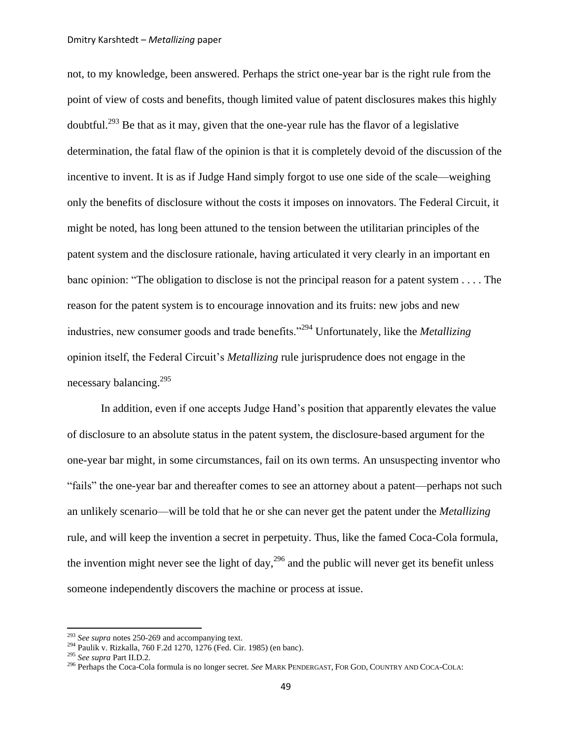not, to my knowledge, been answered. Perhaps the strict one-year bar is the right rule from the point of view of costs and benefits, though limited value of patent disclosures makes this highly doubtful.<sup>293</sup> Be that as it may, given that the one-year rule has the flavor of a legislative determination, the fatal flaw of the opinion is that it is completely devoid of the discussion of the incentive to invent. It is as if Judge Hand simply forgot to use one side of the scale—weighing only the benefits of disclosure without the costs it imposes on innovators. The Federal Circuit, it might be noted, has long been attuned to the tension between the utilitarian principles of the patent system and the disclosure rationale, having articulated it very clearly in an important en banc opinion: "The obligation to disclose is not the principal reason for a patent system . . . . The reason for the patent system is to encourage innovation and its fruits: new jobs and new industries, new consumer goods and trade benefits."<sup>294</sup> Unfortunately, like the *Metallizing* opinion itself, the Federal Circuit's *Metallizing* rule jurisprudence does not engage in the necessary balancing.<sup>295</sup>

<span id="page-48-0"></span>In addition, even if one accepts Judge Hand"s position that apparently elevates the value of disclosure to an absolute status in the patent system, the disclosure-based argument for the one-year bar might, in some circumstances, fail on its own terms. An unsuspecting inventor who "fails" the one-year bar and thereafter comes to see an attorney about a patent—perhaps not such an unlikely scenario—will be told that he or she can never get the patent under the *Metallizing* rule, and will keep the invention a secret in perpetuity. Thus, like the famed Coca-Cola formula, the invention might never see the light of day,  $296$  and the public will never get its benefit unless someone independently discovers the machine or process at issue.

<sup>293</sup> *See supra* notes [250-](#page-42-0)[269](#page-44-0) and accompanying text.

<sup>294</sup> Paulik v. Rizkalla, 760 F.2d 1270, 1276 (Fed. Cir. 1985) (en banc).

<sup>295</sup> *See supra* Part II.D.2.

<sup>296</sup> Perhaps the Coca-Cola formula is no longer secret. *See* MARK PENDERGAST, FOR GOD, COUNTRY AND COCA-COLA: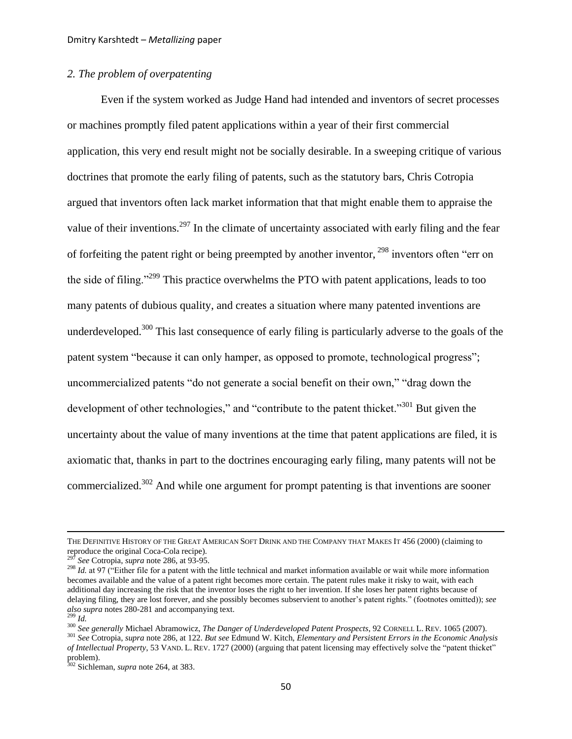## *2. The problem of overpatenting*

<span id="page-49-0"></span>Even if the system worked as Judge Hand had intended and inventors of secret processes or machines promptly filed patent applications within a year of their first commercial application, this very end result might not be socially desirable. In a sweeping critique of various doctrines that promote the early filing of patents, such as the statutory bars, Chris Cotropia argued that inventors often lack market information that that might enable them to appraise the value of their inventions.<sup>297</sup> In the climate of uncertainty associated with early filing and the fear of forfeiting the patent right or being preempted by another inventor, <sup>298</sup> inventors often "err on the side of filing."<sup>299</sup> This practice overwhelms the PTO with patent applications, leads to too many patents of dubious quality, and creates a situation where many patented inventions are underdeveloped.<sup>300</sup> This last consequence of early filing is particularly adverse to the goals of the patent system "because it can only hamper, as opposed to promote, technological progress"; uncommercialized patents "do not generate a social benefit on their own," "drag down the development of other technologies," and "contribute to the patent thicket."<sup>301</sup> But given the uncertainty about the value of many inventions at the time that patent applications are filed, it is axiomatic that, thanks in part to the doctrines encouraging early filing, many patents will not be commercialized.<sup>302</sup> And while one argument for prompt patenting is that inventions are sooner

THE DEFINITIVE HISTORY OF THE GREAT AMERICAN SOFT DRINK AND THE COMPANY THAT MAKES IT 456 (2000) (claiming to reproduce the original Coca-Cola recipe).

<sup>297</sup> *See* Cotropia, *supra* not[e 286,](#page-47-0) at 93-95.

<sup>&</sup>lt;sup>298</sup> *Id.* at 97 ("Either file for a patent with the little technical and market information available or wait while more information becomes available and the value of a patent right becomes more certain. The patent rules make it risky to wait, with each additional day increasing the risk that the inventor loses the right to her invention. If she loses her patent rights because of delaying filing, they are lost forever, and she possibly becomes subservient to another"s patent rights." (footnotes omitted)); *see also supra* note[s 280-](#page-45-0)[281](#page-45-1) and accompanying text.

<sup>299</sup> *Id.*

<sup>300</sup> *See generally* Michael Abramowicz, *The Danger of Underdeveloped Patent Prospects*, 92 CORNELL L. REV. 1065 (2007).

<sup>301</sup> *See* Cotropia, *supra* not[e 286,](#page-47-0) at 122. *But see* Edmund W. Kitch, *Elementary and Persistent Errors in the Economic Analysis of Intellectual Property*, 53 VAND. L. REV. 1727 (2000) (arguing that patent licensing may effectively solve the "patent thicket" problem).

<sup>302</sup> Sichleman, *supra* not[e 264,](#page-43-2) at 383.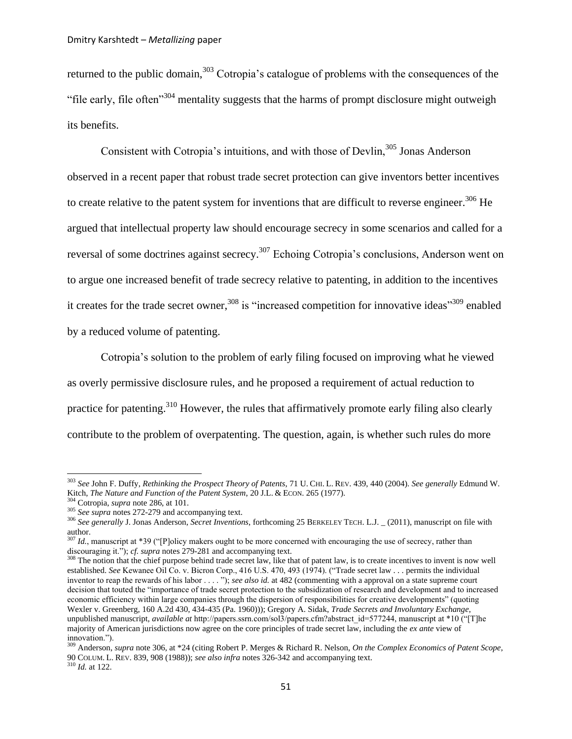returned to the public domain,<sup>303</sup> Cotropia's catalogue of problems with the consequences of the "file early, file often"<sup>304</sup> mentality suggests that the harms of prompt disclosure might outweigh its benefits.

<span id="page-50-2"></span><span id="page-50-0"></span>Consistent with Cotropia's intuitions, and with those of Devlin,<sup>305</sup> Jonas Anderson observed in a recent paper that robust trade secret protection can give inventors better incentives to create relative to the patent system for inventions that are difficult to reverse engineer.<sup>306</sup> He argued that intellectual property law should encourage secrecy in some scenarios and called for a reversal of some doctrines against secrecy.<sup>307</sup> Echoing Cotropia's conclusions, Anderson went on to argue one increased benefit of trade secrecy relative to patenting, in addition to the incentives it creates for the trade secret owner,<sup>308</sup> is "increased competition for innovative ideas"<sup>309</sup> enabled by a reduced volume of patenting.

<span id="page-50-1"></span>Cotropia"s solution to the problem of early filing focused on improving what he viewed as overly permissive disclosure rules, and he proposed a requirement of actual reduction to practice for patenting.<sup>310</sup> However, the rules that affirmatively promote early filing also clearly contribute to the problem of overpatenting. The question, again, is whether such rules do more

<sup>303</sup> *See* John F. Duffy, *Rethinking the Prospect Theory of Patents*, 71 U. CHI. L. REV. 439, 440 (2004). *See generally* Edmund W. Kitch, *The Nature and Function of the Patent System*, 20 J.L. & ECON. 265 (1977).

Cotropia, *supra* note [286,](#page-47-0) at 101.

<sup>305</sup> *See supra* notes [272-](#page-44-1)[279](#page-45-2) and accompanying text.

<sup>306</sup> *See generally* J. Jonas Anderson, *Secret Inventions*, forthcoming 25 BERKELEY TECH. L.J. \_ (2011), manuscript on file with author.

<sup>&</sup>lt;sup>307</sup> *Id.*, manuscript at \*39 ("[P]olicy makers ought to be more concerned with encouraging the use of secrecy, rather than discouraging it."); *cf. supra* note[s 279](#page-45-2)[-281](#page-45-1) and accompanying text.

<sup>&</sup>lt;sup>308</sup> The notion that the chief purpose behind trade secret law, like that of patent law, is to create incentives to invent is now well established. *See* Kewanee Oil Co. v. Bicron Corp., 416 U.S. 470, 493 (1974). ("Trade secret law . . . permits the individual inventor to reap the rewards of his labor . . . . "); *see also id.* at 482 (commenting with a approval on a state supreme court decision that touted the "importance of trade secret protection to the subsidization of research and development and to increased economic efficiency within large companies through the dispersion of responsibilities for creative developments" (quoting [Wexler v. Greenberg, 160 A.2d 430, 434-435 \(Pa. 1960\)\)](http://web2.westlaw.com/find/default.wl?referencepositiontype=S&serialnum=1960106378&referenceposition=434&rp=%2ffind%2fdefault.wl&sv=Split&rs=WLW11.04&db=162&tf=-1&findtype=Y&fn=_top&tc=-1&vr=2.0&pbc=CA0C6D77&ordoc=1974127179)); Gregory A. Sidak, *Trade Secrets and Involuntary Exchange*, unpublished manuscript, *available at* http://papers.ssrn.com/sol3/papers.cfm?abstract\_id=577244, manuscript at \*10 ("[T]he majority of American jurisdictions now agree on the core principles of trade secret law, including the *ex ante* view of innovation.").

<sup>309</sup> Anderson, *supra* not[e 306,](#page-50-0) at \*24 (citing Robert P. Merges & Richard R. Nelson, *On the Complex Economics of Patent Scope*, 90 COLUM. L. REV. 839, 908 (1988)); *see also infra* note[s 326](#page-53-0)[-342](#page-55-0) and accompanying text. <sup>310</sup> *Id.* at 122.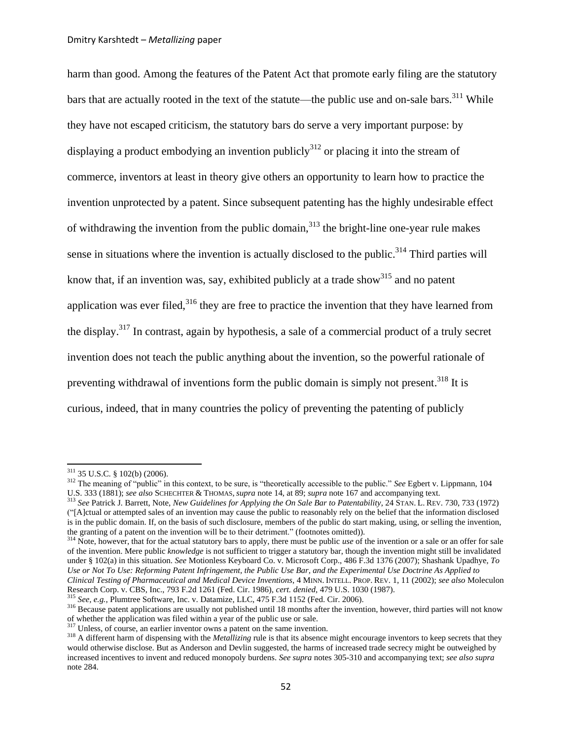<span id="page-51-0"></span>harm than good. Among the features of the Patent Act that promote early filing are the statutory bars that are actually rooted in the text of the statute—the public use and on-sale bars.<sup>311</sup> While they have not escaped criticism, the statutory bars do serve a very important purpose: by displaying a product embodying an invention publicly<sup>312</sup> or placing it into the stream of commerce, inventors at least in theory give others an opportunity to learn how to practice the invention unprotected by a patent. Since subsequent patenting has the highly undesirable effect of withdrawing the invention from the public domain, $313$  the bright-line one-year rule makes sense in situations where the invention is actually disclosed to the public.<sup>314</sup> Third parties will know that, if an invention was, say, exhibited publicly at a trade show $^{315}$  and no patent application was ever filed, $316$  they are free to practice the invention that they have learned from the display.<sup>317</sup> In contrast, again by hypothesis, a sale of a commercial product of a truly secret invention does not teach the public anything about the invention, so the powerful rationale of preventing withdrawal of inventions form the public domain is simply not present.<sup>318</sup> It is curious, indeed, that in many countries the policy of preventing the patenting of publicly

<sup>311</sup> 35 U.S.C. § 102(b) (2006).

<sup>312</sup> The meaning of "public" in this context, to be sure, is "theoretically accessible to the public." *See* Egbert v. Lippmann, 104 U.S. 333 (1881); *see also* SCHECHTER & THOMAS, *supra* not[e 14,](#page-3-2) at 89; *supra* note [167](#page-28-1) and accompanying text.

<sup>313</sup> *See* Patrick J. Barrett, Note, *New Guidelines for Applying the On Sale Bar to Patentability*, 24 STAN. L. REV. 730, 733 (1972) ("[A]ctual or attempted sales of an invention may cause the public to reasonably rely on the belief that the information disclosed is in the public domain. If, on the basis of such disclosure, members of the public do start making, using, or selling the invention, the granting of a patent on the invention will be to their detriment." (footnotes omitted)).

<sup>&</sup>lt;sup>314</sup> Note, however, that for the actual statutory bars to apply, there must be public *use* of the invention or a sale or an offer for sale of the invention. Mere public *knowledge* is not sufficient to trigger a statutory bar, though the invention might still be invalidated under § 102(a) in this situation. *See* Motionless Keyboard Co. v. Microsoft Corp., 486 F.3d 1376 (2007); Shashank Upadhye, *To Use or Not To Use: Reforming Patent Infringement, the Public Use Bar, and the Experimental Use Doctrine As Applied to Clinical Testing of Pharmaceutical and Medical Device Inventions*, 4 MINN. INTELL. PROP. REV. 1, 11 (2002); *see also* Moleculon Research Corp. v. CBS, Inc., 793 F.2d 1261 (Fed. Cir. 1986), *cert. denied*, 479 U.S. 1030 (1987).

<sup>315</sup> *See, e.g.*, Plumtree Software, Inc. v. Datamize, LLC, 475 F.3d 1152 (Fed. Cir. 2006).

<sup>&</sup>lt;sup>316</sup> Because patent applications are usually not published until 18 months after the invention, however, third parties will not know of whether the application was filed within a year of the public use or sale.

<sup>&</sup>lt;sup>317</sup> Unless, of course, an earlier inventor owns a patent on the same invention.

<sup>&</sup>lt;sup>318</sup> A different harm of dispensing with the *Metallizing* rule is that its absence might encourage inventors to keep secrets that they would otherwise disclose. But as Anderson and Devlin suggested, the harms of increased trade secrecy might be outweighed by increased incentives to invent and reduced monopoly burdens. *See supra* note[s 305-](#page-50-2)[310](#page-50-1) and accompanying text; *see also supra*  not[e 284.](#page-46-0)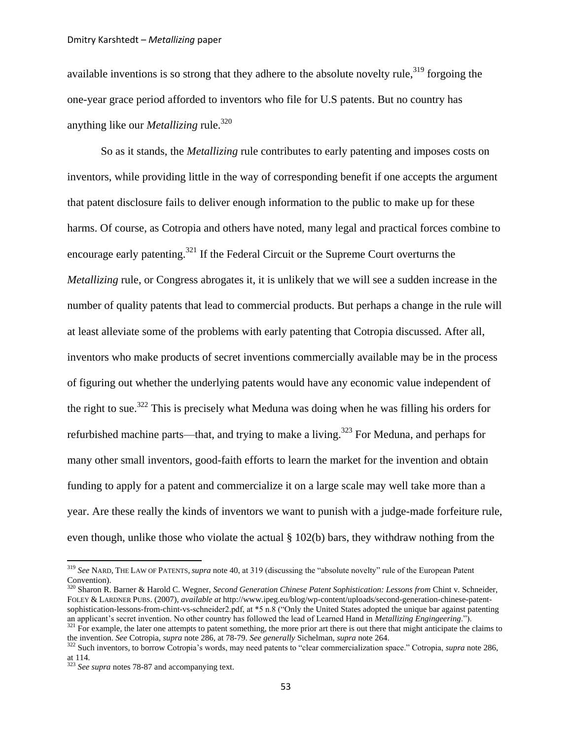available inventions is so strong that they adhere to the absolute novelty rule,<sup>319</sup> forgoing the one-year grace period afforded to inventors who file for U.S patents. But no country has anything like our *Metallizing* rule.<sup>320</sup>

<span id="page-52-0"></span>So as it stands, the *Metallizing* rule contributes to early patenting and imposes costs on inventors, while providing little in the way of corresponding benefit if one accepts the argument that patent disclosure fails to deliver enough information to the public to make up for these harms. Of course, as Cotropia and others have noted, many legal and practical forces combine to encourage early patenting.<sup>321</sup> If the Federal Circuit or the Supreme Court overturns the *Metallizing* rule, or Congress abrogates it, it is unlikely that we will see a sudden increase in the number of quality patents that lead to commercial products. But perhaps a change in the rule will at least alleviate some of the problems with early patenting that Cotropia discussed. After all, inventors who make products of secret inventions commercially available may be in the process of figuring out whether the underlying patents would have any economic value independent of the right to sue.<sup>322</sup> This is precisely what Meduna was doing when he was filling his orders for refurbished machine parts—that, and trying to make a living.<sup>323</sup> For Meduna, and perhaps for many other small inventors, good-faith efforts to learn the market for the invention and obtain funding to apply for a patent and commercialize it on a large scale may well take more than a year. Are these really the kinds of inventors we want to punish with a judge-made forfeiture rule, even though, unlike those who violate the actual § 102(b) bars, they withdraw nothing from the

<span id="page-52-1"></span><sup>319</sup> *See* NARD, THE LAW OF PATENTS, *supra* note [40,](#page-7-1) at 319 (discussing the "absolute novelty" rule of the European Patent Convention).

<sup>320</sup> Sharon R. Barner & Harold C. Wegner, *Second Generation Chinese Patent Sophistication: Lessons from* Chint v. Schneider, FOLEY & LARDNER PUBS. (2007), *available at* http://www.ipeg.eu/blog/wp-content/uploads/second-generation-chinese-patentsophistication-lessons-from-chint-vs-schneider2.pdf, at \*5 n.8 ("Only the United States adopted the unique bar against patenting an applicant"s secret invention. No other country has followed the lead of Learned Hand in *Metallizing Engingeering*.").

 $321$  For example, the later one attempts to patent something, the more prior art there is out there that might anticipate the claims to the invention. *See* Cotropia, *supra* note [286,](#page-47-0) at 78-79. *See generally* Sichelman, *supra* note [264.](#page-43-2)

<sup>322</sup> Such inventors, to borrow Cotropia"s words, may need patents to "clear commercialization space." Cotropia, *supra* not[e 286,](#page-47-0) at 114.

<sup>323</sup> *See supra* notes [78-](#page-13-1)[87](#page-14-5) and accompanying text.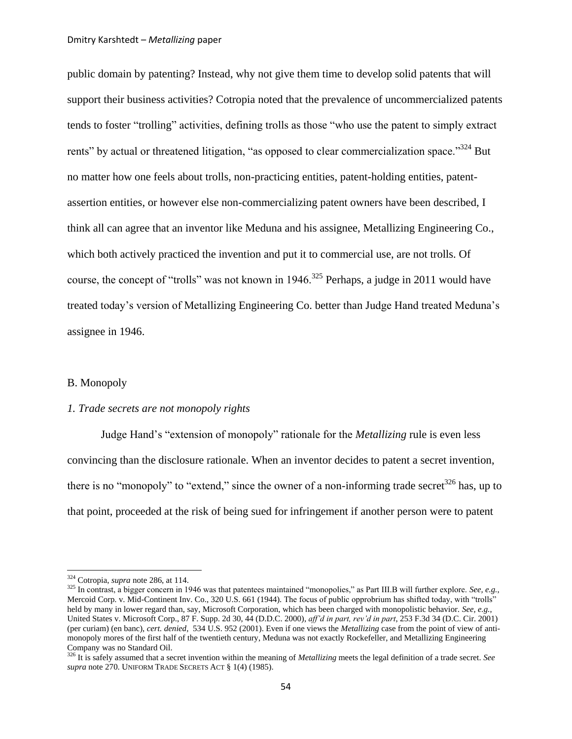public domain by patenting? Instead, why not give them time to develop solid patents that will support their business activities? Cotropia noted that the prevalence of uncommercialized patents tends to foster "trolling" activities, defining trolls as those "who use the patent to simply extract rents" by actual or threatened litigation, "as opposed to clear commercialization space."<sup>324</sup> But no matter how one feels about trolls, non-practicing entities, patent-holding entities, patentassertion entities, or however else non-commercializing patent owners have been described, I think all can agree that an inventor like Meduna and his assignee, Metallizing Engineering Co., which both actively practiced the invention and put it to commercial use, are not trolls. Of course, the concept of "trolls" was not known in 1946.<sup>325</sup> Perhaps, a judge in 2011 would have treated today"s version of Metallizing Engineering Co. better than Judge Hand treated Meduna"s assignee in 1946.

## <span id="page-53-1"></span>B. Monopoly

#### *1. Trade secrets are not monopoly rights*

<span id="page-53-0"></span>Judge Hand"s "extension of monopoly" rationale for the *Metallizing* rule is even less convincing than the disclosure rationale. When an inventor decides to patent a secret invention, there is no "monopoly" to "extend," since the owner of a non-informing trade secret<sup>326</sup> has, up to that point, proceeded at the risk of being sued for infringement if another person were to patent

<sup>324</sup> Cotropia, *supra* note [286,](#page-47-0) at 114.

<sup>325</sup> In contrast, a bigger concern in 1946 was that patentees maintained "monopolies," as Part III.B will further explore. *See, e.g.*, Mercoid Corp. v. Mid-Continent Inv. Co., 320 U.S. 661 (1944). The focus of public opprobrium has shifted today, with "trolls" held by many in lower regard than, say, Microsoft Corporation, which has been charged with monopolistic behavior. *See, e.g.*, [United States v. Microsoft Corp., 87 F. Supp. 2d 30, 44 \(D.D.C. 2000\),](http://web2.westlaw.com/find/default.wl?referencepositiontype=S&serialnum=2000090714&referenceposition=44&rp=%2ffind%2fdefault.wl&rs=WLW11.04&db=4637&tf=-1&findtype=Y&fn=_top&tc=-1&vr=2.0&pbc=EA358607&ordoc=0289943196) *aff"d in part, rev"d in part*[, 253 F.3d 34 \(D.C. Cir. 2001\)](http://web2.westlaw.com/find/default.wl?serialnum=2001535245&tc=-1&rp=%2ffind%2fdefault.wl&rs=WLW11.04&db=506&tf=-1&findtype=Y&fn=_top&vr=2.0&pbc=EA358607&ordoc=0289943196) (per curiam) (en banc), *cert. denied*[, 534 U.S. 952](http://web2.westlaw.com/find/default.wl?serialnum=2001698026&tc=-1&rp=%2ffind%2fdefault.wl&rs=WLW11.04&db=708&tf=-1&findtype=Y&fn=_top&vr=2.0&pbc=EA358607&ordoc=0289943196) (2001). Even if one views the *Metallizing* case from the point of view of antimonopoly mores of the first half of the twentieth century, Meduna was not exactly Rockefeller, and Metallizing Engineering Company was no Standard Oil.

<sup>326</sup> It is safely assumed that a secret invention within the meaning of *Metallizing* meets the legal definition of a trade secret. *See supra* not[e 270.](#page-44-2) UNIFORM TRADE SECRETS ACT § 1(4) (1985).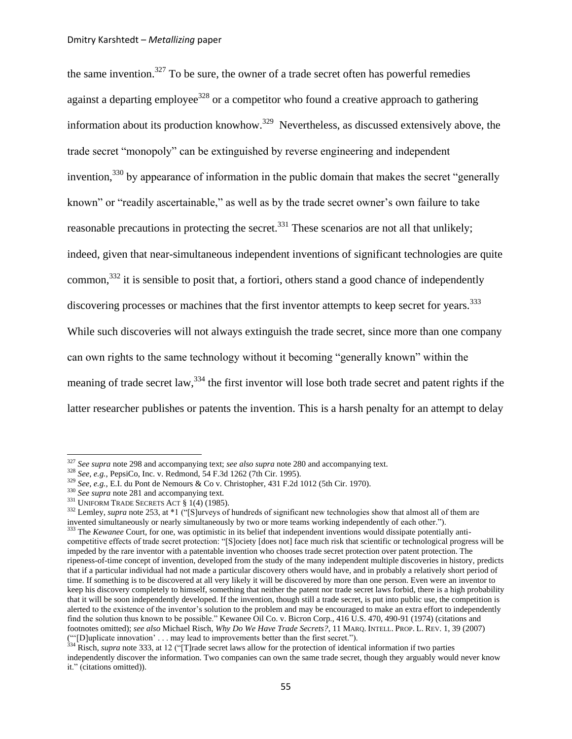the same invention. $327$  To be sure, the owner of a trade secret often has powerful remedies against a departing employee<sup>328</sup> or a competitor who found a creative approach to gathering information about its production knowhow.<sup>329</sup> Nevertheless, as discussed extensively above, the trade secret "monopoly" can be extinguished by reverse engineering and independent invention,  $330$  by appearance of information in the public domain that makes the secret "generally known" or "readily ascertainable," as well as by the trade secret owner's own failure to take reasonable precautions in protecting the secret.<sup>331</sup> These scenarios are not all that unlikely; indeed, given that near-simultaneous independent inventions of significant technologies are quite common,  $332$  it is sensible to posit that, a fortiori, others stand a good chance of independently discovering processes or machines that the first inventor attempts to keep secret for years.<sup>333</sup> While such discoveries will not always extinguish the trade secret, since more than one company can own rights to the same technology without it becoming "generally known" within the meaning of trade secret law,<sup>334</sup> the first inventor will lose both trade secret and patent rights if the latter researcher publishes or patents the invention. This is a harsh penalty for an attempt to delay

<span id="page-54-0"></span><sup>327</sup> *See supra* not[e 298](#page-49-0) and accompanying text; *see also supra* note [280](#page-45-0) and accompanying text.

<sup>328</sup> *See, e.g.*, PepsiCo, Inc. v. Redmond, 54 F.3d 1262 (7th Cir. 1995).

<sup>329</sup> *See, e.g.*, E.I. du Pont de Nemours & Co v. Christopher, 431 F.2d 1012 (5th Cir. 1970).

<sup>&</sup>lt;sup>330</sup> *See supra* not[e 281](#page-45-1) and accompanying text.

 $331$  UNIFORM TRADE SECRETS ACT  $\S$  1(4) (1985).

<sup>&</sup>lt;sup>332</sup> Lemley, *supra* not[e 253,](#page-42-4) at \*1 ("[S]urveys of hundreds of significant new technologies show that almost all of them are invented simultaneously or nearly simultaneously by two or more teams working independently of each other.").

<sup>333</sup> The *Kewanee* Court, for one, was optimistic in its belief that independent inventions would dissipate potentially anticompetitive effects of trade secret protection: "[S]ociety [does not] face much risk that scientific or technological progress will be impeded by the rare inventor with a patentable invention who chooses trade secret protection over patent protection. The ripeness-of-time concept of invention, developed from the study of the many independent multiple discoveries in history, predicts that if a particular individual had not made a particular discovery others would have, and in probably a relatively short period of time. If something is to be discovered at all very likely it will be discovered by more than one person. Even were an inventor to keep his discovery completely to himself, something that neither the patent nor trade secret laws forbid, there is a high probability that it will be soon independently developed. If the invention, though still a trade secret, is put into public use, the competition is alerted to the existence of the inventor's solution to the problem and may be encouraged to make an extra effort to independently find the solution thus known to be possible." Kewanee Oil Co. v. Bicron Corp., 416 U.S. 470, 490-91 (1974) (citations and footnotes omitted); *see also* Michael Risch, *Why Do We Have Trade Secrets?*, 11 MARQ. INTELL. PROP. L. REV. 1, 39 (2007) (""[D]uplicate innovation" . . . may lead to improvements better than the first secret.").

<sup>334</sup> Risch, *supra* not[e 333,](#page-54-0) at 12 ("[T]rade secret laws allow for the protection of identical information if two parties independently discover the information. Two companies can own the same trade secret, though they arguably would never know it." (citations omitted)).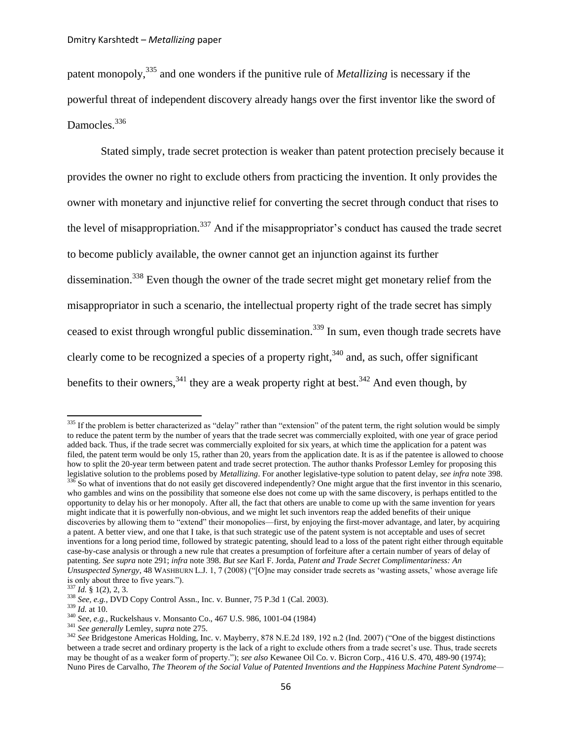<span id="page-55-2"></span>patent monopoly,<sup>335</sup> and one wonders if the punitive rule of *Metallizing* is necessary if the powerful threat of independent discovery already hangs over the first inventor like the sword of Damocles.<sup>336</sup>

<span id="page-55-1"></span>Stated simply, trade secret protection is weaker than patent protection precisely because it provides the owner no right to exclude others from practicing the invention. It only provides the owner with monetary and injunctive relief for converting the secret through conduct that rises to the level of misappropriation.<sup>337</sup> And if the misappropriator's conduct has caused the trade secret to become publicly available, the owner cannot get an injunction against its further dissemination.<sup>338</sup> Even though the owner of the trade secret might get monetary relief from the misappropriator in such a scenario, the intellectual property right of the trade secret has simply ceased to exist through wrongful public dissemination.<sup>339</sup> In sum, even though trade secrets have clearly come to be recognized a species of a property right,  $340$  and, as such, offer significant benefits to their owners,  $341$  they are a weak property right at best.  $342$  And even though, by

<span id="page-55-0"></span> $335$  If the problem is better characterized as "delay" rather than "extension" of the patent term, the right solution would be simply to reduce the patent term by the number of years that the trade secret was commercially exploited, with one year of grace period added back. Thus, if the trade secret was commercially exploited for six years, at which time the application for a patent was filed, the patent term would be only 15, rather than 20, years from the application date. It is as if the patentee is allowed to choose how to split the 20-year term between patent and trade secret protection. The author thanks Professor Lemley for proposing this legislative solution to the problems posed by *Metallizing*. For another legislative-type solution to patent delay, *see infra* not[e 398.](#page-64-0)  $336$  So what of inventions that do not easily get discovered independently? One might argue that the first inventor in this scenario, who gambles and wins on the possibility that someone else does not come up with the same discovery, is perhaps entitled to the opportunity to delay his or her monopoly. After all, the fact that others are unable to come up with the same invention for years might indicate that it is powerfully non-obvious, and we might let such inventors reap the added benefits of their unique discoveries by allowing them to "extend" their monopolies—first, by enjoying the first-mover advantage, and later, by acquiring a patent. A better view, and one that I take, is that such strategic use of the patent system is not acceptable and uses of secret inventions for a long period time, followed by strategic patenting, should lead to a loss of the patent right either through equitable case-by-case analysis or through a new rule that creates a presumption of forfeiture after a certain number of years of delay of patenting. *See supra* note [291;](#page-47-1) *infra* note [398.](#page-64-0) *But see* Karl F. Jorda, *Patent and Trade Secret Complimentariness: An Unsuspected Synergy*, 48 WASHBURN L.J. 1, 7 (2008) ("[O]ne may consider trade secrets as "wasting assets," whose average life is only about three to five years.").

 $\int$ <sup>7</sup> *Id.* § 1(2), 2, 3.

<sup>338</sup> *See, e.g.*, DVD Copy Control Assn., Inc. v*.* Bunner, 75 P.3d 1 (Cal. 2003).

<sup>339</sup> *Id.* at 10.

<sup>340</sup> *See, e.g.*, Ruckelshaus v. Monsanto Co., 467 U.S. 986, 1001-04 (1984)

<sup>341</sup> *See generally* Lemley, *supra* not[e 275.](#page-45-3)

<sup>&</sup>lt;sup>342</sup> See Bridgestone Americas Holding, Inc. v. Mayberry, 878 N.E.2d 189, 192 n.2 (Ind. 2007) ("One of the biggest distinctions between a trade secret and ordinary property is the lack of a right to exclude others from a trade secret's use. Thus, trade secrets may be thought of as a weaker form of property."); *see also* [Kewanee Oil Co. v. Bicron Corp.,](http://web2.westlaw.com/find/default.wl?serialnum=1974127179&tc=-1&rp=%2ffind%2fdefault.wl&sv=Split&rs=WLW11.04&db=708&tf=-1&findtype=Y&fn=_top&vr=2.0&pbc=AB1AB43E&ordoc=2014387555) 416 U.S. 470, 489-90 (1974); Nuno Pires de Carvalho, *The Theorem of the Social Value of Patented Inventions and the Happiness Machine Patent Syndrome—*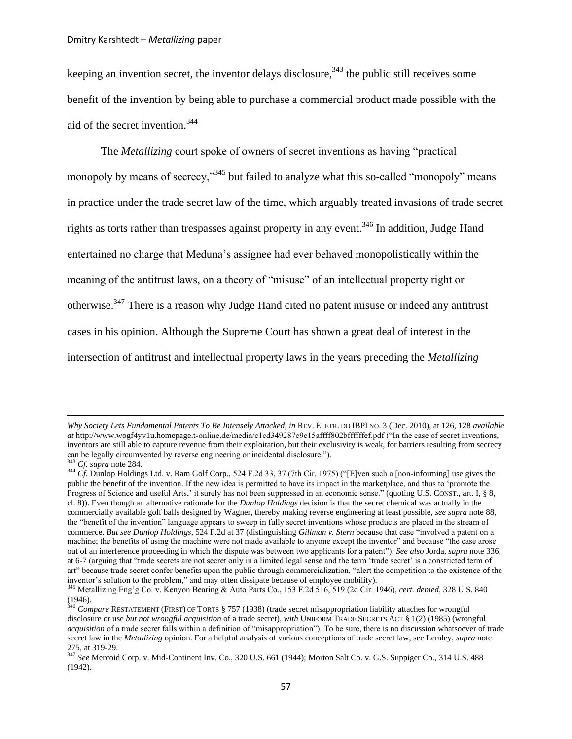keeping an invention secret, the inventor delays disclosure,  $343$  the public still receives some benefit of the invention by being able to purchase a commercial product made possible with the aid of the secret invention.<sup>344</sup>

The *Metallizing* court spoke of owners of secret inventions as having "practical monopoly by means of secrecy,"<sup>345</sup> but failed to analyze what this so-called "monopoly" means in practice under the trade secret law of the time, which arguably treated invasions of trade secret rights as torts rather than trespasses against property in any event.<sup>346</sup> In addition, Judge Hand entertained no charge that Meduna"s assignee had ever behaved monopolistically within the meaning of the antitrust laws, on a theory of "misuse" of an intellectual property right or otherwise.<sup>347</sup> There is a reason why Judge Hand cited no patent misuse or indeed any antitrust cases in his opinion. Although the Supreme Court has shown a great deal of interest in the intersection of antitrust and intellectual property laws in the years preceding the *Metallizing*

<span id="page-56-0"></span>*Why Society Lets Fundamental Patents To Be Intensely Attacked*, *in* REV. ELETR. DO IBPI NO. 3 (Dec. 2010), at 126, 128 *available at* http://www.wogf4yv1u.homepage.t-online.de/media/c1cd349287c9c15affff802bffffffef.pdf ("In the case of secret inventions, inventors are still able to capture revenue from their exploitation, but their exclusivity is weak, for barriers resulting from secrecy can be legally circumvented by reverse engineering or incidental disclosure.").

<sup>343</sup> *Cf. supra* not[e 284.](#page-46-0)

<sup>&</sup>lt;sup>344</sup> *Cf.* Dunlop Holdings Ltd. v. Ram Golf Corp., 524 F.2d 33, 37 (7th Cir. 1975) ("[E]ven such a [non-informing] use gives the public the benefit of the invention. If the new idea is permitted to have its impact in the marketplace, and thus to "promote the Progress of Science and useful Arts,' it surely has not been suppressed in an economic sense." (quoting U.S. CONST., art. I, § 8, cl. 8)). Even though an alternative rationale for the *Dunlop Holdings* decision is that the secret chemical was actually in the commercially available golf balls designed by Wagner, thereby making reverse engineering at least possible, *see supra* note [88,](#page-14-1) the "benefit of the invention" language appears to sweep in fully secret inventions whose products are placed in the stream of commerce. *But see Dunlop Holdings*, 524 F.2d at 37 (distinguishing *Gillman v. Stern* because that case "involved a patent on a machine; the benefits of using the machine were not made available to anyone except the inventor" and because "the case arose out of an interference proceeding in which the dispute was between two applicants for a patent"). *See also* Jorda, *supra* not[e 336,](#page-55-1) at 6-7 (arguing that "trade secrets are not secret only in a limited legal sense and the term "trade secret" is a constricted term of art" because trade secret confer benefits upon the public through commercialization, "alert the competition to the existence of the inventor"s solution to the problem," and may often dissipate because of employee mobility).

<sup>345</sup> Metallizing Eng"g Co. v. Kenyon Bearing & Auto Parts Co., 153 F.2d 516, 519 (2d Cir. 1946), *cert. denied*, 328 U.S. 840 (1946).

<sup>346</sup> *Compare* RESTATEMENT (FIRST) OF TORTS § 757 (1938) (trade secret misappropriation liability attaches for wrongful disclosure or use *but not wrongful acquisition* of a trade secret), *with* UNIFORM TRADE SECRETS ACT § 1(2) (1985) (wrongful *acquisition* of a trade secret falls within a definition of "misappropriation"). To be sure, there is no discussion whatsoever of trade secret law in the *Metallizing* opinion. For a helpful analysis of various conceptions of trade secret law, see Lemley, *supra* note [275,](#page-45-3) at 319-29.

<sup>347</sup> *See* Mercoid Corp. v. Mid-Continent Inv. Co., 320 U.S. 661 (1944); Morton Salt Co. v. G.S. Suppiger Co., 314 U.S. 488 (1942).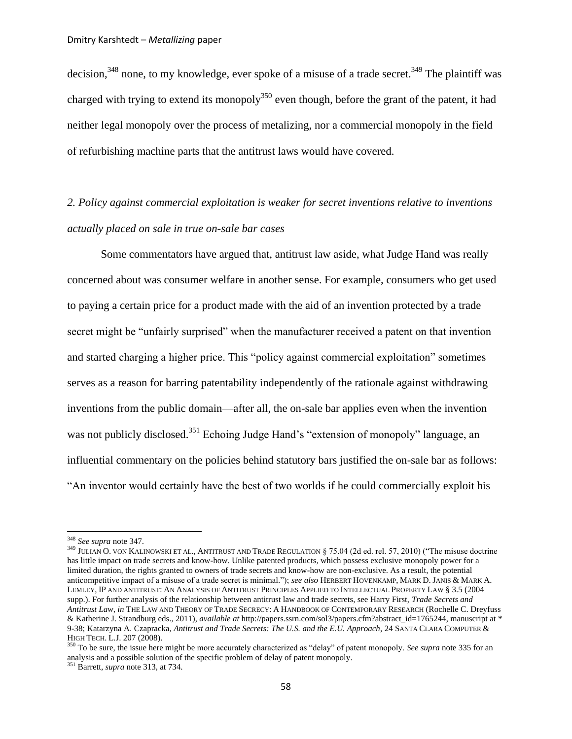<span id="page-57-1"></span><span id="page-57-0"></span>decision,  $348$  none, to my knowledge, ever spoke of a misuse of a trade secret.  $349$  The plaintiff was charged with trying to extend its monopoly<sup>350</sup> even though, before the grant of the patent, it had neither legal monopoly over the process of metalizing, nor a commercial monopoly in the field of refurbishing machine parts that the antitrust laws would have covered.

# *2. Policy against commercial exploitation is weaker for secret inventions relative to inventions actually placed on sale in true on-sale bar cases*

Some commentators have argued that, antitrust law aside, what Judge Hand was really concerned about was consumer welfare in another sense. For example, consumers who get used to paying a certain price for a product made with the aid of an invention protected by a trade secret might be "unfairly surprised" when the manufacturer received a patent on that invention and started charging a higher price. This "policy against commercial exploitation" sometimes serves as a reason for barring patentability independently of the rationale against withdrawing inventions from the public domain—after all, the on-sale bar applies even when the invention was not publicly disclosed.<sup>351</sup> Echoing Judge Hand's "extension of monopoly" language, an influential commentary on the policies behind statutory bars justified the on-sale bar as follows: "An inventor would certainly have the best of two worlds if he could commercially exploit his

<sup>348</sup> *See supra* not[e 347.](#page-56-0)

<sup>&</sup>lt;sup>349</sup> JULIAN O. VON KALINOWSKI ET AL., ANTITRUST AND TRADE REGULATION § 75.04 (2d ed. rel. 57, 2010) ("The misuse doctrine has little impact on trade secrets and know-how. Unlike patented products, which possess exclusive monopoly power for a limited duration, the rights granted to owners of trade secrets and know-how are non-exclusive. As a result, the potential anticompetitive impact of a misuse of a trade secret is minimal."); *see also* HERBERT HOVENKAMP, MARK D. JANIS & MARK A. LEMLEY, IP AND ANTITRUST: AN ANALYSIS OF ANTITRUST PRINCIPLES APPLIED TO INTELLECTUAL PROPERTY LAW § 3.5 (2004 supp.). For further analysis of the relationship between antitrust law and trade secrets, see Harry First, *Trade Secrets and Antitrust Law*, *in* THE LAW AND THEORY OF TRADE SECRECY: A HANDBOOK OF CONTEMPORARY RESEARCH (Rochelle C. Dreyfuss & Katherine J. Strandburg eds., 2011), *available at* http://papers.ssrn.com/sol3/papers.cfm?abstract\_id=1765244, manuscript at \* 9-38; Katarzyna A. Czapracka, *Antitrust and Trade Secrets: The U.S. and the E.U. Approach*, 24 SANTA CLARA COMPUTER & HIGH TECH. L.J. 207 (2008).

<sup>&</sup>lt;sup>350</sup> To be sure, the issue here might be more accurately characterized as "delay" of patent monopoly. *See supra* note [335](#page-55-2) for an analysis and a possible solution of the specific problem of delay of patent monopoly. <sup>351</sup> Barrett, *supra* note [313,](#page-51-0) at 734.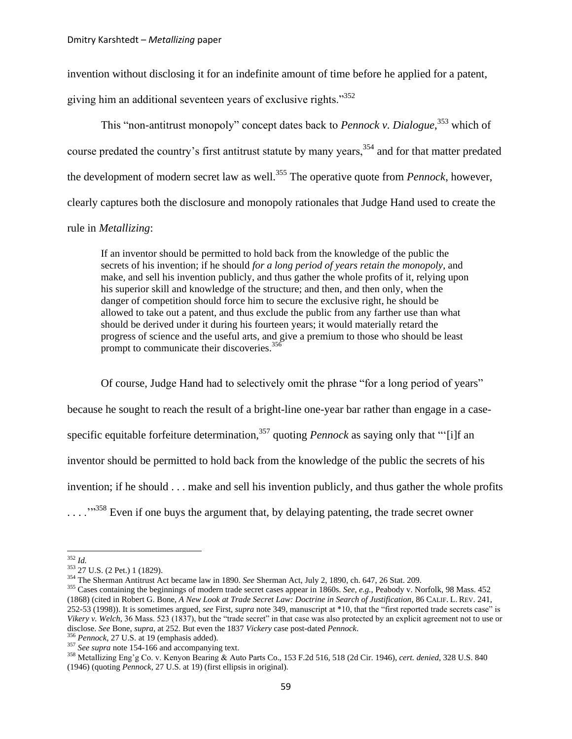invention without disclosing it for an indefinite amount of time before he applied for a patent,

giving him an additional seventeen years of exclusive rights."<sup>352</sup>

This "non-antitrust monopoly" concept dates back to *Pennock v. Dialogue*, <sup>353</sup> which of course predated the country's first antitrust statute by many years,<sup>354</sup> and for that matter predated the development of modern secret law as well.<sup>355</sup> The operative quote from *Pennock*, however, clearly captures both the disclosure and monopoly rationales that Judge Hand used to create the rule in *Metallizing*:

<span id="page-58-0"></span>If an inventor should be permitted to hold back from the knowledge of the public the secrets of his invention; if he should *for a long period of years retain the monopoly*, and make, and sell his invention publicly, and thus gather the whole profits of it, relying upon his superior skill and knowledge of the structure; and then, and then only, when the danger of competition should force him to secure the exclusive right, he should be allowed to take out a patent, and thus exclude the public from any farther use than what should be derived under it during his fourteen years; it would materially retard the progress of science and the useful arts, and give a premium to those who should be least prompt to communicate their discoveries.<sup>356</sup>

Of course, Judge Hand had to selectively omit the phrase "for a long period of years" because he sought to reach the result of a bright-line one-year bar rather than engage in a casespecific equitable forfeiture determination, <sup>357</sup> quoting *Pennock* as saying only that ""[i]f an inventor should be permitted to hold back from the knowledge of the public the secrets of his invention; if he should . . . make and sell his invention publicly, and thus gather the whole profits  $\ldots$ <sup>358</sup> Even if one buys the argument that, by delaying patenting, the trade secret owner

<span id="page-58-1"></span>l <sup>352</sup> *Id.*

<sup>353</sup> 27 U.S. (2 Pet.) 1 (1829).

<sup>354</sup> The Sherman Antitrust Act became law in 1890. *See* Sherman Act, July 2, 1890, ch. 647, 26 Stat. 209.

<sup>355</sup> Cases containing the beginnings of modern trade secret cases appear in 1860s. *See, e.g.*, Peabody v. Norfolk, [98 Mass. 452](http://web2.westlaw.com/find/default.wl?serialnum=1868010008&tc=-1&rp=%2ffind%2fdefault.wl&sv=Split&rs=WLW11.04&db=521&tf=-1&findtype=Y&fn=_top&vr=2.0&pbc=97C4AC90&ordoc=0108867074)  [\(1868\)](http://web2.westlaw.com/find/default.wl?serialnum=1868010008&tc=-1&rp=%2ffind%2fdefault.wl&sv=Split&rs=WLW11.04&db=521&tf=-1&findtype=Y&fn=_top&vr=2.0&pbc=97C4AC90&ordoc=0108867074) (cited in Robert G. Bone, *A New Look at Trade Secret Law: Doctrine in Search of Justification*, 86 CALIF. L. REV. 241, 252-53 (1998)). It is sometimes argued, *see* First, *supra* note [349,](#page-57-0) manuscript at \*10, that the "first reported trade secrets case" is *Vikery v. Welch*, 36 Mass. 523 (1837), but the "trade secret" in that case was also protected by an explicit agreement not to use or disclose. *See* Bone, *supra*, at 252. But even the 1837 *Vickery* case post-dated *Pennock*.

 $<sup>6</sup> Pennock$ , 27 U.S. at 19 (emphasis added).</sup>

<sup>357</sup> *See supra* not[e 154-](#page-26-0)[166](#page-28-0) and accompanying text.

<sup>358</sup> Metallizing Eng"g Co. v. Kenyon Bearing & Auto Parts Co., 153 F.2d 516, 518 (2d Cir. 1946), *cert. denied*, 328 U.S. 840 (1946) (quoting *Pennock*, 27 U.S. at 19) (first ellipsis in original).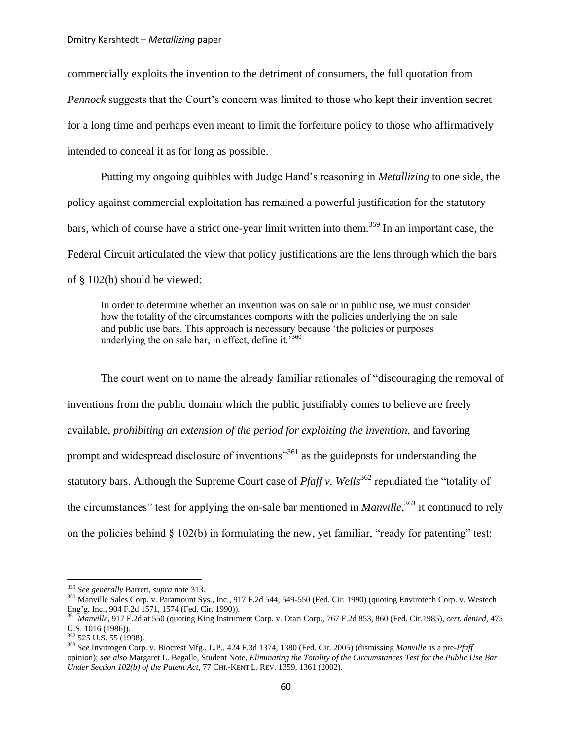commercially exploits the invention to the detriment of consumers, the full quotation from *Pennock* suggests that the Court's concern was limited to those who kept their invention secret for a long time and perhaps even meant to limit the forfeiture policy to those who affirmatively intended to conceal it as for long as possible.

Putting my ongoing quibbles with Judge Hand"s reasoning in *Metallizing* to one side, the policy against commercial exploitation has remained a powerful justification for the statutory bars, which of course have a strict one-year limit written into them.<sup>359</sup> In an important case, the Federal Circuit articulated the view that policy justifications are the lens through which the bars of § 102(b) should be viewed:

<span id="page-59-0"></span>In order to determine whether an invention was on sale or in public use, we must consider how the totality of the circumstances comports with the policies underlying the on sale and public use bars. This approach is necessary because "the policies or purposes underlying the on sale bar, in effect, define it.<sup>5360</sup>

<span id="page-59-1"></span>The court went on to name the already familiar rationales of "discouraging the removal of inventions from the public domain which the public justifiably comes to believe are freely available, *prohibiting an extension of the period for exploiting the invention*, and favoring prompt and widespread disclosure of inventions<sup>3561</sup> as the guideposts for understanding the statutory bars. Although the Supreme Court case of *Pfaff v. Wells*<sup>362</sup> repudiated the "totality of the circumstances" test for applying the on-sale bar mentioned in *Manville*, <sup>363</sup> it continued to rely on the policies behind § 102(b) in formulating the new, yet familiar, "ready for patenting" test:

<sup>359</sup> *See generally* Barrett, *supra* note [313.](#page-51-0)

<sup>&</sup>lt;sup>360</sup> Manville Sales Corp. v. Paramount Sys., Inc., 917 F.2d 544, 549-550 (Fed. Cir. 1990) (quoting Envirotech Corp. v. Westech Eng"g, Inc.[, 904 F.2d 1571, 1574](http://law.justia.com/cases/federal/appellate-courts/F2/904/1574/) (Fed. Cir. 1990)).

<sup>361</sup> *Manville*, 917 F.2d at 550 (quotin[g King Instrument Corp. v. Otari Corp.,](http://web2.westlaw.com/find/default.wl?serialnum=1985132442&tc=-1&rp=%2ffind%2fdefault.wl&sv=Split&rs=WLW11.04&db=350&tf=-1&findtype=Y&fn=_top&vr=2.0&pbc=6A708350&ordoc=1990151121) 767 F.2d 853, 860 (Fed. Cir.1985), *cert. denied*, [475](http://web2.westlaw.com/find/default.wl?serialnum=1986210857&tc=-1&rp=%2ffind%2fdefault.wl&sv=Split&rs=WLW11.04&db=708&tf=-1&findtype=Y&fn=_top&vr=2.0&pbc=6A708350&ordoc=1990151121)  [U.S. 1016 \(1986\)\)](http://web2.westlaw.com/find/default.wl?serialnum=1986210857&tc=-1&rp=%2ffind%2fdefault.wl&sv=Split&rs=WLW11.04&db=708&tf=-1&findtype=Y&fn=_top&vr=2.0&pbc=6A708350&ordoc=1990151121).

 $362$  525 U.S. 55 (1998).

<sup>363</sup> *See* Invitrogen Corp. v. Biocrest Mfg., L.P., 424 F.3d 1374, 1380 (Fed. Cir. 2005) (dismissing *Manville* as a pre-*Pfaff* opinion); *see also* Margaret L. Begalle, Student Note, *Eliminating the Totality of the Circumstances Test for the Public Use Bar Under Section 102(b) of the Patent Act*, 77 CHI.-KENT L. REV. 1359, 1361 (2002).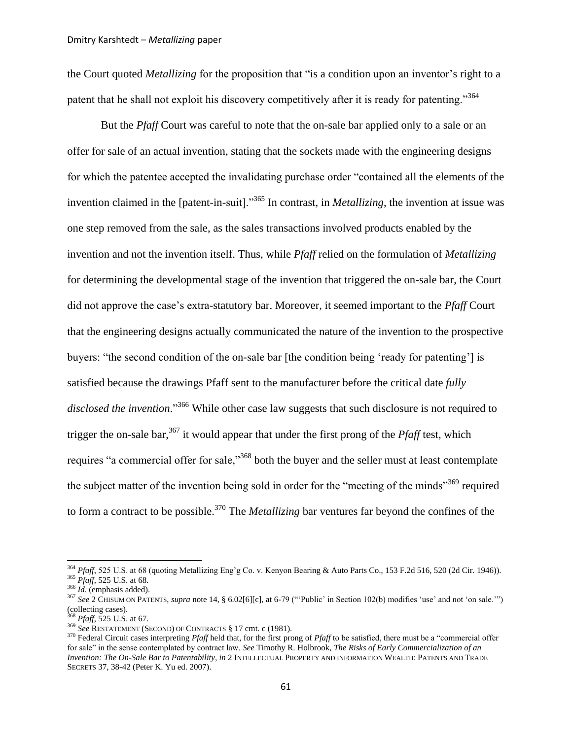the Court quoted *Metallizing* for the proposition that "is a condition upon an inventor's right to a patent that he shall not exploit his discovery competitively after it is ready for patenting."<sup>364</sup>

<span id="page-60-0"></span>But the *Pfaff* Court was careful to note that the on-sale bar applied only to a sale or an offer for sale of an actual invention, stating that the sockets made with the engineering designs for which the patentee accepted the invalidating purchase order "contained all the elements of the invention claimed in the [patent-in-suit]."<sup>365</sup> In contrast, in *Metallizing*, the invention at issue was one step removed from the sale, as the sales transactions involved products enabled by the invention and not the invention itself. Thus, while *Pfaff* relied on the formulation of *Metallizing*  for determining the developmental stage of the invention that triggered the on-sale bar, the Court did not approve the case"s extra-statutory bar. Moreover, it seemed important to the *Pfaff* Court that the engineering designs actually communicated the nature of the invention to the prospective buyers: "the second condition of the on-sale bar [the condition being "ready for patenting"] is satisfied because the drawings Pfaff sent to the manufacturer before the critical date *fully disclosed the invention*."<sup>366</sup> While other case law suggests that such disclosure is not required to trigger the on-sale bar,<sup>367</sup> it would appear that under the first prong of the *Pfaff* test, which requires "a commercial offer for sale,"<sup>368</sup> both the buyer and the seller must at least contemplate the subject matter of the invention being sold in order for the "meeting of the minds"<sup>369</sup> required to form a contract to be possible.<sup>370</sup> The *Metallizing* bar ventures far beyond the confines of the

<span id="page-60-1"></span><sup>&</sup>lt;sup>364</sup> Pfaff, 525 U.S. at 68 (quoting Metallizing Eng'g Co. v. Kenyon Bearing & Auto Parts Co., 153 F.2d 516, 520 (2d Cir. 1946)). <sup>365</sup> *Pfaff*, 525 U.S. at 68.

<sup>366</sup> *Id*. (emphasis added).

<sup>367</sup> *See* 2 CHISUM ON PATENTS, *supra* note [14,](#page-3-2) § 6.02[6][c], at 6-79 (""Public" in Section 102(b) modifies "use" and not "on sale."") (collecting cases).

<sup>368</sup> *Pfaff*, 525 U.S. at 67.

<sup>369</sup> *See* RESTATEMENT (SECOND) OF CONTRACTS § 17 cmt. c (1981).

<sup>370</sup> Federal Circuit cases interpreting *Pfaff* held that, for the first prong of *Pfaff* to be satisfied, there must be a "commercial offer for sale" in the sense contemplated by contract law. *See* Timothy R. Holbrook, *The Risks of Early Commercialization of an Invention: The On-Sale Bar to Patentability*, *in* 2 INTELLECTUAL PROPERTY AND INFORMATION WEALTH: PATENTS AND TRADE SECRETS 37, 38-42 (Peter K. Yu ed. 2007).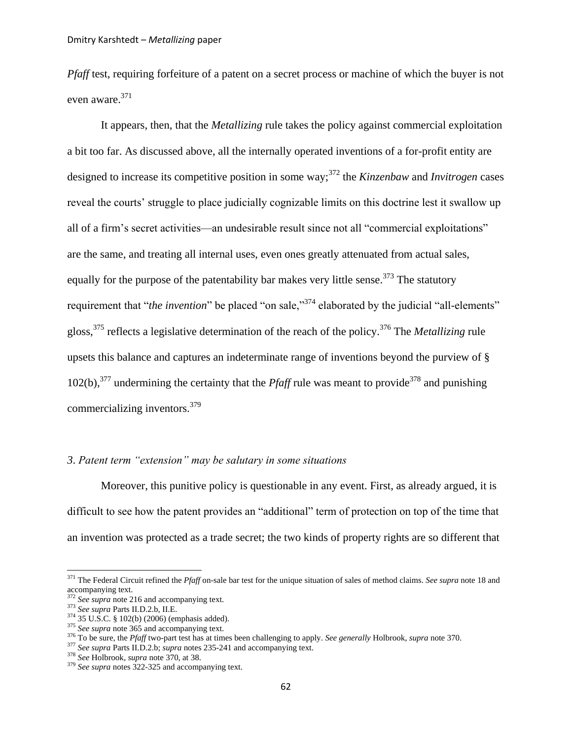*Pfaff* test, requiring forfeiture of a patent on a secret process or machine of which the buyer is not even aware.<sup>371</sup>

It appears, then, that the *Metallizing* rule takes the policy against commercial exploitation a bit too far. As discussed above, all the internally operated inventions of a for-profit entity are designed to increase its competitive position in some way;<sup>372</sup> the *Kinzenbaw* and *Invitrogen* cases reveal the courts' struggle to place judicially cognizable limits on this doctrine lest it swallow up all of a firm"s secret activities—an undesirable result since not all "commercial exploitations" are the same, and treating all internal uses, even ones greatly attenuated from actual sales, equally for the purpose of the patentability bar makes very little sense.<sup>373</sup> The statutory requirement that "*the invention*" be placed "on sale,"<sup>374</sup> elaborated by the judicial "all-elements" gloss,<sup>375</sup> reflects a legislative determination of the reach of the policy.<sup>376</sup> The *Metallizing* rule upsets this balance and captures an indeterminate range of inventions beyond the purview of § 102(b),<sup>377</sup> undermining the certainty that the *Pfaff* rule was meant to provide<sup>378</sup> and punishing commercializing inventors.<sup>379</sup>

## *3*. *Patent term "extension" may be salutary in some situations*

Moreover, this punitive policy is questionable in any event. First, as already argued, it is difficult to see how the patent provides an "additional" term of protection on top of the time that an invention was protected as a trade secret; the two kinds of property rights are so different that

<sup>371</sup> The Federal Circuit refined the *Pfaff* on-sale bar test for the unique situation of sales of method claims. *See supra* note [18](#page-4-3) and accompanying text.

<sup>372</sup> *See supra* not[e 216](#page-36-2) and accompanying text.

<sup>373</sup> *See supra* Parts II.D.2.b, II.E.

<sup>374</sup> 35 U.S.C. § 102(b) (2006) (emphasis added).

<sup>375</sup> *See supra* not[e 365](#page-60-0) and accompanying text.

<sup>376</sup> To be sure, the *Pfaff* two-part test has at times been challenging to apply. *See generally* Holbrook, *supra* not[e 370.](#page-60-1)

<sup>377</sup> *See supra* Parts II.D.2.b; *supra* notes [235](#page-39-0)[-241](#page-40-1) and accompanying text.

<sup>378</sup> *See* Holbrook, *supra* not[e 370,](#page-60-1) at 38.

<sup>379</sup> *See supra* notes [322-](#page-52-1)[325](#page-53-1) and accompanying text.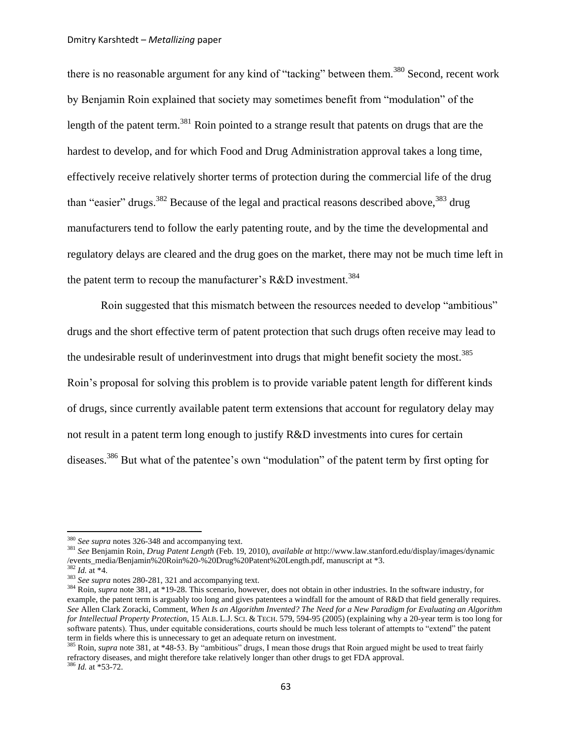<span id="page-62-0"></span>there is no reasonable argument for any kind of "tacking" between them.<sup>380</sup> Second, recent work by Benjamin Roin explained that society may sometimes benefit from "modulation" of the length of the patent term.<sup>381</sup> Roin pointed to a strange result that patents on drugs that are the hardest to develop, and for which Food and Drug Administration approval takes a long time, effectively receive relatively shorter terms of protection during the commercial life of the drug than "easier" drugs.<sup>382</sup> Because of the legal and practical reasons described above,  $383$  drug manufacturers tend to follow the early patenting route, and by the time the developmental and regulatory delays are cleared and the drug goes on the market, there may not be much time left in the patent term to recoup the manufacturer's R&D investment.<sup>384</sup>

<span id="page-62-1"></span>Roin suggested that this mismatch between the resources needed to develop "ambitious" drugs and the short effective term of patent protection that such drugs often receive may lead to the undesirable result of underinvestment into drugs that might benefit society the most.<sup>385</sup> Roin"s proposal for solving this problem is to provide variable patent length for different kinds of drugs, since currently available patent term extensions that account for regulatory delay may not result in a patent term long enough to justify R&D investments into cures for certain diseases.<sup>386</sup> But what of the patentee's own "modulation" of the patent term by first opting for

<sup>380</sup> *See supra* notes [326-](#page-53-0)[348](#page-57-1) and accompanying text.

<sup>381</sup> *See* Benjamin Roin, *Drug Patent Length* (Feb. 19, 2010), *available at* http://www.law.stanford.edu/display/images/dynamic /events\_media/Benjamin%20Roin%20-%20Drug%20Patent%20Length.pdf, manuscript at \*3.

<sup>382</sup> *Id.* at \*4.

<sup>383</sup> *See supra* notes [280-](#page-45-0)[281,](#page-45-1) [321](#page-52-0) and accompanying text.

<sup>&</sup>lt;sup>384</sup> Roin, *supra* note [381,](#page-62-0) at \*19-28. This scenario, however, does not obtain in other industries. In the software industry, for example, the patent term is arguably too long and gives patentees a windfall for the amount of R&D that field generally requires. *See* Allen Clark Zoracki, Comment, *When Is an Algorithm Invented? The Need for a New Paradigm for Evaluating an Algorithm for Intellectual Property Protection*, 15 ALB. L.J. SCI. & TECH. 579, 594-95 (2005) (explaining why a 20-year term is too long for software patents). Thus, under equitable considerations, courts should be much less tolerant of attempts to "extend" the patent term in fields where this is unnecessary to get an adequate return on investment.

<sup>385</sup> Roin, *supra* note [381,](#page-62-0) at \*48-53. By "ambitious" drugs, I mean those drugs that Roin argued might be used to treat fairly refractory diseases, and might therefore take relatively longer than other drugs to get FDA approval. <sup>386</sup> *Id.* at \*53-72.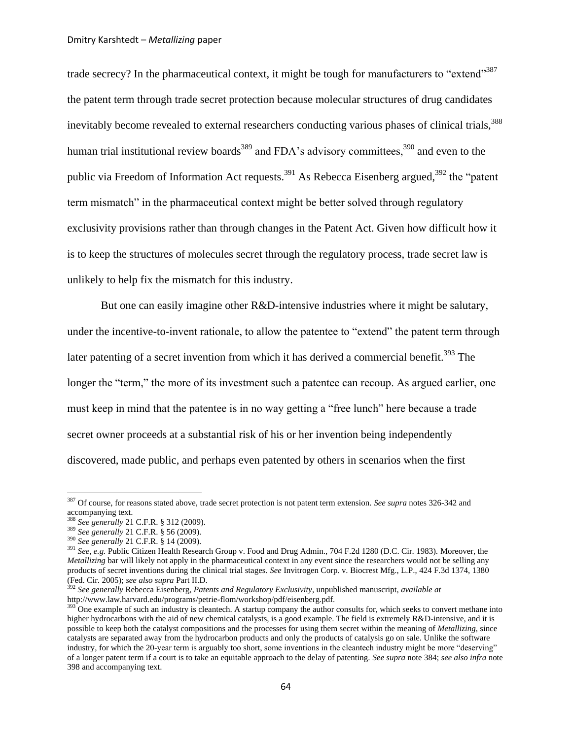trade secrecy? In the pharmaceutical context, it might be tough for manufacturers to "extend"<sup>387</sup> the patent term through trade secret protection because molecular structures of drug candidates inevitably become revealed to external researchers conducting various phases of clinical trials,<sup>388</sup> human trial institutional review boards<sup>389</sup> and FDA's advisory committees,  $390$  and even to the public via Freedom of Information Act requests.<sup>391</sup> As Rebecca Eisenberg argued,<sup>392</sup> the "patent" term mismatch" in the pharmaceutical context might be better solved through regulatory exclusivity provisions rather than through changes in the Patent Act. Given how difficult how it is to keep the structures of molecules secret through the regulatory process, trade secret law is unlikely to help fix the mismatch for this industry.

But one can easily imagine other R&D-intensive industries where it might be salutary, under the incentive-to-invent rationale, to allow the patentee to "extend" the patent term through later patenting of a secret invention from which it has derived a commercial benefit.<sup>393</sup> The longer the "term," the more of its investment such a patentee can recoup. As argued earlier, one must keep in mind that the patentee is in no way getting a "free lunch" here because a trade secret owner proceeds at a substantial risk of his or her invention being independently discovered, made public, and perhaps even patented by others in scenarios when the first

<sup>387</sup> Of course, for reasons stated above, trade secret protection is not patent term extension. *See supra* notes [326](#page-53-0)[-342](#page-55-0) and accompanying text.

<sup>388</sup> *See generally* 21 C.F.R. § 312 (2009).

<sup>389</sup> *See generally* 21 C.F.R. § 56 (2009).

<sup>390</sup> *See generally* 21 C.F.R. § 14 (2009).

<sup>391</sup> *See, e.g.* Public Citizen Health Research Group v. Food and Drug Admin., 704 F.2d 1280 (D.C. Cir. 1983). Moreover, the *Metallizing* bar will likely not apply in the pharmaceutical context in any event since the researchers would not be selling any products of secret inventions during the clinical trial stages. *See* Invitrogen Corp. v. Biocrest Mfg., L.P., 424 F.3d 1374, 1380 (Fed. Cir. 2005); *see also supra* Part II.D.

<sup>392</sup> *See generally* Rebecca Eisenberg, *Patents and Regulatory Exclusivity*, unpublished manuscript, *available at* http://www.law.harvard.edu/programs/petrie-flom/workshop/pdf/eisenberg.pdf.

<sup>&</sup>lt;sup>393</sup> One example of such an industry is cleantech. A startup company the author consults for, which seeks to convert methane into higher hydrocarbons with the aid of new chemical catalysts, is a good example. The field is extremely R&D-intensive, and it is possible to keep both the catalyst compositions and the processes for using them secret within the meaning of *Metallizing*, since catalysts are separated away from the hydrocarbon products and only the products of catalysis go on sale. Unlike the software industry, for which the 20-year term is arguably too short, some inventions in the cleantech industry might be more "deserving" of a longer patent term if a court is to take an equitable approach to the delay of patenting. *See supra* note [384;](#page-62-1) *see also infra* note [398](#page-64-0) and accompanying text.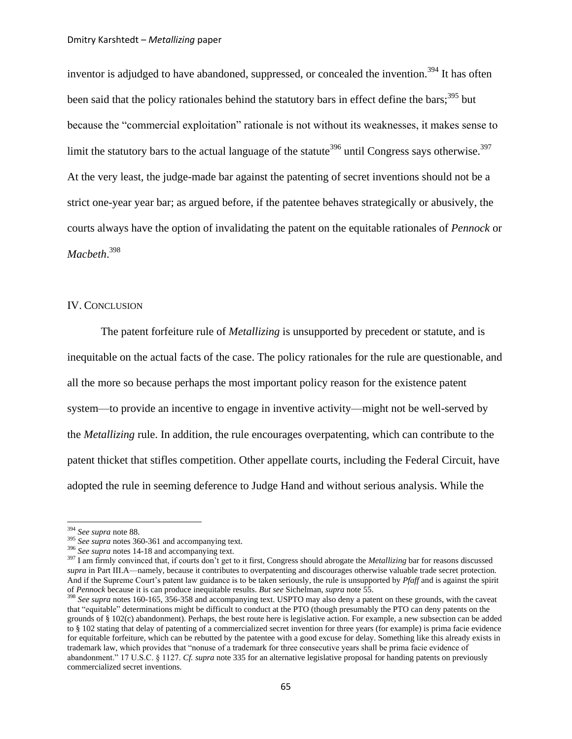inventor is adjudged to have abandoned, suppressed, or concealed the invention.<sup>394</sup> It has often been said that the policy rationales behind the statutory bars in effect define the bars;<sup>395</sup> but because the "commercial exploitation" rationale is not without its weaknesses, it makes sense to limit the statutory bars to the actual language of the statute<sup>396</sup> until Congress says otherwise.<sup>397</sup> At the very least, the judge-made bar against the patenting of secret inventions should not be a strict one-year year bar; as argued before, if the patentee behaves strategically or abusively, the courts always have the option of invalidating the patent on the equitable rationales of *Pennock* or *Macbeth*. 398

## <span id="page-64-0"></span>IV. CONCLUSION

The patent forfeiture rule of *Metallizing* is unsupported by precedent or statute, and is inequitable on the actual facts of the case. The policy rationales for the rule are questionable, and all the more so because perhaps the most important policy reason for the existence patent system—to provide an incentive to engage in inventive activity—might not be well-served by the *Metallizing* rule. In addition, the rule encourages overpatenting, which can contribute to the patent thicket that stifles competition. Other appellate courts, including the Federal Circuit, have adopted the rule in seeming deference to Judge Hand and without serious analysis. While the

<sup>394</sup> *See supra* not[e 88.](#page-14-1)

<sup>395</sup> *See supra* notes [360-](#page-59-0)[361](#page-59-1) and accompanying text.

<sup>396</sup> *See supra* notes [14-](#page-3-2)[18](#page-4-3) and accompanying text.

<sup>&</sup>lt;sup>397</sup> I am firmly convinced that, if courts don't get to it first, Congress should abrogate the *Metallizing* bar for reasons discussed *supra* in Part III.A—namely, because it contributes to overpatenting and discourages otherwise valuable trade secret protection. And if the Supreme Court"s patent law guidance is to be taken seriously, the rule is unsupported by *Pfaff* and is against the spirit of *Pennock* because it is can produce inequitable results. *But see* Sichelman, *supra* note [55.](#page-10-0)

<sup>398</sup> *See supra* notes [160-](#page-27-1)[165,](#page-28-2) [356](#page-58-0)[-358](#page-58-1) and accompanying text. USPTO may also deny a patent on these grounds, with the caveat that "equitable" determinations might be difficult to conduct at the PTO (though presumably the PTO can deny patents on the grounds of § 102(c) abandonment). Perhaps, the best route here is legislative action. For example, a new subsection can be added to § 102 stating that delay of patenting of a commercialized secret invention for three years (for example) is prima facie evidence for equitable forfeiture, which can be rebutted by the patentee with a good excuse for delay. Something like this already exists in trademark law, which provides that "nonuse of a trademark for three consecutive years shall be prima facie evidence of abandonment." 17 U.S.C. § 1127. *Cf. supra* not[e 335](#page-55-2) for an alternative legislative proposal for handing patents on previously commercialized secret inventions.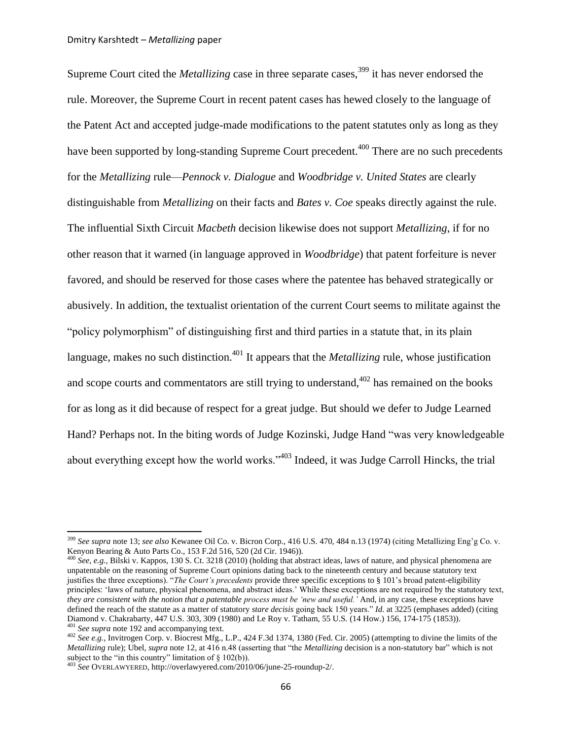Supreme Court cited the *Metallizing* case in three separate cases,<sup>399</sup> it has never endorsed the rule. Moreover, the Supreme Court in recent patent cases has hewed closely to the language of the Patent Act and accepted judge-made modifications to the patent statutes only as long as they have been supported by long-standing Supreme Court precedent.<sup>400</sup> There are no such precedents for the *Metallizing* rule—*Pennock v. Dialogue* and *Woodbridge v. United States* are clearly distinguishable from *Metallizing* on their facts and *Bates v. Coe* speaks directly against the rule. The influential Sixth Circuit *Macbeth* decision likewise does not support *Metallizing*, if for no other reason that it warned (in language approved in *Woodbridge*) that patent forfeiture is never favored, and should be reserved for those cases where the patentee has behaved strategically or abusively. In addition, the textualist orientation of the current Court seems to militate against the "policy polymorphism" of distinguishing first and third parties in a statute that, in its plain language, makes no such distinction.<sup>401</sup> It appears that the *Metallizing* rule, whose justification and scope courts and commentators are still trying to understand,  $402$  has remained on the books for as long as it did because of respect for a great judge. But should we defer to Judge Learned Hand? Perhaps not. In the biting words of Judge Kozinski, Judge Hand "was very knowledgeable about everything except how the world works."<sup>403</sup> Indeed, it was Judge Carroll Hincks, the trial

<sup>399</sup> *See supra* not[e 13;](#page-3-0) *see also* [Kewanee Oil Co. v. Bicron Corp.,](http://web2.westlaw.com/find/default.wl?serialnum=1974127179&tc=-1&rp=%2ffind%2fdefault.wl&sv=Split&rs=WLW11.04&db=708&tf=-1&findtype=Y&fn=_top&vr=2.0&pbc=AB1AB43E&ordoc=2014387555) 416 U.S. 470, 484 n.13 (1974) (citing Metallizing Eng"g Co. v. Kenyon Bearing & Auto Parts Co., 153 F.2d 516, 520 (2d Cir. 1946)).

<sup>400</sup> *See, e.g.*, Bilski v. Kappos, 130 S. Ct. 3218 (2010) (holding that abstract ideas, laws of nature, and physical phenomena are unpatentable on the reasoning of Supreme Court opinions dating back to the nineteenth century and because statutory text justifies the three exceptions). "*The Court"s precedents* provide three specific exceptions to [§ 101"](http://web2.westlaw.com/find/default.wl?tc=-1&docname=35USCAS101&rp=%2ffind%2fdefault.wl&sv=Split&rs=WLW11.04&db=1000546&tf=-1&findtype=L&fn=_top&mt=Westlaw&vr=2.0&pbc=F1ED286D&ordoc=2022394590)s broad patent-eligibility principles: "laws of nature, physical phenomena, and abstract ideas." While these exceptions are not required by the statutory text, *they are consistent with the notion that a patentable process must be "new and useful."* And, in any case, these exceptions have defined the reach of the statute as a matter of statutory *stare decisis* going back 150 years." *Id.* at 3225 (emphases added) (citing Diamond v. Chakrabarty, 447 U.S. 303, 309 (1980) and Le Roy v. Tatham, 55 U.S. [\(14 How.\) 156, 174-175 \(1853\)\)](http://web2.westlaw.com/find/default.wl?referencepositiontype=S&serialnum=1852194692&referenceposition=174&rp=%2ffind%2fdefault.wl&sv=Split&rs=WLW11.04&db=780&tf=-1&findtype=Y&fn=_top&mt=Westlaw&vr=2.0&pbc=F1ED286D&tc=-1&ordoc=2022394590). <sup>401</sup> *See supra* not[e 192](#page-33-0) and accompanying text.

<sup>402</sup> *See e.g.*, Invitrogen Corp. v. Biocrest Mfg., L.P., 424 F.3d 1374, 1380 (Fed. Cir. 2005) (attempting to divine the limits of the *Metallizing* rule); Ubel, *supra* not[e 12,](#page-3-1) at 416 n.48 (asserting that "the *Metallizing* decision is a non-statutory bar" which is not subject to the "in this country" limitation of  $\S 102(b)$ ).

<sup>403</sup> *See* OVERLAWYERED[, http://overlawyered.com/2010/06/june-25-roundup-2/.](http://overlawyered.com/2010/06/june-25-roundup-2/)